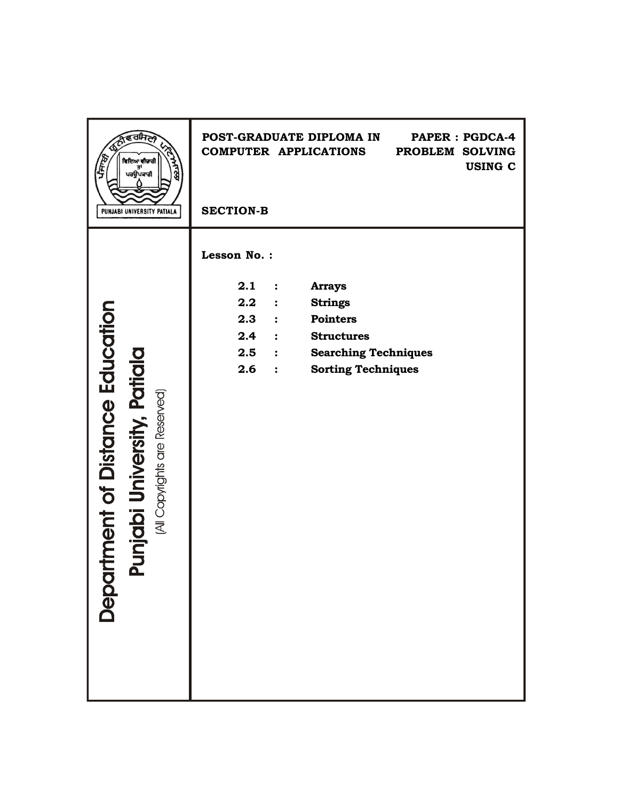| ਵਿਦਿਆ ਵੀਚਾਰੀ<br>ਾ<br>ਪਰਉਪਕਾਰੀ<br>PUNJABI UNIVERSITY PATIALA                                                            | POST-GRADUATE DIPLOMA IN<br><b>PAPER : PGDCA-4</b><br>COMPUTER APPLICATIONS<br>PROBLEM SOLVING<br><b>USING C</b><br><b>SECTION-B</b>                                                                                                                           |  |  |  |
|------------------------------------------------------------------------------------------------------------------------|----------------------------------------------------------------------------------------------------------------------------------------------------------------------------------------------------------------------------------------------------------------|--|--|--|
|                                                                                                                        | Lesson No.:                                                                                                                                                                                                                                                    |  |  |  |
| tment of Distance Education<br>unjabi University, Patiala<br>(All Copyrights are Reserved)<br><b>Depar</b><br><u>a</u> | 2.1<br><b>Arrays</b><br>$\ddot{\cdot}$<br>2.2<br><b>Strings</b><br>$\ddot{\cdot}$<br>2.3<br><b>Pointers</b><br>$\ddot{\cdot}$<br>2.4<br><b>Structures</b><br>$\ddot{\cdot}$<br>$2.5$ :<br><b>Searching Techniques</b><br>2.6<br><b>Sorting Techniques</b><br>: |  |  |  |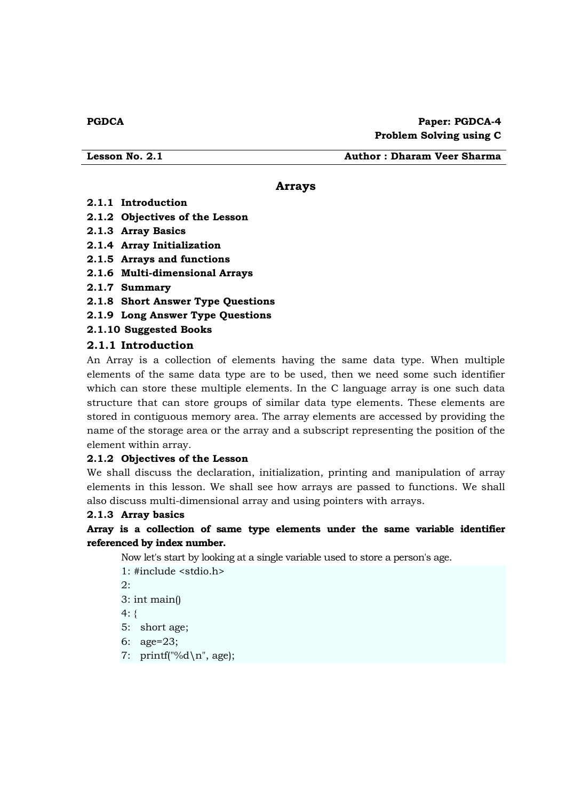**Lesson No. 2.1 Author : Dharam Veer Sharma**

# **Arrays**

- **2.1.1 Introduction**
- **2.1.2 Objectives of the Lesson**
- **2.1.3 Array Basics**
- **2.1.4 Array Initialization**
- **2.1.5 Arrays and functions**
- **2.1.6 Multi-dimensional Arrays**
- **2.1.7 Summary**

**2.1.8 Short Answer Type Questions** 

- **2.1.9 Long Answer Type Questions**
- **2.1.10 Suggested Books**

## **2.1.1 Introduction**

An Array is a collection of elements having the same data type. When multiple elements of the same data type are to be used, then we need some such identifier which can store these multiple elements. In the C language array is one such data structure that can store groups of similar data type elements. These elements are stored in contiguous memory area. The array elements are accessed by providing the name of the storage area or the array and a subscript representing the position of the element within array.

## **2.1.2 Objectives of the Lesson**

We shall discuss the declaration, initialization, printing and manipulation of array elements in this lesson. We shall see how arrays are passed to functions. We shall also discuss multi-dimensional array and using pointers with arrays.

## **2.1.3 Array basics**

**Array is a collection of same type elements under the same variable identifier referenced by index number.** 

Now let's start by looking at a single variable used to store a person's age.

- 1: #include <stdio.h>
- 2:
- 3: int main()
- 4: {
- 5: short age;
- 6: age=23;
- 7:  $print("%d\nu", age);$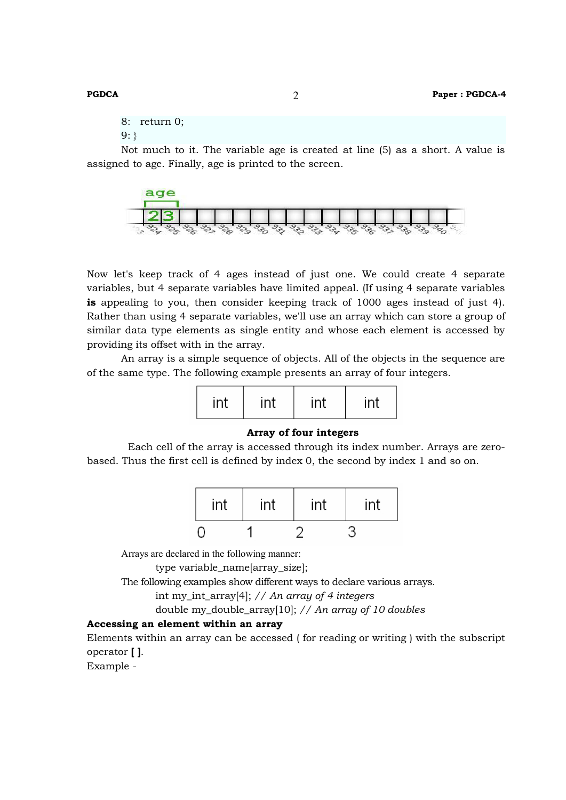```
8: return 0;
```
 $9:$ }

 Not much to it. The variable age is created at line (5) as a short. A value is assigned to age. Finally, age is printed to the screen.



Now let's keep track of 4 ages instead of just one. We could create 4 separate variables, but 4 separate variables have limited appeal. (If using 4 separate variables **is** appealing to you, then consider keeping track of 1000 ages instead of just 4). Rather than using 4 separate variables, we'll use an array which can store a group of similar data type elements as single entity and whose each element is accessed by providing its offset with in the array.

 An array is a simple sequence of objects. All of the objects in the sequence are of the same type. The following example presents an array of four integers.



### **Array of four integers**

 Each cell of the array is accessed through its index number. Arrays are zerobased. Thus the first cell is defined by index 0, the second by index 1 and so on.



Arrays are declared in the following manner:

type variable\_name[array\_size];

The following examples show different ways to declare various arrays.

int my\_int\_array[4]; *// An array of 4 integers*

double my\_double\_array[10]; *// An array of 10 doubles*

### **Accessing an element within an array**

Elements within an array can be accessed ( for reading or writing ) with the subscript operator **[ ]**.

Example -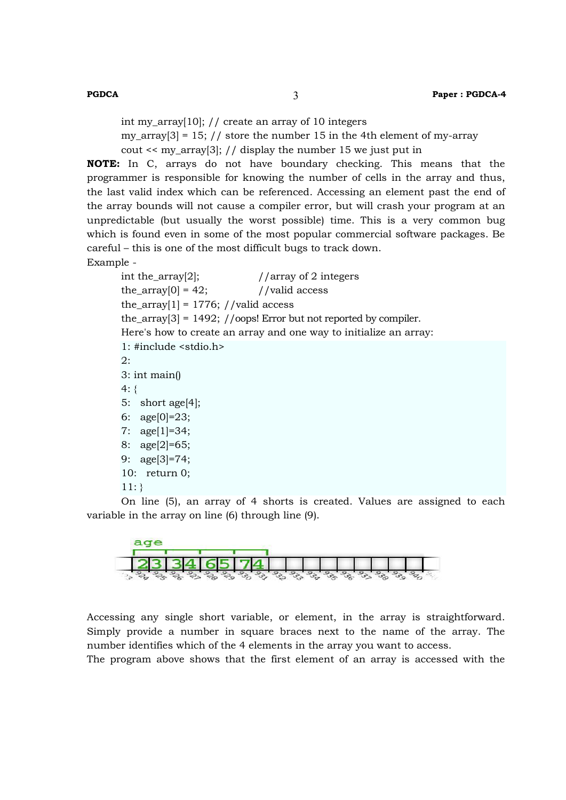int my\_array[10]; // create an array of 10 integers

my\_array[3] = 15; // store the number 15 in the 4th element of my-array

cout << my\_array[3]; // display the number 15 we just put in

**NOTE:** In C, arrays do not have boundary checking. This means that the programmer is responsible for knowing the number of cells in the array and thus, the last valid index which can be referenced. Accessing an element past the end of the array bounds will not cause a compiler error, but will crash your program at an unpredictable (but usually the worst possible) time. This is a very common bug which is found even in some of the most popular commercial software packages. Be careful – this is one of the most difficult bugs to track down. Example -

```
int the_array[2]; //array of 2 integers
the_array[0] = 42; //valid access
the_array[1] = 1776; //valid access
the_array[3] = 1492; //oops! Error but not reported by compiler. 
 Here's how to create an array and one way to initialize an array: 
1: #include <stdio.h> 
2: 
3: int main() 
4: { 
5: short age[4]; 
6: age[0]=23; 
7: age[1]=34; 
8: age[2]=65; 
9: age[3]=74; 
10: return 0; 
11:}
```
 On line (5), an array of 4 shorts is created. Values are assigned to each variable in the array on line (6) through line (9).



Accessing any single short variable, or element, in the array is straightforward. Simply provide a number in square braces next to the name of the array. The number identifies which of the 4 elements in the array you want to access.

The program above shows that the first element of an array is accessed with the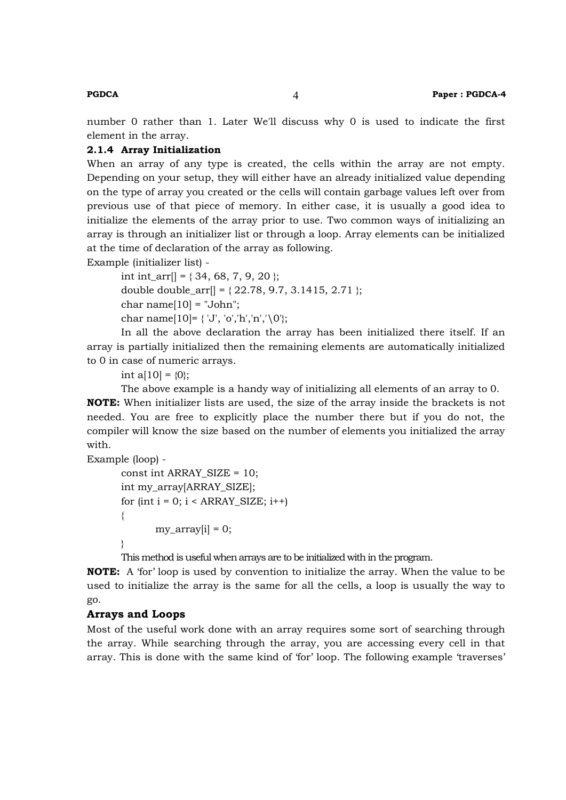number 0 rather than 1. Later We'll discuss why 0 is used to indicate the first element in the array.

## **2.1.4 Array Initialization**

When an array of any type is created, the cells within the array are not empty. Depending on your setup, they will either have an already initialized value depending on the type of array you created or the cells will contain garbage values left over from previous use of that piece of memory. In either case, it is usually a good idea to initialize the elements of the array prior to use. Two common ways of initializing an array is through an initializer list or through a loop. Array elements can be initialized at the time of declaration of the array as following.

Example (initializer list) -

int int\_arr[] =  $\{34, 68, 7, 9, 20\}$ ; double double\_arr[] =  $\{22.78, 9.7, 3.1415, 2.71\}$ ; char name $[10]$  = "John"; char name[10]= { 'J', 'o','h','n','\0'};

 In all the above declaration the array has been initialized there itself. If an array is partially initialized then the remaining elements are automatically initialized to 0 in case of numeric arrays.

int a[10] =  $\{0\}$ ;

The above example is a handy way of initializing all elements of an array to 0.

**NOTE:** When initializer lists are used, the size of the array inside the brackets is not needed. You are free to explicitly place the number there but if you do not, the compiler will know the size based on the number of elements you initialized the array with.

Example (loop) -

```
const int ARRAY_SIZE = 10; 
int my_array[ARRAY_SIZE]; 
for (int i = 0; i < ARRAY_SIZE; i++){ 
       my_array[i] = 0;}
```
This method is useful when arrays are to be initialized with in the program.

**NOTE:** A 'for' loop is used by convention to initialize the array. When the value to be used to initialize the array is the same for all the cells, a loop is usually the way to go.

### **Arrays and Loops**

Most of the useful work done with an array requires some sort of searching through the array. While searching through the array, you are accessing every cell in that array. This is done with the same kind of 'for' loop. The following example 'traverses'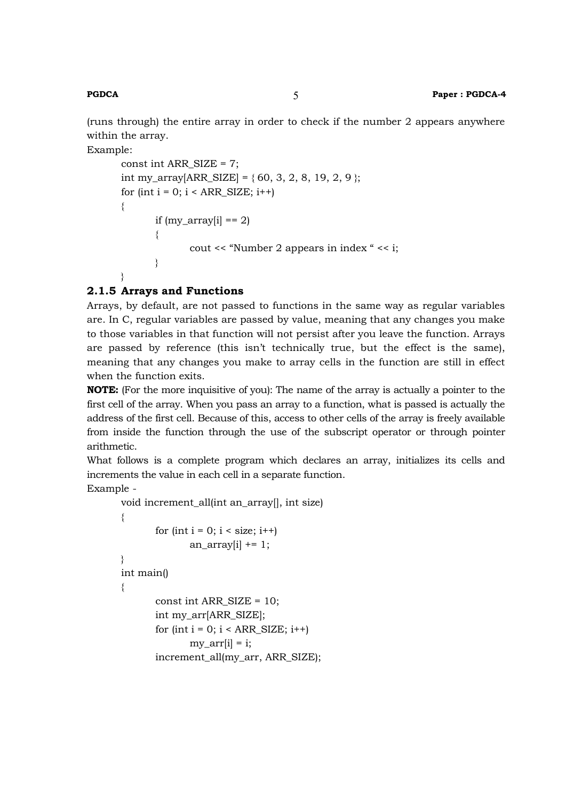(runs through) the entire array in order to check if the number 2 appears anywhere within the array.

Example:

```
const int ARR_SIZE = 7; 
int my_array[ARR_SIZE] = \{60, 3, 2, 8, 19, 2, 9\};
for (int i = 0; i < ARR SIZE; i^{++})
{ 
       if (my_array[i] == 2) { 
                cout << "Number 2 appears in index " << i; 
        } 
}
```
# **2.1.5 Arrays and Functions**

Arrays, by default, are not passed to functions in the same way as regular variables are. In C, regular variables are passed by value, meaning that any changes you make to those variables in that function will not persist after you leave the function. Arrays are passed by reference (this isn't technically true, but the effect is the same), meaning that any changes you make to array cells in the function are still in effect when the function exits.

**NOTE:** (For the more inquisitive of you): The name of the array is actually a pointer to the first cell of the array. When you pass an array to a function, what is passed is actually the address of the first cell. Because of this, access to other cells of the array is freely available from inside the function through the use of the subscript operator or through pointer arithmetic.

What follows is a complete program which declares an array, initializes its cells and increments the value in each cell in a separate function. Example -

```
void increment_all(int an_array[], int size) 
{ 
       for (int i = 0; i < size; i++)
               an_array[i] += 1;
} 
int main() 
{ 
        const int ARR_SIZE = 10; 
        int my_arr[ARR_SIZE]; 
       for (int i = 0; i < ARR SIZE; i++)
               my\_arr[i] = i; increment_all(my_arr, ARR_SIZE);
```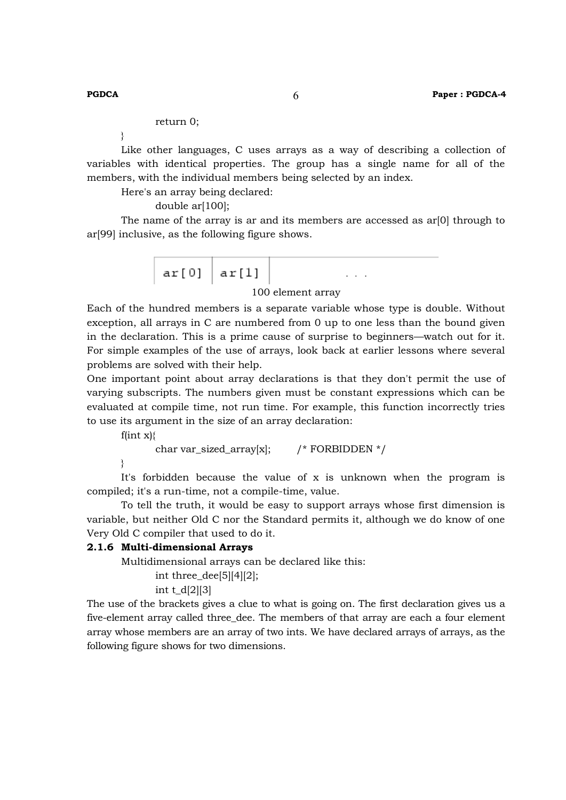}

### return 0;

 Like other languages, C uses arrays as a way of describing a collection of variables with identical properties. The group has a single name for all of the members, with the individual members being selected by an index.

Here's an array being declared:

double ar[100];

The name of the array is ar and its members are accessed as ar[0] through to ar[99] inclusive, as the following figure shows.



### 100 element array

Each of the hundred members is a separate variable whose type is double. Without exception, all arrays in C are numbered from 0 up to one less than the bound given in the declaration. This is a prime cause of surprise to beginners—watch out for it. For simple examples of the use of arrays, look back at earlier lessons where several problems are solved with their help.

One important point about array declarations is that they don't permit the use of varying subscripts. The numbers given must be constant expressions which can be evaluated at compile time, not run time. For example, this function incorrectly tries to use its argument in the size of an array declaration:

f(int  $x$ ){

}

char var\_sized\_array[x]; /\* FORBIDDEN \*/

 It's forbidden because the value of x is unknown when the program is compiled; it's a run-time, not a compile-time, value.

 To tell the truth, it would be easy to support arrays whose first dimension is variable, but neither Old C nor the Standard permits it, although we do know of one Very Old C compiler that used to do it.

### **2.1.6 Multi-dimensional Arrays**

Multidimensional arrays can be declared like this:

int three\_dee[5][4][2];

int t\_d[2][3]

The use of the brackets gives a clue to what is going on. The first declaration gives us a five-element array called three\_dee. The members of that array are each a four element array whose members are an array of two ints. We have declared arrays of arrays, as the following figure shows for two dimensions.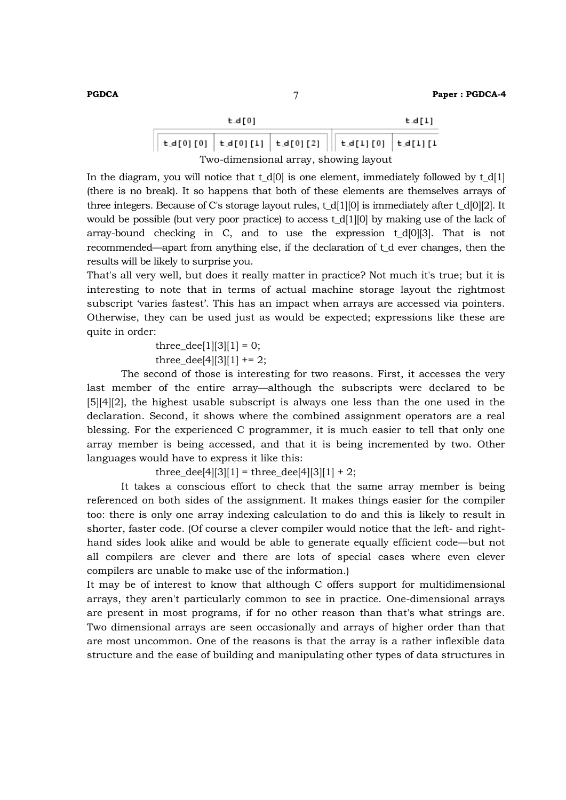| t_d[0] |  |  | t_d[1] |
|--------|--|--|--------|
|        |  |  |        |

Two-dimensional array, showing layout

In the diagram, you will notice that  $t_d[0]$  is one element, immediately followed by  $t_d[1]$ (there is no break). It so happens that both of these elements are themselves arrays of three integers. Because of C's storage layout rules,  $t_d[1][0]$  is immediately after  $t_d[0][2]$ . It would be possible (but very poor practice) to access t\_d[1][0] by making use of the lack of array-bound checking in C, and to use the expression t\_d[0][3]. That is not recommended—apart from anything else, if the declaration of t\_d ever changes, then the results will be likely to surprise you.

That's all very well, but does it really matter in practice? Not much it's true; but it is interesting to note that in terms of actual machine storage layout the rightmost subscript 'varies fastest'. This has an impact when arrays are accessed via pointers. Otherwise, they can be used just as would be expected; expressions like these are quite in order:

> three  $de[1][3][1] = 0$ ; three\_dee[4][3][1]  $+= 2;$

 The second of those is interesting for two reasons. First, it accesses the very last member of the entire array—although the subscripts were declared to be [5][4][2], the highest usable subscript is always one less than the one used in the declaration. Second, it shows where the combined assignment operators are a real blessing. For the experienced C programmer, it is much easier to tell that only one array member is being accessed, and that it is being incremented by two. Other languages would have to express it like this:

three\_dee[4][3][1] = three\_dee[4][3][1] + 2;

 It takes a conscious effort to check that the same array member is being referenced on both sides of the assignment. It makes things easier for the compiler too: there is only one array indexing calculation to do and this is likely to result in shorter, faster code. (Of course a clever compiler would notice that the left- and righthand sides look alike and would be able to generate equally efficient code—but not all compilers are clever and there are lots of special cases where even clever compilers are unable to make use of the information.)

It may be of interest to know that although C offers support for multidimensional arrays, they aren't particularly common to see in practice. One-dimensional arrays are present in most programs, if for no other reason than that's what strings are. Two dimensional arrays are seen occasionally and arrays of higher order than that are most uncommon. One of the reasons is that the array is a rather inflexible data structure and the ease of building and manipulating other types of data structures in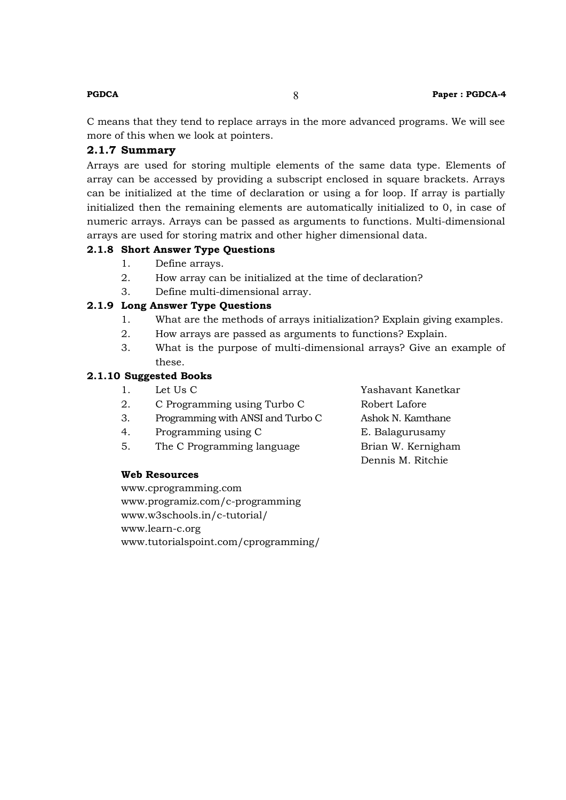C means that they tend to replace arrays in the more advanced programs. We will see more of this when we look at pointers.

## **2.1.7 Summary**

Arrays are used for storing multiple elements of the same data type. Elements of array can be accessed by providing a subscript enclosed in square brackets. Arrays can be initialized at the time of declaration or using a for loop. If array is partially initialized then the remaining elements are automatically initialized to 0, in case of numeric arrays. Arrays can be passed as arguments to functions. Multi-dimensional arrays are used for storing matrix and other higher dimensional data.

## **2.1.8 Short Answer Type Questions**

- 1. Define arrays.
- 2. How array can be initialized at the time of declaration?
- 3. Define multi-dimensional array.

# **2.1.9 Long Answer Type Questions**

- 1. What are the methods of arrays initialization? Explain giving examples.
- 2. How arrays are passed as arguments to functions? Explain.
- 3. What is the purpose of multi-dimensional arrays? Give an example of these.

# **2.1.10 Suggested Books**

- 
- 2. C Programming using Turbo C Robert Lafore
- 3. Programming with ANSI and Turbo C Ashok N. Kamthane
- 4. Programming using C E. Balagurusamy
- 5. The C Programming language Brian W. Kernigham
- 1. Let Us C Yashavant Kanetkar Dennis M. Ritchie

### **Web Resources**

www.cprogramming.com www.programiz.com/c-programming www.w3schools.in/c-tutorial/ www.learn-c.org www.tutorialspoint.com/cprogramming/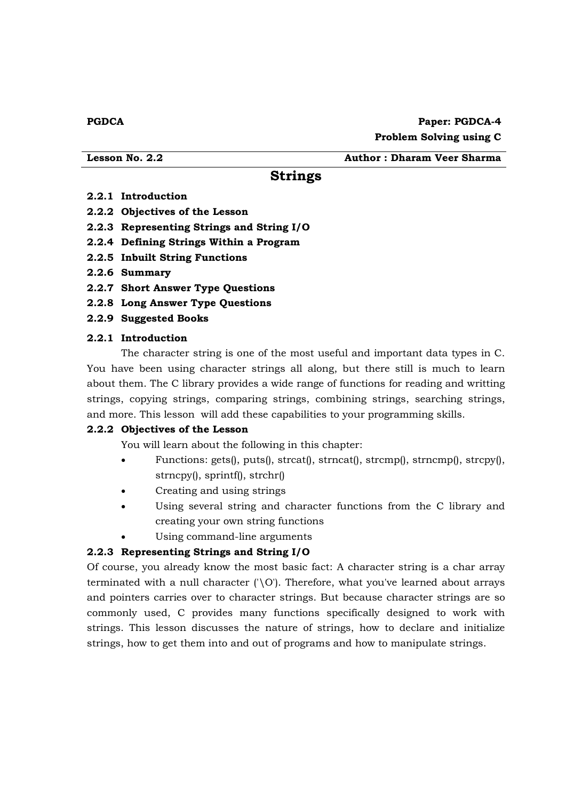**PGDCA Paper: PGDCA-4 Problem Solving using C**

**Lesson No. 2.2 Author : Dharam Veer Sharma**

# **Strings**

- **2.2.1 Introduction**
- **2.2.2 Objectives of the Lesson**
- **2.2.3 Representing Strings and String I/O**
- **2.2.4 Defining Strings Within a Program**
- **2.2.5 Inbuilt String Functions**
- **2.2.6 Summary**
- **2.2.7 Short Answer Type Questions**
- **2.2.8 Long Answer Type Questions**
- **2.2.9 Suggested Books**

### **2.2.1 Introduction**

 The character string is one of the most useful and important data types in C. You have been using character strings all along, but there still is much to learn about them. The C library provides a wide range of functions for reading and writting strings, copying strings, comparing strings, combining strings, searching strings, and more. This lesson will add these capabilities to your programming skills.

### **2.2.2 Objectives of the Lesson**

You will learn about the following in this chapter:

- Functions: gets(), puts(), strcat(), strncat(), strcmp(), strncmp(), strcpy(), strncpy(), sprintf(), strchr()
- Creating and using strings
- Using several string and character functions from the C library and creating your own string functions
- Using command-line arguments

## **2.2.3 Representing Strings and String I/O**

Of course, you already know the most basic fact: A character string is a char array terminated with a null character  $'(\nabla)$ . Therefore, what you've learned about arrays and pointers carries over to character strings. But because character strings are so commonly used, C provides many functions specifically designed to work with strings. This lesson discusses the nature of strings, how to declare and initialize strings, how to get them into and out of programs and how to manipulate strings.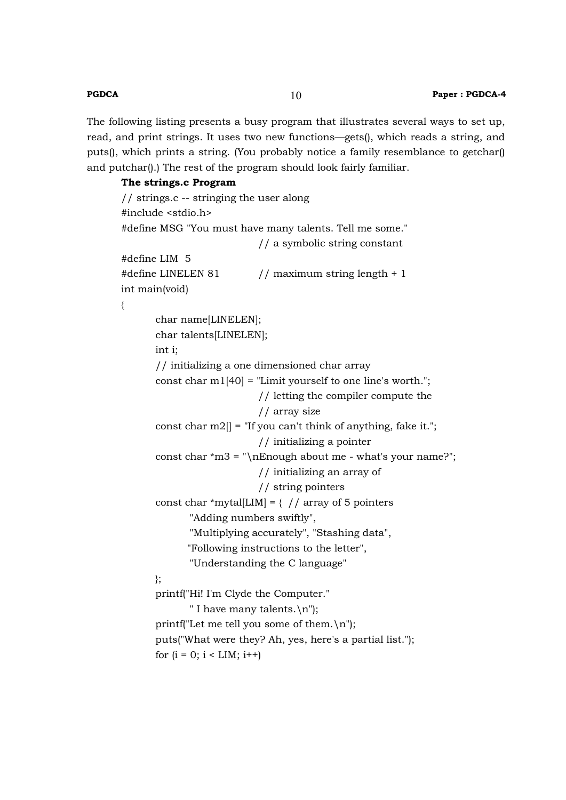{

**The strings.c Program** 

The following listing presents a busy program that illustrates several ways to set up, read, and print strings. It uses two new functions—gets(), which reads a string, and puts(), which prints a string. (You probably notice a family resemblance to getchar() and putchar().) The rest of the program should look fairly familiar.

```
// strings.c -- stringing the user along 
#include <stdio.h> 
#define MSG "You must have many talents. Tell me some."
                              // a symbolic string constant 
#define LIM 5 
#define LINELEN 81 // maximum string length + 1 
int main(void) 
        char name[LINELEN]; 
        char talents[LINELEN]; 
        int i; 
        // initializing a one dimensioned char array 
        const char m1[40] = "Limit yourself to one line's worth."; 
                              // letting the compiler compute the 
                              // array size 
       const char m2[] = "If you can't think of anything, fake it.";
                              // initializing a pointer 
       const char *m3 = "nEnough about me - what's your name?"; // initializing an array of 
                              // string pointers 
       const char *mytal[LIM] = \frac{1}{2} // array of 5 pointers
               "Adding numbers swiftly", 
               "Multiplying accurately", "Stashing data", 
               "Following instructions to the letter", 
               "Understanding the C language" 
        }; 
        printf("Hi! I'm Clyde the Computer." 
               " I have many talents.\n"); 
        printf("Let me tell you some of them.\n"); 
        puts("What were they? Ah, yes, here's a partial list."); 
       for (i = 0; i < LIM; i++)
```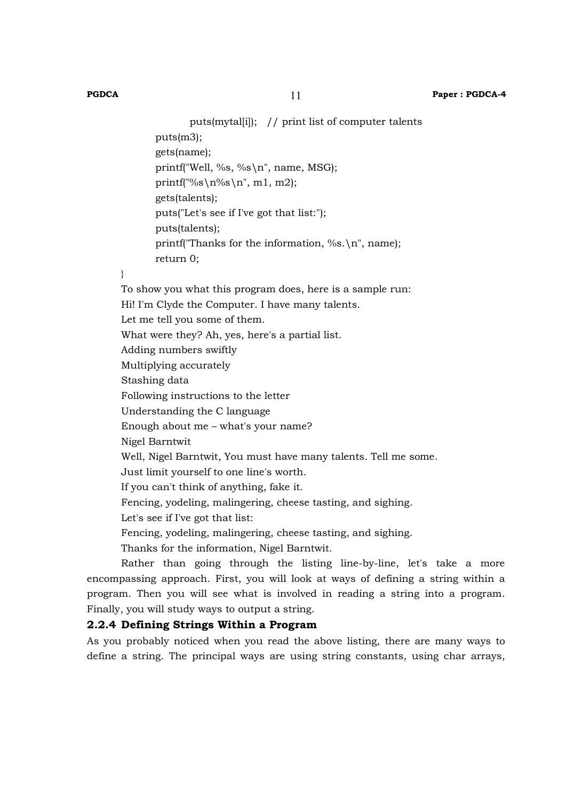puts(mytal[i]); // print list of computer talents puts(m3); gets(name); printf("Well, %s, %s\n", name, MSG); printf("%s\n%s\n", m1, m2); gets(talents); puts("Let's see if I've got that list:"); puts(talents); printf("Thanks for the information, %s.\n", name); return 0;

## }

To show you what this program does, here is a sample run:

Hi! I'm Clyde the Computer. I have many talents.

Let me tell you some of them.

What were they? Ah, yes, here's a partial list.

Adding numbers swiftly

Multiplying accurately

Stashing data

Following instructions to the letter

Understanding the C language

Enough about me – what's your name?

Nigel Barntwit

Well, Nigel Barntwit, You must have many talents. Tell me some.

Just limit yourself to one line's worth.

If you can't think of anything, fake it.

Fencing, yodeling, malingering, cheese tasting, and sighing.

Let's see if I've got that list:

Fencing, yodeling, malingering, cheese tasting, and sighing.

Thanks for the information, Nigel Barntwit.

 Rather than going through the listing line-by-line, let's take a more encompassing approach. First, you will look at ways of defining a string within a program. Then you will see what is involved in reading a string into a program. Finally, you will study ways to output a string.

## **2.2.4 Defining Strings Within a Program**

As you probably noticed when you read the above listing, there are many ways to define a string. The principal ways are using string constants, using char arrays,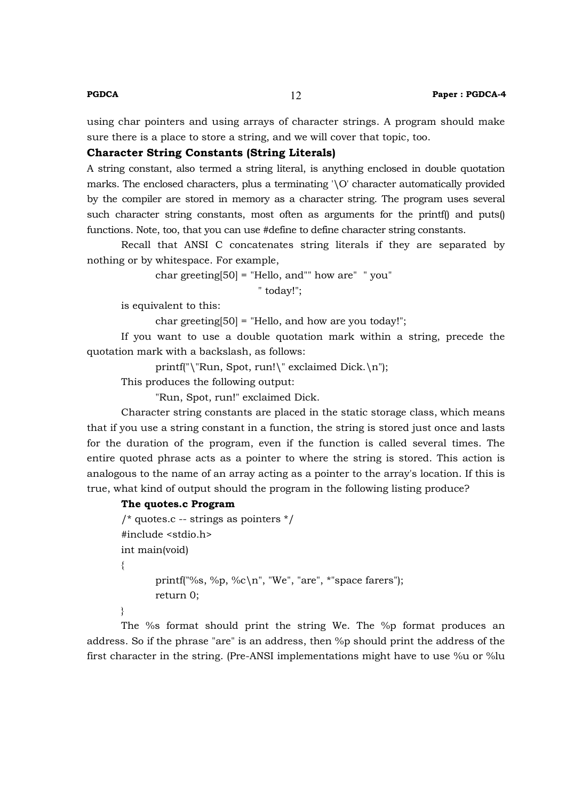using char pointers and using arrays of character strings. A program should make sure there is a place to store a string, and we will cover that topic, too.

## **Character String Constants (String Literals)**

A string constant, also termed a string literal, is anything enclosed in double quotation marks. The enclosed characters, plus a terminating '\O' character automatically provided by the compiler are stored in memory as a character string. The program uses several such character string constants, most often as arguments for the printf() and puts() functions. Note, too, that you can use #define to define character string constants.

 Recall that ANSI C concatenates string literals if they are separated by nothing or by whitespace. For example,

> char greeting $[50]$  = "Hello, and"" how are" " you" " today!";

is equivalent to this:

char greeting[50] = "Hello, and how are you today!";

 If you want to use a double quotation mark within a string, precede the quotation mark with a backslash, as follows:

printf("\"Run, Spot, run!\" exclaimed Dick.\n");

This produces the following output:

"Run, Spot, run!" exclaimed Dick.

 Character string constants are placed in the static storage class, which means that if you use a string constant in a function, the string is stored just once and lasts for the duration of the program, even if the function is called several times. The entire quoted phrase acts as a pointer to where the string is stored. This action is analogous to the name of an array acting as a pointer to the array's location. If this is true, what kind of output should the program in the following listing produce?

### **The quotes.c Program**

```
/* quotes.c -- strings as pointers */ 
#include <stdio.h> 
int main(void) 
{ 
       printf("%s, %p, %c\n", "We", "are", *"space farers");
        return 0; 
}
```
 The %s format should print the string We. The %p format produces an address. So if the phrase "are" is an address, then %p should print the address of the first character in the string. (Pre-ANSI implementations might have to use %u or %lu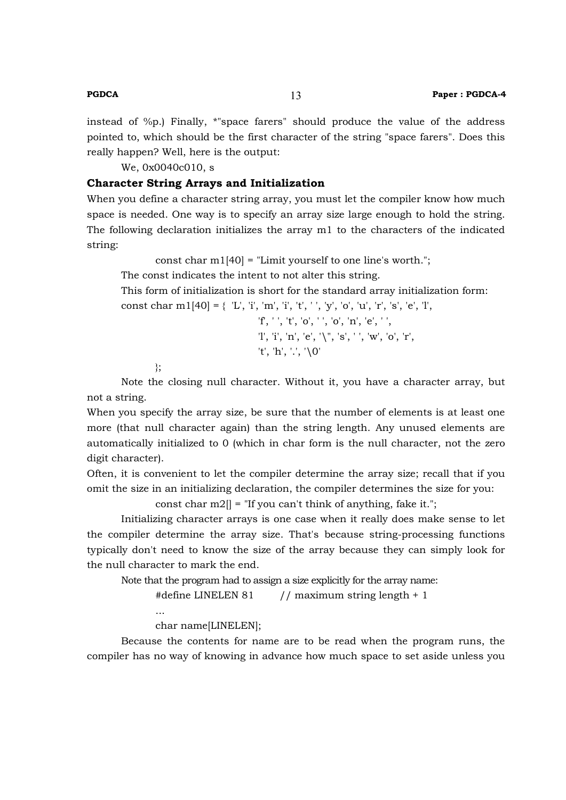instead of %p.) Finally, \*"space farers" should produce the value of the address pointed to, which should be the first character of the string "space farers". Does this really happen? Well, here is the output:

We, 0x0040c010, s

## **Character String Arrays and Initialization**

When you define a character string array, you must let the compiler know how much space is needed. One way is to specify an array size large enough to hold the string. The following declaration initializes the array m1 to the characters of the indicated string:

const char m1[40] = "Limit yourself to one line's worth.";

The const indicates the intent to not alter this string.

This form of initialization is short for the standard array initialization form:

const char m1[40] = { 'L', 'i', 'm', 'i', 't', '', 'y', 'o', 'u', 'r', 's', 'e', 'l',

 'f', ' ', 't', 'o', ' ', 'o', 'n', 'e', ' ', 'l', 'i', 'n', 'e', '\", 's', ' ', 'w', 'o', 'r', 't', 'h', '.', '\0'

};

 Note the closing null character. Without it, you have a character array, but not a string.

When you specify the array size, be sure that the number of elements is at least one more (that null character again) than the string length. Any unused elements are automatically initialized to 0 (which in char form is the null character, not the zero digit character).

Often, it is convenient to let the compiler determine the array size; recall that if you omit the size in an initializing declaration, the compiler determines the size for you:

const char  $m2$ [] = "If you can't think of anything, fake it.";

 Initializing character arrays is one case when it really does make sense to let the compiler determine the array size. That's because string-processing functions typically don't need to know the size of the array because they can simply look for the null character to mark the end.

Note that the program had to assign a size explicitly for the array name:

#define LINELEN 81 // maximum string length + 1

char name[LINELEN];

...

 Because the contents for name are to be read when the program runs, the compiler has no way of knowing in advance how much space to set aside unless you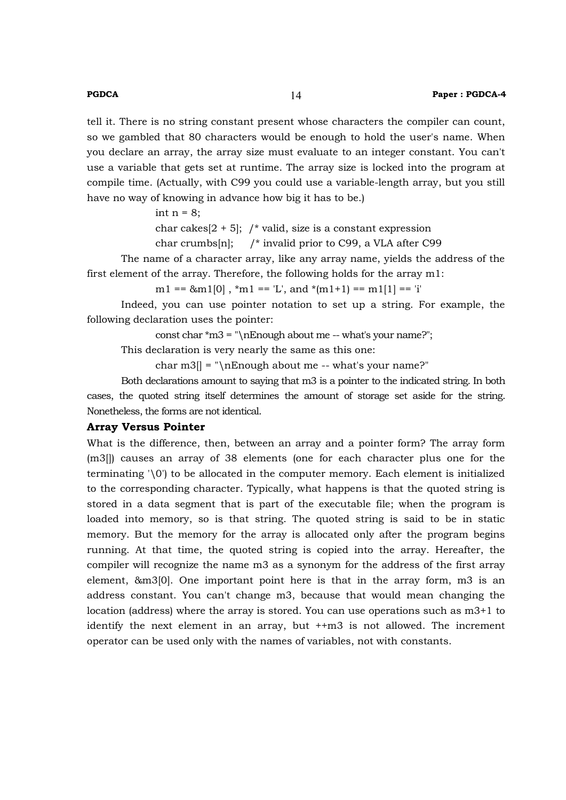tell it. There is no string constant present whose characters the compiler can count, so we gambled that 80 characters would be enough to hold the user's name. When you declare an array, the array size must evaluate to an integer constant. You can't use a variable that gets set at runtime. The array size is locked into the program at compile time. (Actually, with C99 you could use a variable-length array, but you still have no way of knowing in advance how big it has to be.)

int  $n = 8$ ;

char cakes  $[2 + 5]$ ; /\* valid, size is a constant expression

char crumbs[n]; /\* invalid prior to C99, a VLA after C99

 The name of a character array, like any array name, yields the address of the first element of the array. Therefore, the following holds for the array m1:

m1 ==  $\text{\&} \text{m1}[0]$ , \*m1 == 'L', and \*(m1+1) == m1[1] == 'i'

 Indeed, you can use pointer notation to set up a string. For example, the following declaration uses the pointer:

const char \*m3 = "\nEnough about me -- what's your name?";

This declaration is very nearly the same as this one:

char  $m3$ [] = "\nEnough about me -- what's your name?"

 Both declarations amount to saying that m3 is a pointer to the indicated string. In both cases, the quoted string itself determines the amount of storage set aside for the string. Nonetheless, the forms are not identical.

### **Array Versus Pointer**

What is the difference, then, between an array and a pointer form? The array form (m3[]) causes an array of 38 elements (one for each character plus one for the terminating '\0') to be allocated in the computer memory. Each element is initialized to the corresponding character. Typically, what happens is that the quoted string is stored in a data segment that is part of the executable file; when the program is loaded into memory, so is that string. The quoted string is said to be in static memory. But the memory for the array is allocated only after the program begins running. At that time, the quoted string is copied into the array. Hereafter, the compiler will recognize the name m3 as a synonym for the address of the first array element, &m3[0]. One important point here is that in the array form, m3 is an address constant. You can't change m3, because that would mean changing the location (address) where the array is stored. You can use operations such as m3+1 to identify the next element in an array, but ++m3 is not allowed. The increment operator can be used only with the names of variables, not with constants.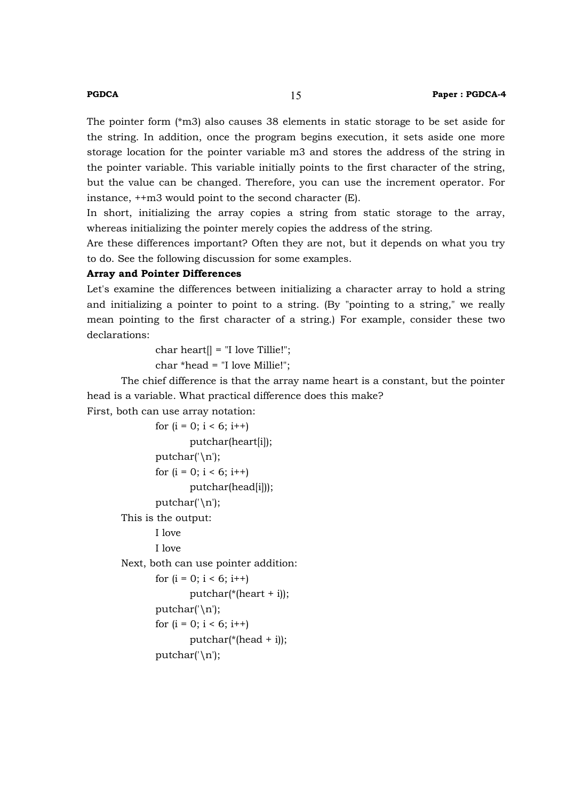The pointer form (\*m3) also causes 38 elements in static storage to be set aside for the string. In addition, once the program begins execution, it sets aside one more storage location for the pointer variable m3 and stores the address of the string in the pointer variable. This variable initially points to the first character of the string, but the value can be changed. Therefore, you can use the increment operator. For instance, ++m3 would point to the second character (E).

In short, initializing the array copies a string from static storage to the array, whereas initializing the pointer merely copies the address of the string.

Are these differences important? Often they are not, but it depends on what you try to do. See the following discussion for some examples.

## **Array and Pointer Differences**

Let's examine the differences between initializing a character array to hold a string and initializing a pointer to point to a string. (By "pointing to a string," we really mean pointing to the first character of a string.) For example, consider these two declarations:

> char heart[] = "I love Tillie!"; char \*head = "I love Millie!";

 The chief difference is that the array name heart is a constant, but the pointer head is a variable. What practical difference does this make?

First, both can use array notation:

```
for (i = 0; i < 6; i++) putchar(heart[i]); 
         putchar('\n'); 
        for (i = 0; i < 6; i++) putchar(head[i])); 
         putchar('\n'); 
 This is the output: 
         I love 
         I love 
 Next, both can use pointer addition: 
        for (i = 0; i < 6; i++)putchar(*(\text{heart} + i));
        putchar(\ln);
        for (i = 0; i < 6; i++) putchar(*(head + i)); 
        putchar(\ln);
```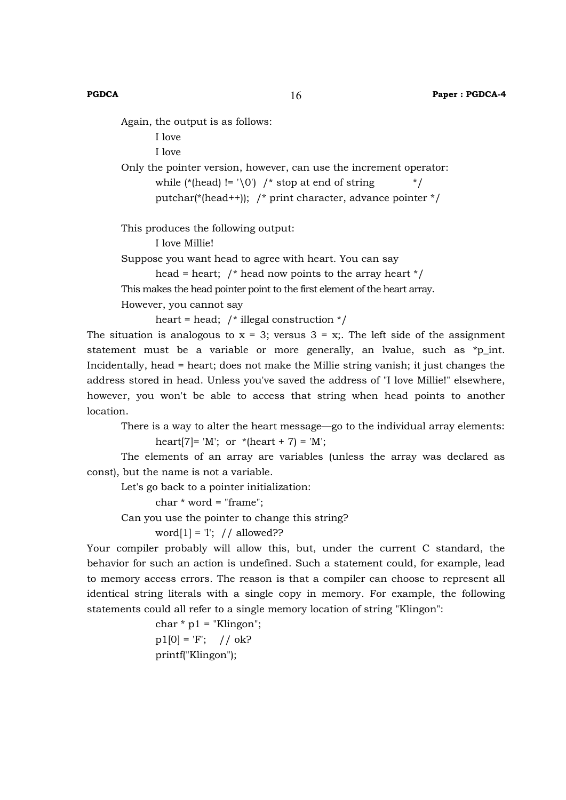Again, the output is as follows:

I love

I love

 Only the pointer version, however, can use the increment operator: while (\*(head) != '\0') /\* stop at end of string  $*$ / putchar(\*(head++)); /\* print character, advance pointer \*/

This produces the following output:

I love Millie!

Suppose you want head to agree with heart. You can say

head = heart;  $\prime^*$  head now points to the array heart  $\prime$ 

This makes the head pointer point to the first element of the heart array.

However, you cannot say

heart = head; /\* illegal construction \*/

The situation is analogous to  $x = 3$ ; versus  $3 = x$ ; The left side of the assignment statement must be a variable or more generally, an lvalue, such as \*p\_int. Incidentally, head = heart; does not make the Millie string vanish; it just changes the address stored in head. Unless you've saved the address of "I love Millie!" elsewhere, however, you won't be able to access that string when head points to another location.

 There is a way to alter the heart message—go to the individual array elements: heart $[7]$ = 'M'; or \*(heart + 7) = 'M';

 The elements of an array are variables (unless the array was declared as const), but the name is not a variable.

Let's go back to a pointer initialization:

char \* word = "frame";

Can you use the pointer to change this string?

word $[1] = 'l'$ ; // allowed??

Your compiler probably will allow this, but, under the current C standard, the behavior for such an action is undefined. Such a statement could, for example, lead to memory access errors. The reason is that a compiler can choose to represent all identical string literals with a single copy in memory. For example, the following statements could all refer to a single memory location of string "Klingon":

> char  $*$  p1 = "Klingon";  $p1[0] = 'F';$  // ok? printf("Klingon");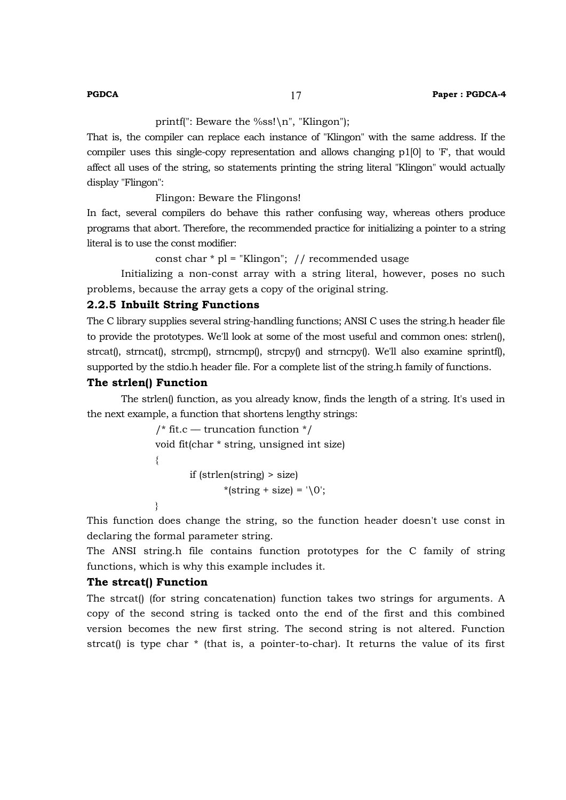## printf(": Beware the %ss!\n", "Klingon");

That is, the compiler can replace each instance of "Klingon" with the same address. If the compiler uses this single-copy representation and allows changing p1[0] to 'F', that would affect all uses of the string, so statements printing the string literal "Klingon" would actually display "Flingon":

Flingon: Beware the Flingons!

In fact, several compilers do behave this rather confusing way, whereas others produce programs that abort. Therefore, the recommended practice for initializing a pointer to a string literal is to use the const modifier:

const char  $*$  pl = "Klingon"; // recommended usage

 Initializing a non-const array with a string literal, however, poses no such problems, because the array gets a copy of the original string.

## **2.2.5 Inbuilt String Functions**

The C library supplies several string-handling functions; ANSI C uses the string.h header file to provide the prototypes. We'll look at some of the most useful and common ones: strlen(), strcat(), strncat(), strcmp(), strncmp(), strcpy() and strncpy(). We'll also examine sprintf(), supported by the stdio.h header file. For a complete list of the string.h family of functions.

### **The strlen() Function**

 The strlen() function, as you already know, finds the length of a string. It's used in the next example, a function that shortens lengthy strings:

```
\frac{1}{x} fit.c — truncation function */
void fit(char * string, unsigned int size) 
{ 
         if (strlen(string) > size) 
                 *(string + size) = \sqrt{0};
}
```
This function does change the string, so the function header doesn't use const in declaring the formal parameter string.

The ANSI string.h file contains function prototypes for the C family of string functions, which is why this example includes it.

## **The strcat() Function**

The strcat() (for string concatenation) function takes two strings for arguments. A copy of the second string is tacked onto the end of the first and this combined version becomes the new first string. The second string is not altered. Function strcat() is type char  $*$  (that is, a pointer-to-char). It returns the value of its first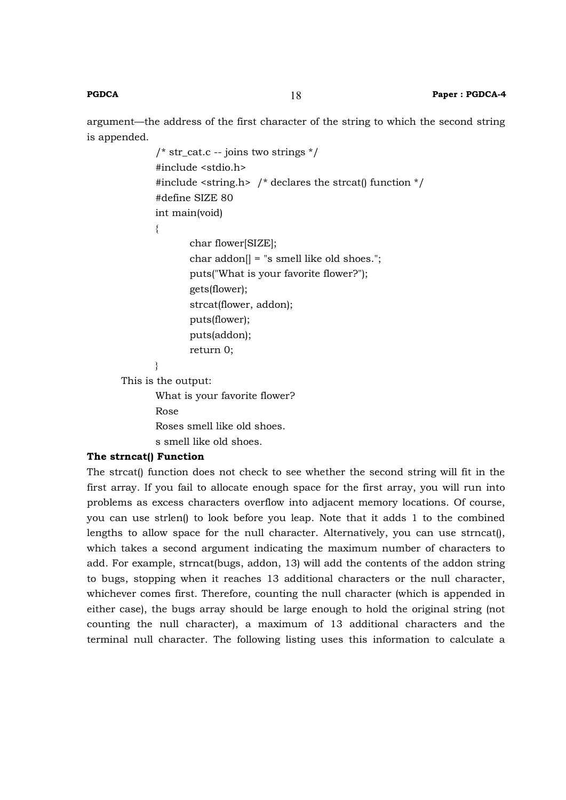argument—the address of the first character of the string to which the second string is appended.

```
/* str_cat.c -- joins two strings */ 
       #include <stdio.h> 
       #include <string.h> /* declares the strcat() function */ 
       #define SIZE 80 
       int main(void) 
       { 
                char flower[SIZE]; 
                char addon[] = "s smell like old shoes."; 
                puts("What is your favorite flower?"); 
                gets(flower); 
                strcat(flower, addon); 
                puts(flower); 
                puts(addon); 
                return 0; 
       } 
 This is the output: 
        What is your favorite flower? 
        Rose 
        Roses smell like old shoes. 
        s smell like old shoes.
```
## **The strncat() Function**

The strcat() function does not check to see whether the second string will fit in the first array. If you fail to allocate enough space for the first array, you will run into problems as excess characters overflow into adjacent memory locations. Of course, you can use strlen() to look before you leap. Note that it adds 1 to the combined lengths to allow space for the null character. Alternatively, you can use strncat(), which takes a second argument indicating the maximum number of characters to add. For example, strncat(bugs, addon, 13) will add the contents of the addon string to bugs, stopping when it reaches 13 additional characters or the null character, whichever comes first. Therefore, counting the null character (which is appended in either case), the bugs array should be large enough to hold the original string (not counting the null character), a maximum of 13 additional characters and the terminal null character. The following listing uses this information to calculate a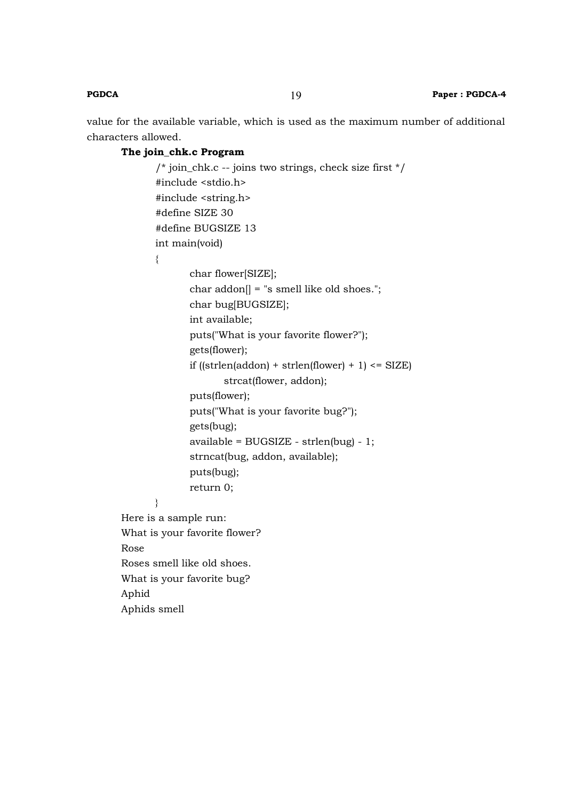value for the available variable, which is used as the maximum number of additional characters allowed.

## **The join\_chk.c Program**

```
/* join_chk.c -- joins two strings, check size first */ 
        #include <stdio.h> 
        #include <string.h> 
        #define SIZE 30 
        #define BUGSIZE 13 
        int main(void) 
        { 
                 char flower[SIZE]; 
                 char addon[] = "s smell like old shoes."; 
                 char bug[BUGSIZE]; 
                 int available; 
                 puts("What is your favorite flower?"); 
                 gets(flower); 
                if ((\text{strlen}(\text{addon}) + \text{strlen}(\text{flower}) + 1) \leq \text{SIZE}) strcat(flower, addon); 
                 puts(flower); 
                 puts("What is your favorite bug?"); 
                 gets(bug); 
                 available = BUGSIZE - strlen(bug) - 1; 
                 strncat(bug, addon, available); 
                 puts(bug); 
                 return 0; 
        } 
 Here is a sample run: 
What is your favorite flower? 
Rose 
Roses smell like old shoes. 
What is your favorite bug? 
Aphid 
Aphids smell
```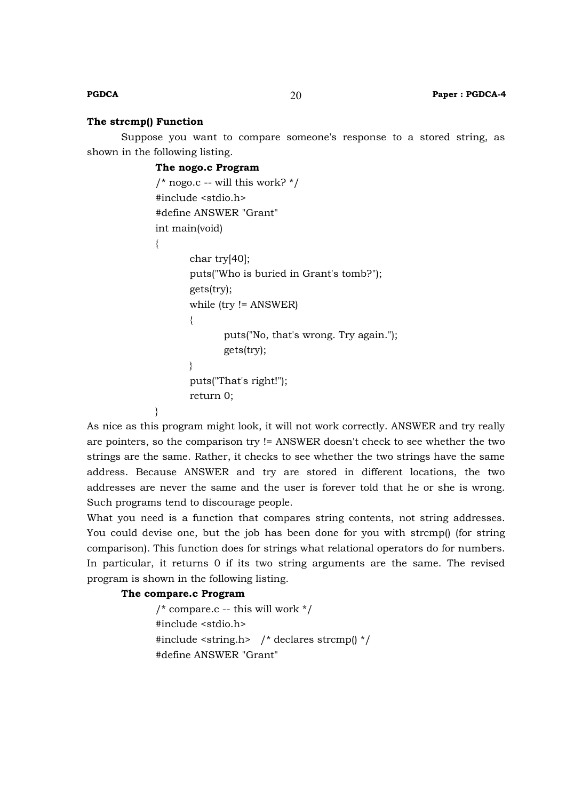### **The strcmp() Function**

{

}

 Suppose you want to compare someone's response to a stored string, as shown in the following listing.

### **The nogo.c Program**

```
\prime* nogo.c -- will this work? */
#include <stdio.h> 
#define ANSWER "Grant" 
int main(void) 
        char try[40]; 
         puts("Who is buried in Grant's tomb?"); 
        gets(try); 
        while (try != ANSWER) 
        { 
                puts("No, that's wrong. Try again."); 
                gets(try); 
        } 
        puts("That's right!"); 
        return 0;
```
As nice as this program might look, it will not work correctly. ANSWER and try really are pointers, so the comparison try != ANSWER doesn't check to see whether the two strings are the same. Rather, it checks to see whether the two strings have the same address. Because ANSWER and try are stored in different locations, the two addresses are never the same and the user is forever told that he or she is wrong. Such programs tend to discourage people.

What you need is a function that compares string contents, not string addresses. You could devise one, but the job has been done for you with strcmp() (for string comparison). This function does for strings what relational operators do for numbers. In particular, it returns 0 if its two string arguments are the same. The revised program is shown in the following listing.

### **The compare.c Program**

```
\prime compare.c -- this will work \prime#include <stdio.h> 
#include <string.h> /* declares strcmp() */ 
#define ANSWER "Grant"
```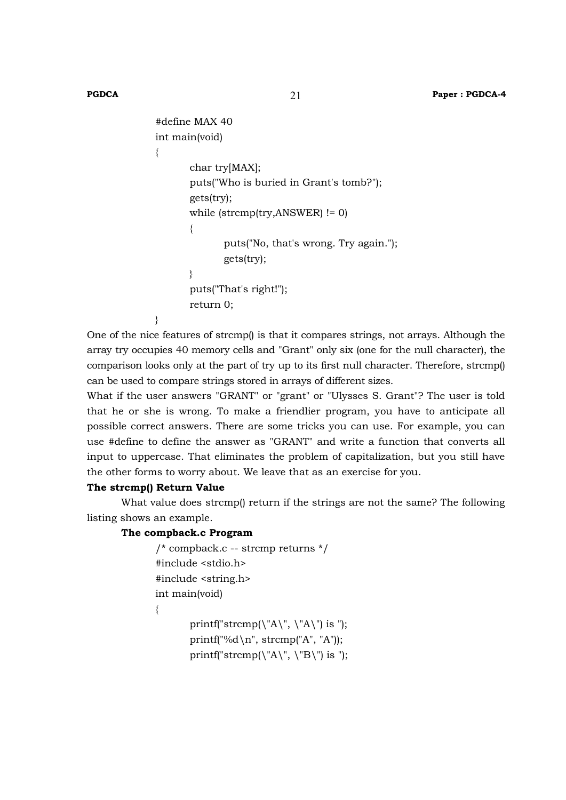```
#define MAX 40 
int main(void) 
        char try[MAX]; 
         puts("Who is buried in Grant's tomb?"); 
         gets(try); 
        while (strcmp(try,ANSWER) != 0) 
         { 
                puts("No, that's wrong. Try again."); 
                gets(try); 
        } 
        puts("That's right!"); 
        return 0;
```
}

{

One of the nice features of strcmp() is that it compares strings, not arrays. Although the array try occupies 40 memory cells and "Grant" only six (one for the null character), the comparison looks only at the part of try up to its first null character. Therefore, strcmp() can be used to compare strings stored in arrays of different sizes.

What if the user answers "GRANT" or "grant" or "Ulysses S. Grant"? The user is told that he or she is wrong. To make a friendlier program, you have to anticipate all possible correct answers. There are some tricks you can use. For example, you can use #define to define the answer as "GRANT" and write a function that converts all input to uppercase. That eliminates the problem of capitalization, but you still have the other forms to worry about. We leave that as an exercise for you.

## **The strcmp() Return Value**

 What value does strcmp() return if the strings are not the same? The following listing shows an example.

## **The compback.c Program**

```
/* compback.c -- strcmp returns */ 
#include <stdio.h> 
#include <string.h> 
int main(void) 
{ 
       printf("strcmp(\\'A\", \'A\") is ");
       printf("%d\n", strcmp("A", "A"));
       printf("strcmp(\\'A\", \'B\") is ");
```
**PGDCA** 21 **Paper : PGDCA-4**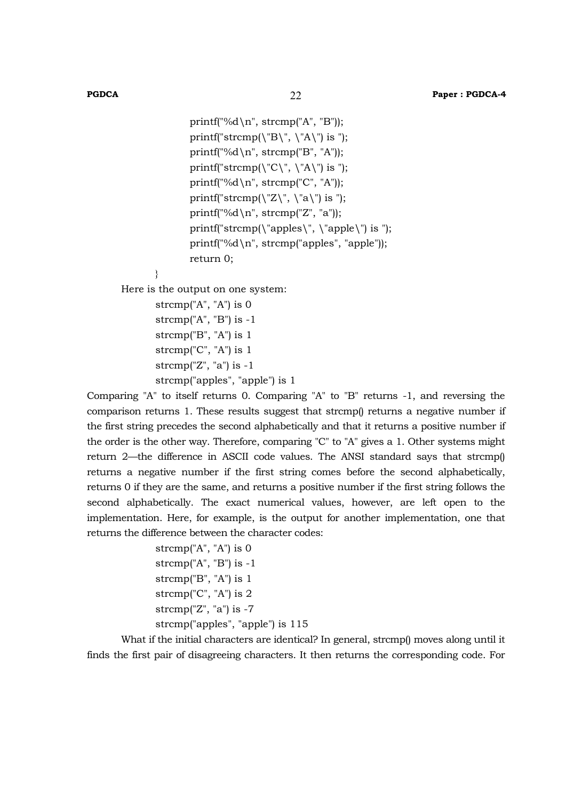```
printf("%d\n", strcmp("A", "B"));
printf("strcmp(\P"B\P, \PA\P) is ");
printf("%d\n", strcmp("B", "A"));
printf("strcmp(\Upsilon"C\Upsilon", \Upsilon"A\Upsilon") is ");
printf("%d\n", strcmp("C", "A"));
printf("strcmp(\Upsilon"Z\Upsilon", \Upsilon"a\Upsilon") is ");
printf("%d\n", strcmp("Z", "a"));
 printf("strcmp(\"apples\", \"apple\") is "); 
 printf("%d\n", strcmp("apples", "apple")); 
 return 0;
```
}

Here is the output on one system:

 strcmp("A", "A") is 0 strcmp("A", "B") is -1 strcmp("B", "A") is 1 strcmp("C", "A") is 1 strcmp( $Z$ ", "a") is  $-1$ strcmp("apples", "apple") is 1

Comparing "A" to itself returns 0. Comparing "A" to "B" returns -1, and reversing the comparison returns 1. These results suggest that strcmp() returns a negative number if the first string precedes the second alphabetically and that it returns a positive number if the order is the other way. Therefore, comparing "C" to "A" gives a 1. Other systems might return 2—the difference in ASCII code values. The ANSI standard says that strcmp() returns a negative number if the first string comes before the second alphabetically, returns 0 if they are the same, and returns a positive number if the first string follows the second alphabetically. The exact numerical values, however, are left open to the implementation. Here, for example, is the output for another implementation, one that returns the difference between the character codes:

```
 strcmp("A", "A") is 0 
 strcmp("A", "B") is -1 
 strcmp("B", "A") is 1 
 strcmp("C", "A") is 2 
strcmp("Z", "a") is -7 strcmp("apples", "apple") is 115
```
 What if the initial characters are identical? In general, strcmp() moves along until it finds the first pair of disagreeing characters. It then returns the corresponding code. For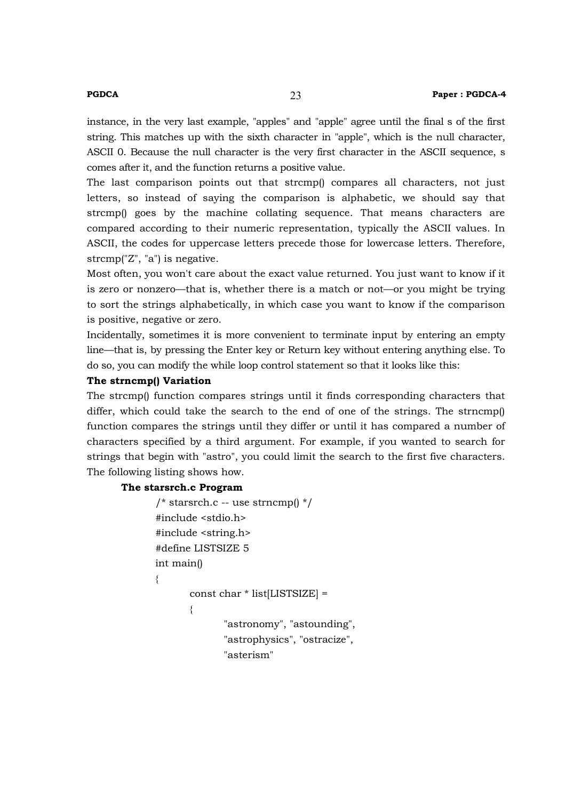instance, in the very last example, "apples" and "apple" agree until the final s of the first string. This matches up with the sixth character in "apple", which is the null character, ASCII 0. Because the null character is the very first character in the ASCII sequence, s comes after it, and the function returns a positive value.

The last comparison points out that strcmp() compares all characters, not just letters, so instead of saying the comparison is alphabetic, we should say that strcmp() goes by the machine collating sequence. That means characters are compared according to their numeric representation, typically the ASCII values. In ASCII, the codes for uppercase letters precede those for lowercase letters. Therefore, strcmp("Z", "a") is negative.

Most often, you won't care about the exact value returned. You just want to know if it is zero or nonzero—that is, whether there is a match or not—or you might be trying to sort the strings alphabetically, in which case you want to know if the comparison is positive, negative or zero.

Incidentally, sometimes it is more convenient to terminate input by entering an empty line—that is, by pressing the Enter key or Return key without entering anything else. To do so, you can modify the while loop control statement so that it looks like this:

### **The strncmp() Variation**

The strcmp() function compares strings until it finds corresponding characters that differ, which could take the search to the end of one of the strings. The strncmp() function compares the strings until they differ or until it has compared a number of characters specified by a third argument. For example, if you wanted to search for strings that begin with "astro", you could limit the search to the first five characters. The following listing shows how.

### **The starsrch.c Program**

```
/* starsrch.c -- use strncmp() */ 
#include <stdio.h> 
#include <string.h> 
#define LISTSIZE 5 
int main() 
{ 
        const char * list[LISTSIZE] = 
        { 
                "astronomy", "astounding", 
                "astrophysics", "ostracize", 
                "asterism"
```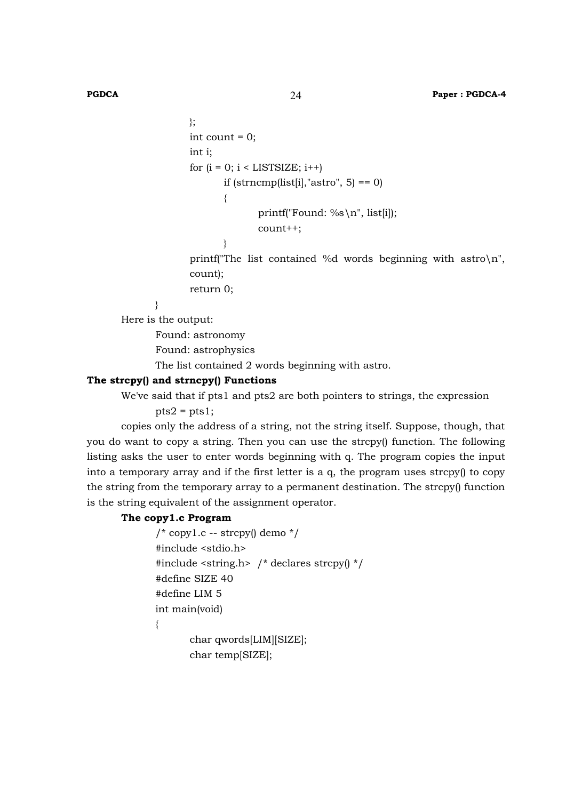```
 }; 
      int count = 0;
       int i; 
      for (i = 0; i < LISTSIZE; i^{++})
             if (strncmp(list[i],"astro", 5) == 0)
\{printf("Found: %s\n", list[i]);
                     count++; 
 }
```
 printf("The list contained %d words beginning with astro\n", count);

return 0;

}

Here is the output:

Found: astronomy

Found: astrophysics

The list contained 2 words beginning with astro.

# **The strcpy() and strncpy() Functions**

 We've said that if pts1 and pts2 are both pointers to strings, the expression  $pts2 = pts1;$ 

 copies only the address of a string, not the string itself. Suppose, though, that you do want to copy a string. Then you can use the strcpy() function. The following listing asks the user to enter words beginning with q. The program copies the input into a temporary array and if the first letter is a q, the program uses strcpy() to copy the string from the temporary array to a permanent destination. The strcpy() function is the string equivalent of the assignment operator.

# **The copy1.c Program**

```
\frac{x}{2} copy1.c -- strcpy() demo \frac{x}{2}#include <stdio.h> 
#include <string.h> /* declares strcpy() */ 
#define SIZE 40 
#define LIM 5 
int main(void) 
{ 
         char qwords[LIM][SIZE]; 
         char temp[SIZE];
```
**PGDCA** 24 **Paper : PGDCA-4**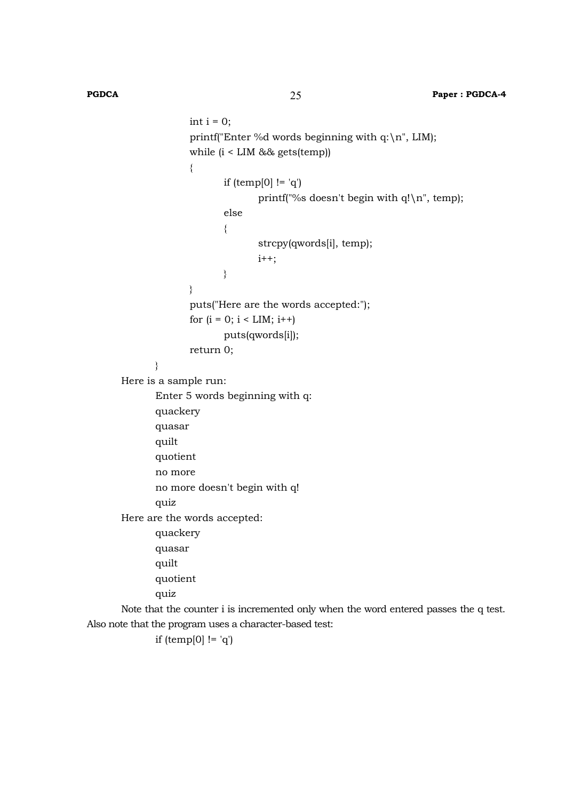```
int i = 0;
               printf("Enter %d words beginning with q:\n", LIM); 
               while (i < LIM && gets(temp)) 
               { 
                      if temp[0] != 'q')
                              printf("%s doesn't begin with q!\n", temp); 
                       else 
       \{ strcpy(qwords[i], temp); 
                              i++; 
        } 
               } 
               puts("Here are the words accepted:"); 
              for (i = 0; i < LIM; i++) puts(qwords[i]); 
               return 0; 
       } 
 Here is a sample run: 
       Enter 5 words beginning with q: 
       quackery 
       quasar 
       quilt 
       quotient 
       no more 
       no more doesn't begin with q! 
       quiz 
Here are the words accepted: 
       quackery 
       quasar 
       quilt 
       quotient 
       quiz
```
 Note that the counter i is incremented only when the word entered passes the q test. Also note that the program uses a character-based test:

if  $temp[0]$  != 'q')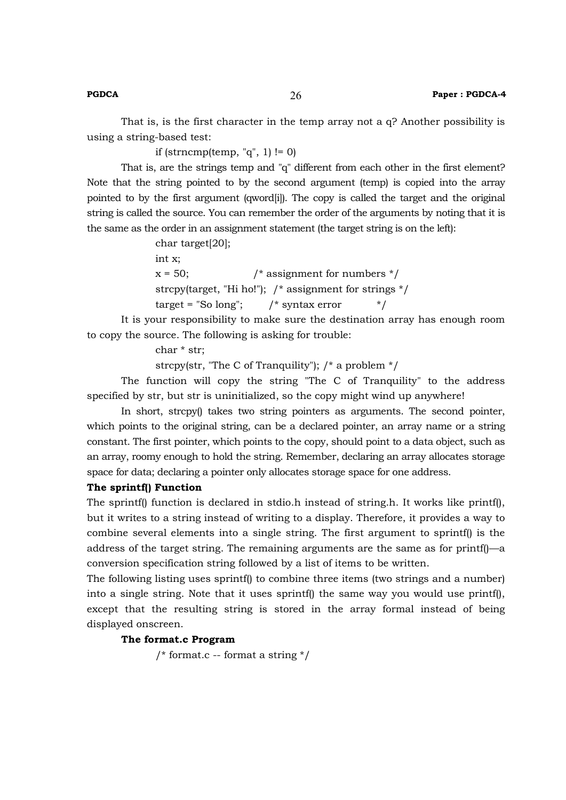That is, is the first character in the temp array not a q? Another possibility is using a string-based test:

if (strncmp(temp,  $q''$ , 1) != 0)

 That is, are the strings temp and "q" different from each other in the first element? Note that the string pointed to by the second argument (temp) is copied into the array pointed to by the first argument (qword[i]). The copy is called the target and the original string is called the source. You can remember the order of the arguments by noting that it is the same as the order in an assignment statement (the target string is on the left):

char target[20];

int x;

 $x = 50$ ;  $\frac{x}{20}$   $\frac{x}{20}$   $\frac{x}{20}$   $\frac{x}{20}$   $\frac{x}{20}$   $\frac{x}{20}$   $\frac{x}{20}$   $\frac{x}{20}$   $\frac{x}{20}$   $\frac{x}{20}$   $\frac{x}{20}$   $\frac{x}{20}$   $\frac{x}{20}$   $\frac{x}{20}$   $\frac{x}{20}$   $\frac{x}{20}$   $\frac{x}{20}$   $\frac{x}{20}$   $\frac{x}{20}$   $\frac{x}{20}$   $\frac{x}{20}$   $\$ strcpy(target, "Hi ho!"); /\* assignment for strings \*/ target = "So long";  $\frac{1}{2}$   $\frac{1}{2}$  syntax error  $\frac{1}{2}$ 

 It is your responsibility to make sure the destination array has enough room to copy the source. The following is asking for trouble:

char \* str;

strcpy(str, "The C of Tranquility"); /\* a problem \*/

 The function will copy the string "The C of Tranquility" to the address specified by str, but str is uninitialized, so the copy might wind up anywhere!

 In short, strcpy() takes two string pointers as arguments. The second pointer, which points to the original string, can be a declared pointer, an array name or a string constant. The first pointer, which points to the copy, should point to a data object, such as an array, roomy enough to hold the string. Remember, declaring an array allocates storage space for data; declaring a pointer only allocates storage space for one address.

### **The sprintf() Function**

The sprintf() function is declared in stdio.h instead of string.h. It works like printf(), but it writes to a string instead of writing to a display. Therefore, it provides a way to combine several elements into a single string. The first argument to sprintf() is the address of the target string. The remaining arguments are the same as for printf()—a conversion specification string followed by a list of items to be written.

The following listing uses sprintf() to combine three items (two strings and a number) into a single string. Note that it uses sprintf() the same way you would use printf(), except that the resulting string is stored in the array formal instead of being displayed onscreen.

### **The format.c Program**

/\* format.c -- format a string \*/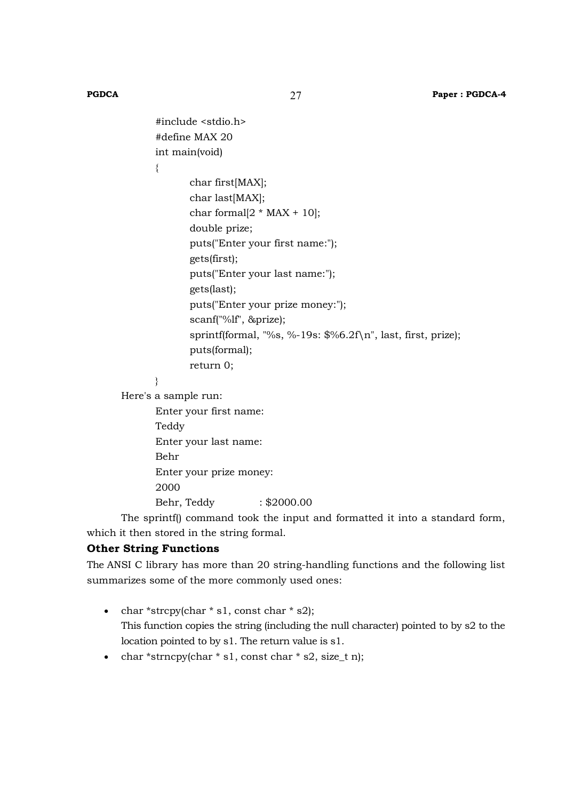```
#include <stdio.h> 
       #define MAX 20 
       int main(void) 
        { 
              char first[MAX]; 
              char last[MAX]; 
              char formal[2 * MAX + 10];
              double prize; 
              puts("Enter your first name:"); 
              gets(first); 
              puts("Enter your last name:"); 
              gets(last); 
              puts("Enter your prize money:"); 
              scanf("%lf", &prize); 
              sprintf(formal, "%s, %-19s: $%6.2f\n", last, first, prize); 
              puts(formal); 
              return 0; 
        } 
 Here's a sample run: 
       Enter your first name: 
       Teddy
       Enter your last name: 
       Behr 
       Enter your prize money: 
       2000 
       Behr, Teddy : $2000.00
```
 The sprintf() command took the input and formatted it into a standard form, which it then stored in the string formal.

# **Other String Functions**

The ANSI C library has more than 20 string-handling functions and the following list summarizes some of the more commonly used ones:

- char \*strcpy(char \* s1, const char \* s2); This function copies the string (including the null character) pointed to by s2 to the location pointed to by s1. The return value is s1.
- char \*strncpy(char \* s1, const char \* s2, size\_t n);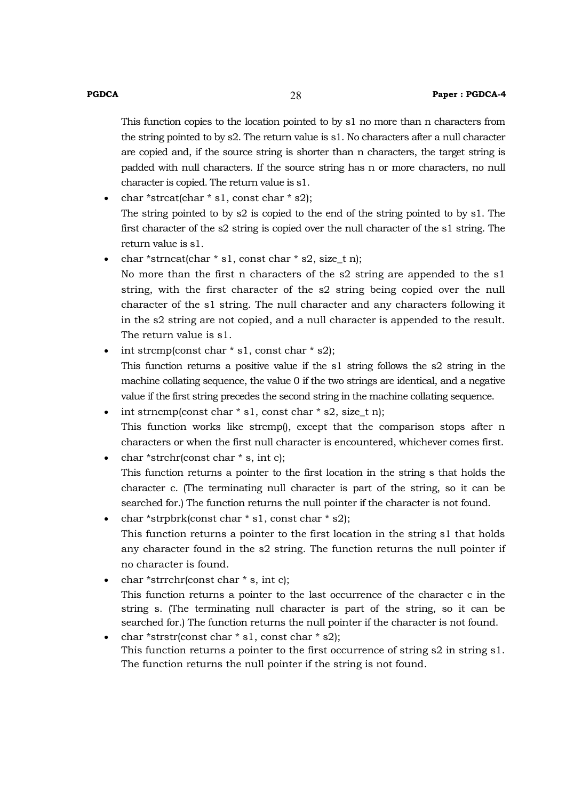This function copies to the location pointed to by s1 no more than n characters from the string pointed to by s2. The return value is s1. No characters after a null character are copied and, if the source string is shorter than n characters, the target string is padded with null characters. If the source string has n or more characters, no null character is copied. The return value is s1.

 char \*strcat(char \* s1, const char \* s2); The string pointed to by s2 is copied to the end of the string pointed to by s1. The first character of the s2 string is copied over the null character of the s1 string. The return value is s1.

 char \*strncat(char \* s1, const char \* s2, size\_t n); No more than the first n characters of the s2 string are appended to the s1 string, with the first character of the s2 string being copied over the null character of the s1 string. The null character and any characters following it in the s2 string are not copied, and a null character is appended to the result. The return value is s1.

- int strcmp(const char \* s1, const char \* s2); This function returns a positive value if the s1 string follows the s2 string in the machine collating sequence, the value 0 if the two strings are identical, and a negative value if the first string precedes the second string in the machine collating sequence.
- int strncmp(const char \* s1, const char \* s2, size\_t n); This function works like strcmp(), except that the comparison stops after n characters or when the first null character is encountered, whichever comes first.
- char \*strchr(const char \* s, int c);

 This function returns a pointer to the first location in the string s that holds the character c. (The terminating null character is part of the string, so it can be searched for.) The function returns the null pointer if the character is not found.

- char \*strpbrk(const char \* s1, const char \* s2); This function returns a pointer to the first location in the string s1 that holds any character found in the s2 string. The function returns the null pointer if no character is found.
- char \*strrchr(const char \* s, int c); This function returns a pointer to the last occurrence of the character c in the string s. (The terminating null character is part of the string, so it can be searched for.) The function returns the null pointer if the character is not found.
- char \*strstr(const char \* s1, const char \* s2); This function returns a pointer to the first occurrence of string s2 in string s1. The function returns the null pointer if the string is not found.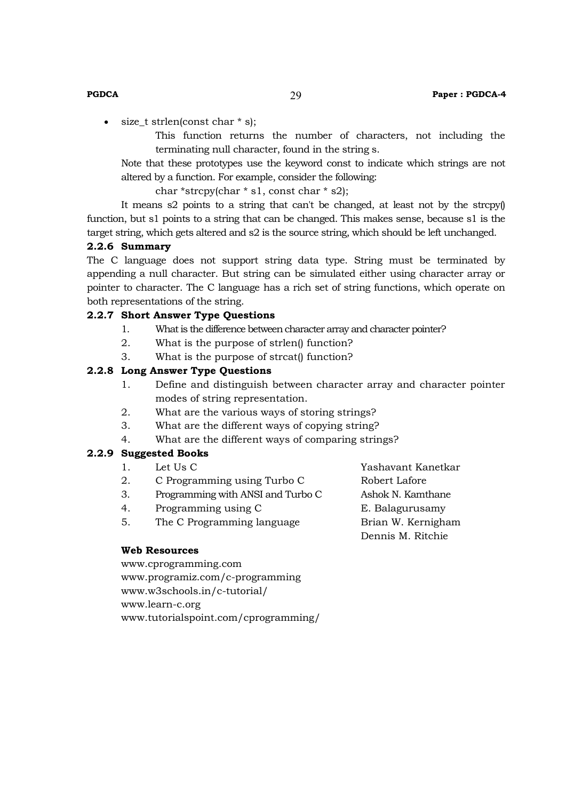size\_t strlen(const char \* s);

 This function returns the number of characters, not including the terminating null character, found in the string s.

 Note that these prototypes use the keyword const to indicate which strings are not altered by a function. For example, consider the following:

char \*strcpy(char \* s1, const char \* s2);

 It means s2 points to a string that can't be changed, at least not by the strcpy() function, but s1 points to a string that can be changed. This makes sense, because s1 is the target string, which gets altered and s2 is the source string, which should be left unchanged.

## **2.2.6 Summary**

The C language does not support string data type. String must be terminated by appending a null character. But string can be simulated either using character array or pointer to character. The C language has a rich set of string functions, which operate on both representations of the string.

## **2.2.7 Short Answer Type Questions**

- 1. What is the difference between character array and character pointer?
- 2. What is the purpose of strlen() function?
- 3. What is the purpose of strcat() function?

## **2.2.8 Long Answer Type Questions**

- 1. Define and distinguish between character array and character pointer modes of string representation.
- 2. What are the various ways of storing strings?
- 3. What are the different ways of copying string?
- 4. What are the different ways of comparing strings?

### **2.2.9 Suggested Books**

- 
- 2. C Programming using Turbo C Robert Lafore
- 3. Programming with ANSI and Turbo C Ashok N. Kamthane
- 4. Programming using C E. Balagurusamy
- 5. The C Programming language Brian W. Kernigham

1. Let Us C Yashavant Kanetkar Dennis M. Ritchie

### **Web Resources**

www.cprogramming.com www.programiz.com/c-programming www.w3schools.in/c-tutorial/ www.learn-c.org www.tutorialspoint.com/cprogramming/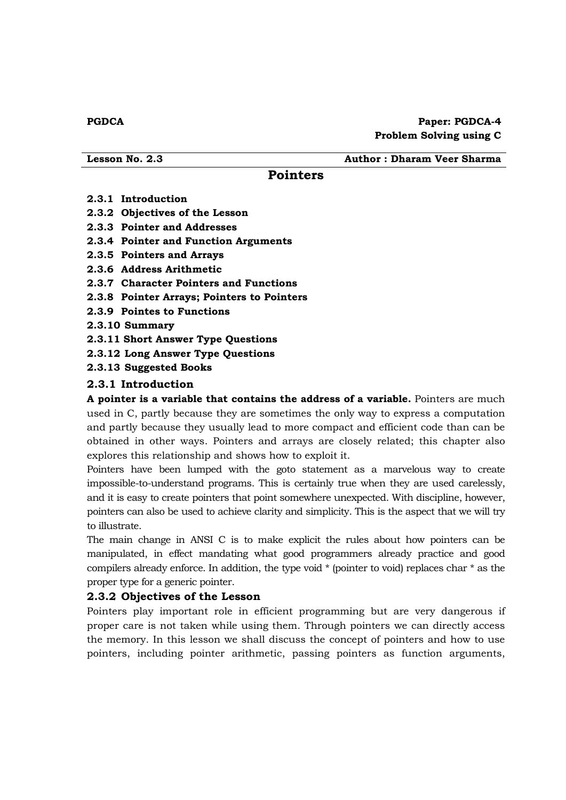### **Lesson No. 2.3 Author : Dharam Veer Sharma**

# **Pointers**

- **2.3.1 Introduction**
- **2.3.2 Objectives of the Lesson**
- **2.3.3 Pointer and Addresses**
- **2.3.4 Pointer and Function Arguments**
- **2.3.5 Pointers and Arrays**
- **2.3.6 Address Arithmetic**
- **2.3.7 Character Pointers and Functions**
- **2.3.8 Pointer Arrays; Pointers to Pointers**
- **2.3.9 Pointes to Functions**
- **2.3.10 Summary**
- **2.3.11 Short Answer Type Questions**
- **2.3.12 Long Answer Type Questions**
- **2.3.13 Suggested Books**

### **2.3.1 Introduction**

**A pointer is a variable that contains the address of a variable.** Pointers are much used in C, partly because they are sometimes the only way to express a computation and partly because they usually lead to more compact and efficient code than can be obtained in other ways. Pointers and arrays are closely related; this chapter also explores this relationship and shows how to exploit it.

Pointers have been lumped with the goto statement as a marvelous way to create impossible-to-understand programs. This is certainly true when they are used carelessly, and it is easy to create pointers that point somewhere unexpected. With discipline, however, pointers can also be used to achieve clarity and simplicity. This is the aspect that we will try to illustrate.

The main change in ANSI C is to make explicit the rules about how pointers can be manipulated, in effect mandating what good programmers already practice and good compilers already enforce. In addition, the type void \* (pointer to void) replaces char \* as the proper type for a generic pointer.

## **2.3.2 Objectives of the Lesson**

Pointers play important role in efficient programming but are very dangerous if proper care is not taken while using them. Through pointers we can directly access the memory. In this lesson we shall discuss the concept of pointers and how to use pointers, including pointer arithmetic, passing pointers as function arguments,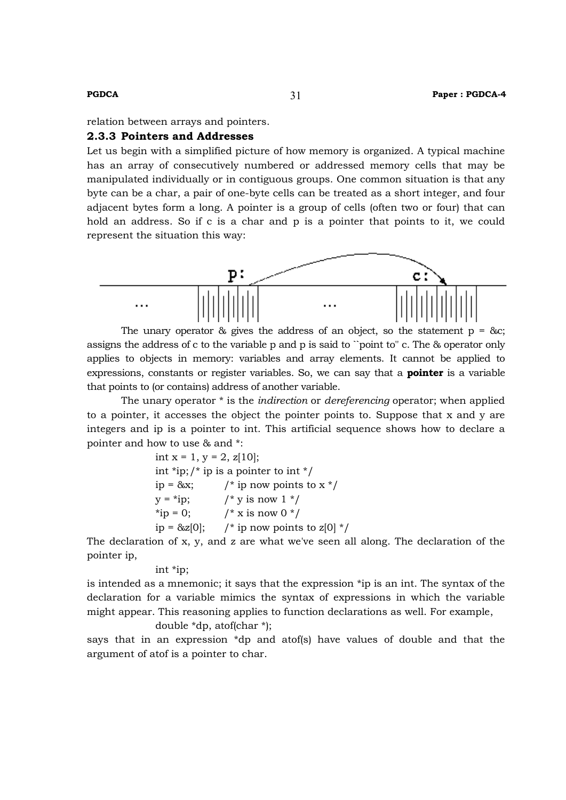relation between arrays and pointers.

### **2.3.3 Pointers and Addresses**

Let us begin with a simplified picture of how memory is organized. A typical machine has an array of consecutively numbered or addressed memory cells that may be manipulated individually or in contiguous groups. One common situation is that any byte can be a char, a pair of one-byte cells can be treated as a short integer, and four adjacent bytes form a long. A pointer is a group of cells (often two or four) that can hold an address. So if c is a char and p is a pointer that points to it, we could represent the situation this way:



The unary operator  $\&$  gives the address of an object, so the statement  $p = \&c$ ; assigns the address of c to the variable p and p is said to ``point to'' c. The & operator only applies to objects in memory: variables and array elements. It cannot be applied to expressions, constants or register variables. So, we can say that a **pointer** is a variable that points to (or contains) address of another variable.

 The unary operator \* is the *indirection* or *dereferencing* operator; when applied to a pointer, it accesses the object the pointer points to. Suppose that x and y are integers and ip is a pointer to int. This artificial sequence shows how to declare a pointer and how to use & and \*:

> int  $x = 1$ ,  $y = 2$ ,  $z[10]$ ; int \*ip;  $\frac{1}{2}$  ip is a pointer to int \*/ ip =  $&x$ ;  $\frac{\partial}{\partial x}$  /\* ip now points to x \*/  $y = \text{kip};$  /\* y is now  $1 \frac{\text{kip}}{\text{kip}}$  $*ip = 0;$  /\* x is now 0 \*/ ip =  $&z[0]$ ; /\* ip now points to z[0] \*/

The declaration of x, y, and z are what we've seen all along. The declaration of the pointer ip,

int \*ip;

is intended as a mnemonic; it says that the expression \*ip is an int. The syntax of the declaration for a variable mimics the syntax of expressions in which the variable might appear. This reasoning applies to function declarations as well. For example,

double \*dp, atof(char \*);

says that in an expression \*dp and atof(s) have values of double and that the argument of atof is a pointer to char.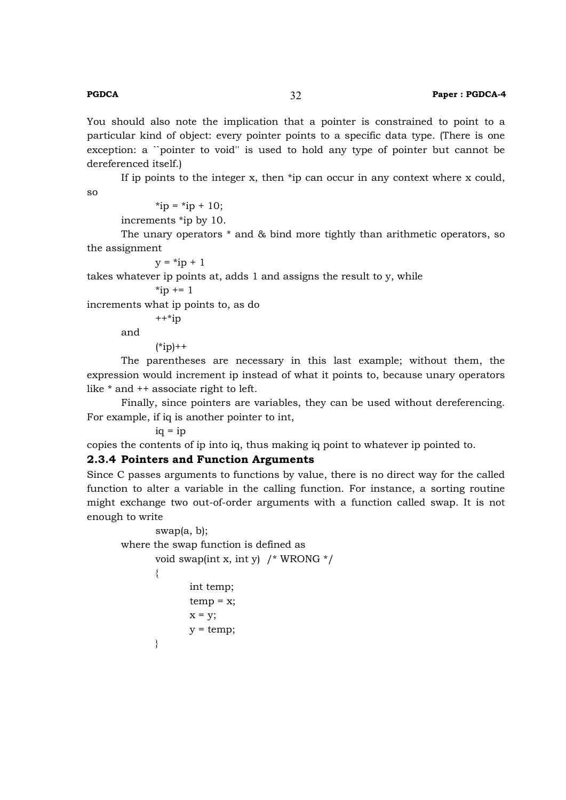You should also note the implication that a pointer is constrained to point to a particular kind of object: every pointer points to a specific data type. (There is one exception: a ``pointer to void'' is used to hold any type of pointer but cannot be dereferenced itself.)

 If ip points to the integer x, then \*ip can occur in any context where x could, so

 $*ip = *ip + 10;$ 

increments \*ip by 10.

 The unary operators \* and & bind more tightly than arithmetic operators, so the assignment

 $y = *ip + 1$ 

takes whatever ip points at, adds 1 and assigns the result to y, while

```
*ip += 1
```
increments what ip points to, as do

 $++*ip$ 

and

 $(*ip)++$ 

 The parentheses are necessary in this last example; without them, the expression would increment ip instead of what it points to, because unary operators like \* and ++ associate right to left.

 Finally, since pointers are variables, they can be used without dereferencing. For example, if iq is another pointer to int,

 $iq = ip$ 

copies the contents of ip into iq, thus making iq point to whatever ip pointed to.

### **2.3.4 Pointers and Function Arguments**

Since C passes arguments to functions by value, there is no direct way for the called function to alter a variable in the calling function. For instance, a sorting routine might exchange two out-of-order arguments with a function called swap. It is not enough to write

```
 swap(a, b); 
      where the swap function is defined as 
            void swap(int x, int y) \prime* WRONG */
\{ int temp; 
                  temp = x;x = y;y = temp; }
```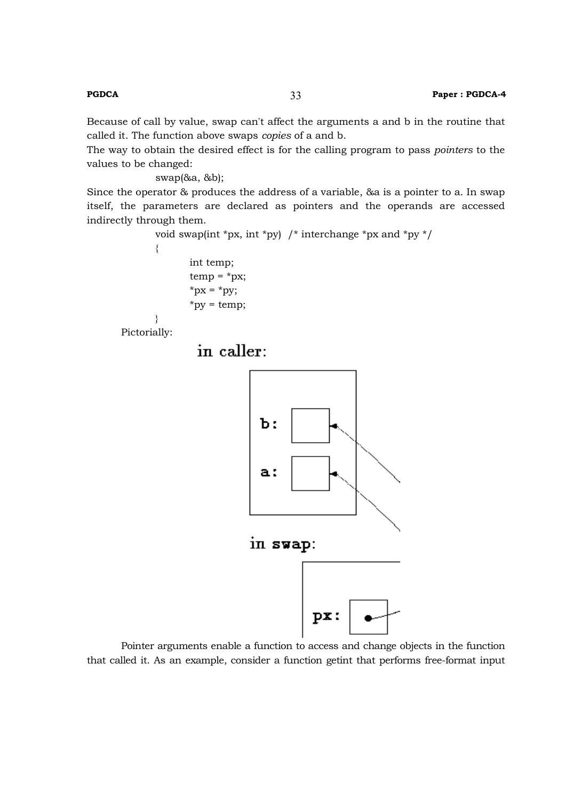**PGDCA** 33 **Paper : PGDCA-4** 

Because of call by value, swap can't affect the arguments a and b in the routine that called it. The function above swaps *copies* of a and b.

The way to obtain the desired effect is for the calling program to pass *pointers* to the values to be changed:

 $swap$ &a, &b);

Since the operator & produces the address of a variable, &a is a pointer to a. In swap itself, the parameters are declared as pointers and the operands are accessed indirectly through them.

```
void swap(int *px, int *py) /* interchange *px and *py */
```

```
 int temp; 
temp = *px;*px = *py;*py = temp;
```
 } Pictorially:

 $\{$ 





 Pointer arguments enable a function to access and change objects in the function that called it. As an example, consider a function getint that performs free-format input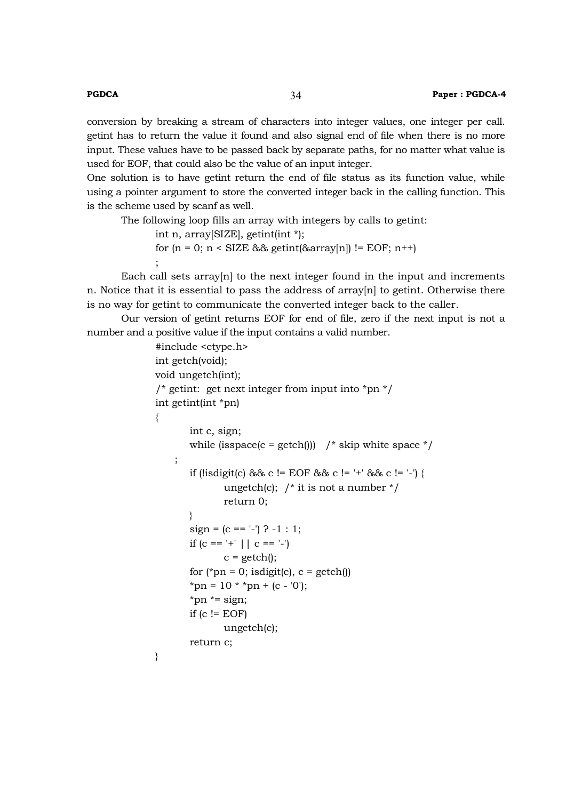conversion by breaking a stream of characters into integer values, one integer per call. getint has to return the value it found and also signal end of file when there is no more input. These values have to be passed back by separate paths, for no matter what value is used for EOF, that could also be the value of an input integer.

One solution is to have getint return the end of file status as its function value, while using a pointer argument to store the converted integer back in the calling function. This is the scheme used by scanf as well.

The following loop fills an array with integers by calls to getint:

 int n, array[SIZE], getint(int \*); for  $(n = 0; n <$  SIZE && getint $(\&\arctan[n])$ != EOF; n++)  $\ddot{i}$ 

Each call sets array  $[n]$  to the next integer found in the input and increments n. Notice that it is essential to pass the address of array[n] to getint. Otherwise there is no way for getint to communicate the converted integer back to the caller.

 Our version of getint returns EOF for end of file, zero if the next input is not a number and a positive value if the input contains a valid number.

```
 #include <ctype.h> 
        int getch(void); 
        void ungetch(int); 
        /* getint: get next integer from input into *pn */ 
        int getint(int *pn) 
 { 
                int c, sign; 
               while (isspace(c = getch())) \prime^* skip white space \prime ; 
               if (!isdigit(c) && c != EOF && c != '+' && c != '-') {
                       ungetch(c); \prime^* it is not a number \prime return 0; 
 } 
               sign = (c == '-') ? -1 : 1;if (c == '+' || c == '-'')c = getch();
               for (*pn = 0; isdigit(c), c = getch())*pn = 10 * *pn + (c - '0');
               *<sub>pn</sub> * = sign;if (c != EOF) ungetch(c); 
                return c; 
        }
```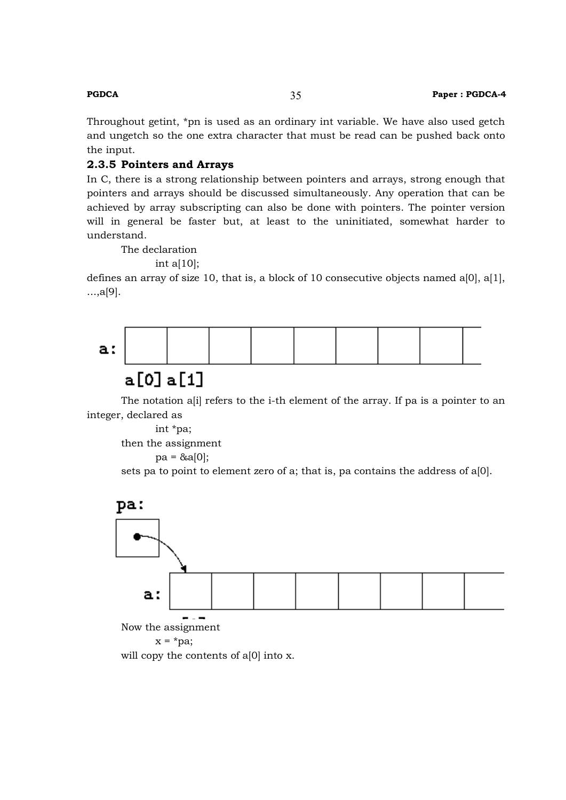Throughout getint, \*pn is used as an ordinary int variable. We have also used getch and ungetch so the one extra character that must be read can be pushed back onto the input.

## **2.3.5 Pointers and Arrays**

In C, there is a strong relationship between pointers and arrays, strong enough that pointers and arrays should be discussed simultaneously. Any operation that can be achieved by array subscripting can also be done with pointers. The pointer version will in general be faster but, at least to the uninitiated, somewhat harder to understand.

 The declaration int a[ $10$ ];

defines an array of size 10, that is, a block of 10 consecutive objects named  $a[0], a[1],$ ...,a[9].



The notation a[i] refers to the i-th element of the array. If pa is a pointer to an integer, declared as

int \*pa;

then the assignment

 $pa = \&a[0];$ 

sets pa to point to element zero of a; that is, pa contains the address of a[0].



Now the assignment

 $x = *pa;$ 

will copy the contents of a[0] into x.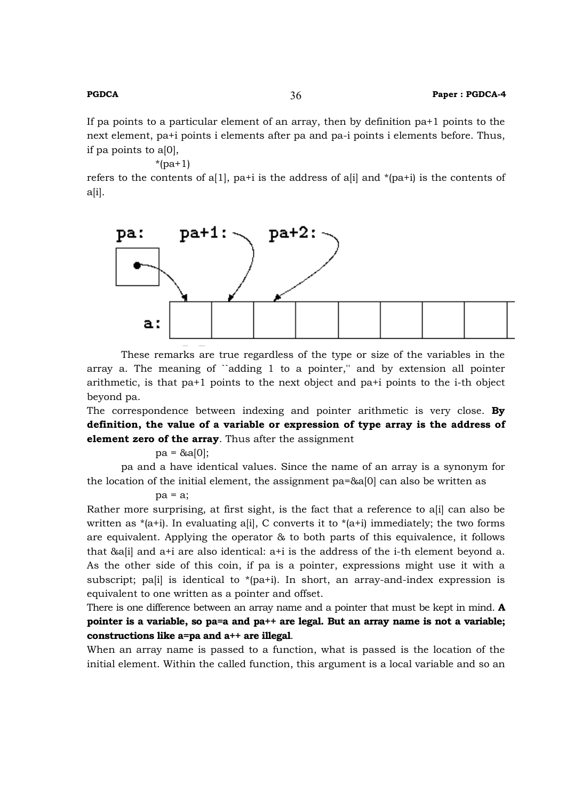If pa points to a particular element of an array, then by definition pa+1 points to the next element, pa+i points i elements after pa and pa-i points i elements before. Thus, if pa points to a[0],

 $*(pa+1)$ 

refers to the contents of a[1], pa+i is the address of a[i] and  $*(p a + i)$  is the contents of a[i].



 These remarks are true regardless of the type or size of the variables in the array a. The meaning of ``adding 1 to a pointer,'' and by extension all pointer arithmetic, is that pa+1 points to the next object and pa+i points to the i-th object beyond pa.

The correspondence between indexing and pointer arithmetic is very close. **By definition, the value of a variable or expression of type array is the address of element zero of the array**. Thus after the assignment

 $pa = \&a[0];$ 

 pa and a have identical values. Since the name of an array is a synonym for the location of the initial element, the assignment pa=&a[0] can also be written as

 $pa = a$ ;

Rather more surprising, at first sight, is the fact that a reference to a[i] can also be written as  $*(a+i)$ . In evaluating a[i], C converts it to  $*(a+i)$  immediately; the two forms are equivalent. Applying the operator & to both parts of this equivalence, it follows that  $\&$ a[i] and a+i are also identical: a+i is the address of the i-th element beyond a. As the other side of this coin, if pa is a pointer, expressions might use it with a subscript; pa[i] is identical to  $*(pat)$ . In short, an array-and-index expression is equivalent to one written as a pointer and offset.

There is one difference between an array name and a pointer that must be kept in mind. **A pointer is a variable, so pa=a and pa++ are legal. But an array name is not a variable; constructions like a=pa and a++ are illegal**.

When an array name is passed to a function, what is passed is the location of the initial element. Within the called function, this argument is a local variable and so an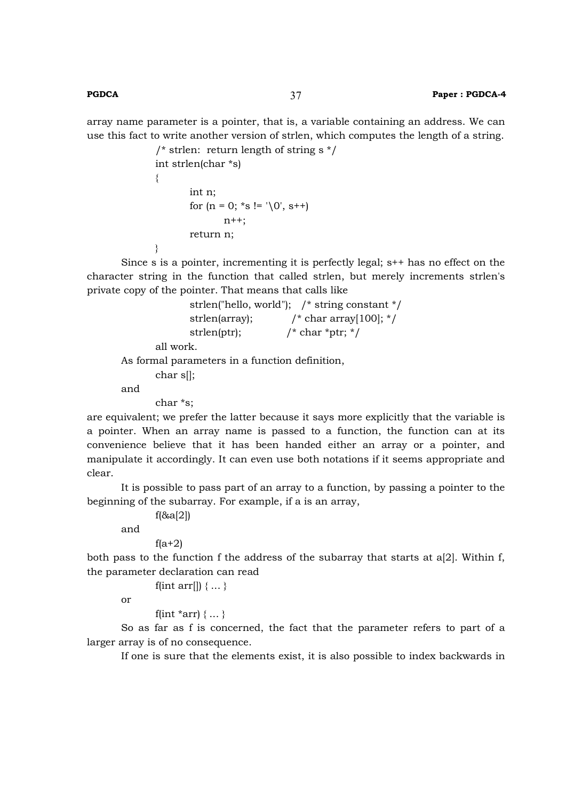array name parameter is a pointer, that is, a variable containing an address. We can use this fact to write another version of strlen, which computes the length of a string.

```
 /* strlen: return length of string s */ 
 int strlen(char *s) 
 { 
         int n; 
        for (n = 0; *s != '0', s++) n++; 
         return n; 
 }
```
 Since s is a pointer, incrementing it is perfectly legal; s++ has no effect on the character string in the function that called strlen, but merely increments strlen's private copy of the pointer. That means that calls like

```
 strlen("hello, world"); /* string constant */ 
strlen(array); \frac{\partial f}{\partial x} /* char array[100]; */
 strlen(ptr); /* char *ptr; */
```
all work.

As formal parameters in a function definition,

char s[];

and

char \*s;

are equivalent; we prefer the latter because it says more explicitly that the variable is a pointer. When an array name is passed to a function, the function can at its convenience believe that it has been handed either an array or a pointer, and manipulate it accordingly. It can even use both notations if it seems appropriate and clear.

 It is possible to pass part of an array to a function, by passing a pointer to the beginning of the subarray. For example, if a is an array,

 $f(8a[2])$ and

 $f(a+2)$ 

both pass to the function f the address of the subarray that starts at  $a[2]$ . Within f, the parameter declaration can read

f(int arr[])  $\{ \dots \}$ 

or

f(int \*arr)  $\{ \dots \}$ 

 So as far as f is concerned, the fact that the parameter refers to part of a larger array is of no consequence.

If one is sure that the elements exist, it is also possible to index backwards in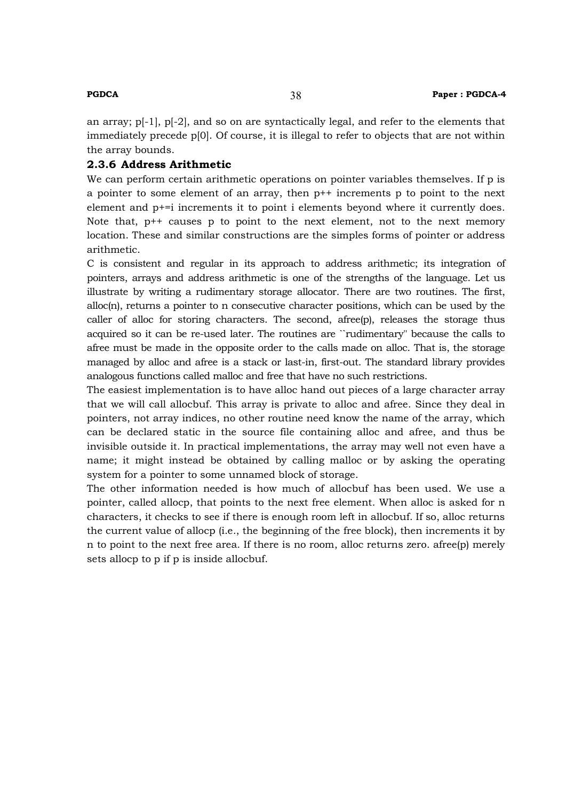an array;  $p[-1]$ ,  $p[-2]$ , and so on are syntactically legal, and refer to the elements that immediately precede p[0]. Of course, it is illegal to refer to objects that are not within the array bounds.

### **2.3.6 Address Arithmetic**

We can perform certain arithmetic operations on pointer variables themselves. If p is a pointer to some element of an array, then p++ increments p to point to the next element and  $p+=i$  increments it to point i elements beyond where it currently does. Note that,  $p++$  causes p to point to the next element, not to the next memory location. These and similar constructions are the simples forms of pointer or address arithmetic.

C is consistent and regular in its approach to address arithmetic; its integration of pointers, arrays and address arithmetic is one of the strengths of the language. Let us illustrate by writing a rudimentary storage allocator. There are two routines. The first, alloc(n), returns a pointer to n consecutive character positions, which can be used by the caller of alloc for storing characters. The second, afree(p), releases the storage thus acquired so it can be re-used later. The routines are ``rudimentary'' because the calls to afree must be made in the opposite order to the calls made on alloc. That is, the storage managed by alloc and afree is a stack or last-in, first-out. The standard library provides analogous functions called malloc and free that have no such restrictions.

The easiest implementation is to have alloc hand out pieces of a large character array that we will call allocbuf. This array is private to alloc and afree. Since they deal in pointers, not array indices, no other routine need know the name of the array, which can be declared static in the source file containing alloc and afree, and thus be invisible outside it. In practical implementations, the array may well not even have a name; it might instead be obtained by calling malloc or by asking the operating system for a pointer to some unnamed block of storage.

The other information needed is how much of allocbuf has been used. We use a pointer, called allocp, that points to the next free element. When alloc is asked for n characters, it checks to see if there is enough room left in allocbuf. If so, alloc returns the current value of allocp (i.e., the beginning of the free block), then increments it by n to point to the next free area. If there is no room, alloc returns zero. afree(p) merely sets allocp to p if p is inside allocbuf.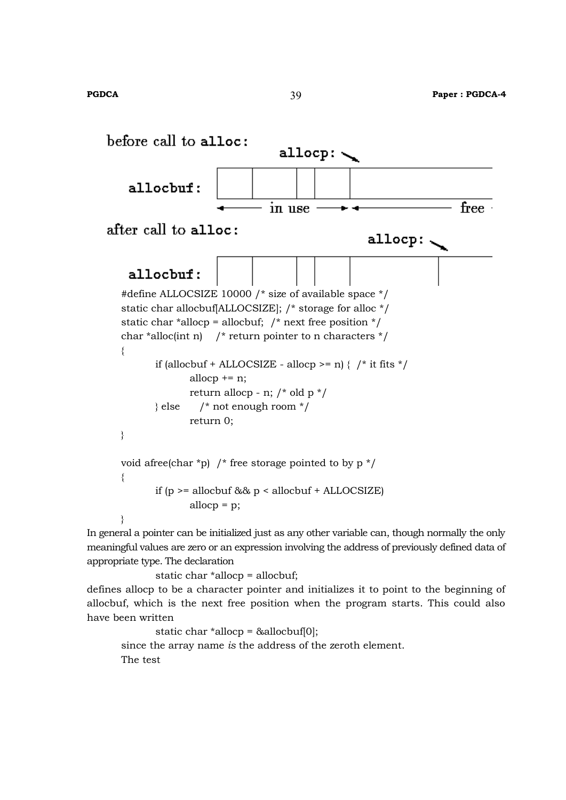

In general a pointer can be initialized just as any other variable can, though normally the only meaningful values are zero or an expression involving the address of previously defined data of appropriate type. The declaration

```
 static char *allocp = allocbuf; 
defines allocp to be a character pointer and initializes it to point to the beginning of 
allocbuf, which is the next free position when the program starts. This could also 
have been written
```

```
 static char *allocp = &allocbuf[0]; 
 since the array name is the address of the zeroth element. 
 The test
```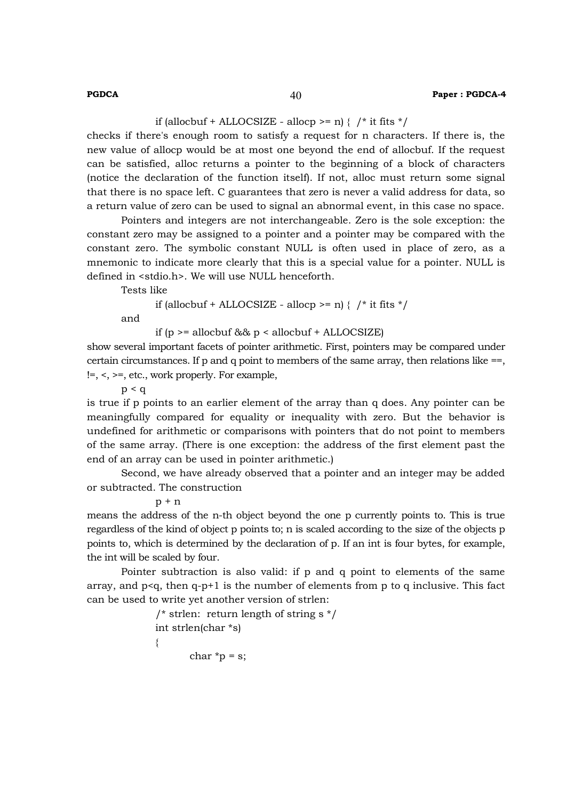### if (allocbuf + ALLOCSIZE - allocp >= n) {  $/*$  it fits  $*/$

checks if there's enough room to satisfy a request for n characters. If there is, the new value of allocp would be at most one beyond the end of allocbuf. If the request can be satisfied, alloc returns a pointer to the beginning of a block of characters (notice the declaration of the function itself). If not, alloc must return some signal that there is no space left. C guarantees that zero is never a valid address for data, so a return value of zero can be used to signal an abnormal event, in this case no space.

 Pointers and integers are not interchangeable. Zero is the sole exception: the constant zero may be assigned to a pointer and a pointer may be compared with the constant zero. The symbolic constant NULL is often used in place of zero, as a mnemonic to indicate more clearly that this is a special value for a pointer. NULL is defined in <stdio.h>. We will use NULL henceforth.

Tests like

if (allocbuf + ALLOCSIZE - allocp >= n) {  $/*$  it fits  $*/$ 

and

if  $(p \geq a \in A \cup B)$  allocbuf + ALLOCSIZE)

show several important facets of pointer arithmetic. First, pointers may be compared under certain circumstances. If p and q point to members of the same array, then relations like ==, !=, <, >=, etc., work properly. For example,

 $p < q$ 

is true if p points to an earlier element of the array than q does. Any pointer can be meaningfully compared for equality or inequality with zero. But the behavior is undefined for arithmetic or comparisons with pointers that do not point to members of the same array. (There is one exception: the address of the first element past the end of an array can be used in pointer arithmetic.)

 Second, we have already observed that a pointer and an integer may be added or subtracted. The construction

 $p + n$ 

means the address of the n-th object beyond the one p currently points to. This is true regardless of the kind of object p points to; n is scaled according to the size of the objects p points to, which is determined by the declaration of p. If an int is four bytes, for example, the int will be scaled by four.

 Pointer subtraction is also valid: if p and q point to elements of the same array, and  $p < q$ , then  $q-p+1$  is the number of elements from p to q inclusive. This fact can be used to write yet another version of strlen:

```
/* strlen: return length of string s */ 
int strlen(char *s) 
{ 
        char *_{p} = s;
```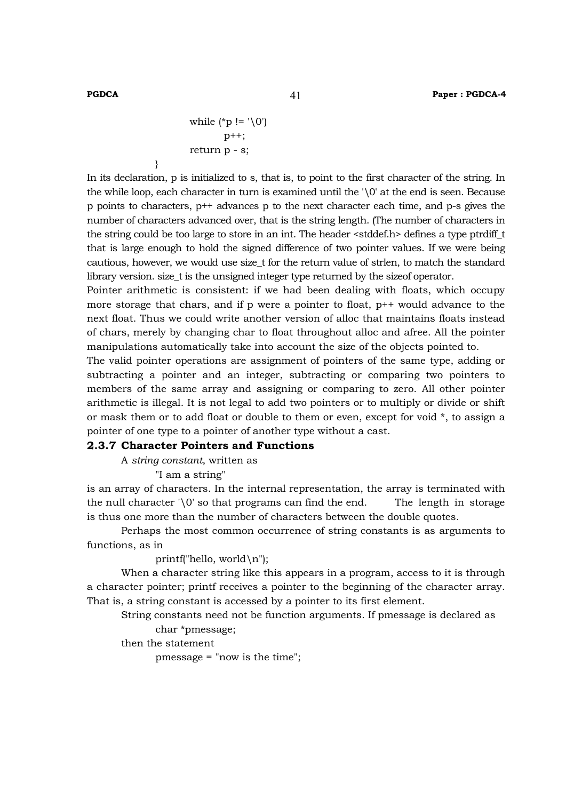}

while  $(*p != '\\0')$  $p++;$ return p - s;

In its declaration, p is initialized to s, that is, to point to the first character of the string. In the while loop, each character in turn is examined until the '\0' at the end is seen. Because p points to characters, p++ advances p to the next character each time, and p-s gives the number of characters advanced over, that is the string length. (The number of characters in the string could be too large to store in an int. The header <stddef.h> defines a type ptrdiff\_t that is large enough to hold the signed difference of two pointer values. If we were being cautious, however, we would use size\_t for the return value of strlen, to match the standard library version. size\_t is the unsigned integer type returned by the sizeof operator.

Pointer arithmetic is consistent: if we had been dealing with floats, which occupy more storage that chars, and if p were a pointer to float, p++ would advance to the next float. Thus we could write another version of alloc that maintains floats instead of chars, merely by changing char to float throughout alloc and afree. All the pointer manipulations automatically take into account the size of the objects pointed to.

The valid pointer operations are assignment of pointers of the same type, adding or subtracting a pointer and an integer, subtracting or comparing two pointers to members of the same array and assigning or comparing to zero. All other pointer arithmetic is illegal. It is not legal to add two pointers or to multiply or divide or shift or mask them or to add float or double to them or even, except for void \*, to assign a pointer of one type to a pointer of another type without a cast.

### **2.3.7 Character Pointers and Functions**

A *string constant*, written as

"I am a string"

is an array of characters. In the internal representation, the array is terminated with the null character ' $\sqrt{0}$ ' so that programs can find the end. The length in storage is thus one more than the number of characters between the double quotes.

 Perhaps the most common occurrence of string constants is as arguments to functions, as in

printf("hello, world\n");

 When a character string like this appears in a program, access to it is through a character pointer; printf receives a pointer to the beginning of the character array. That is, a string constant is accessed by a pointer to its first element.

 String constants need not be function arguments. If pmessage is declared as char \*pmessage;

then the statement

pmessage = "now is the time";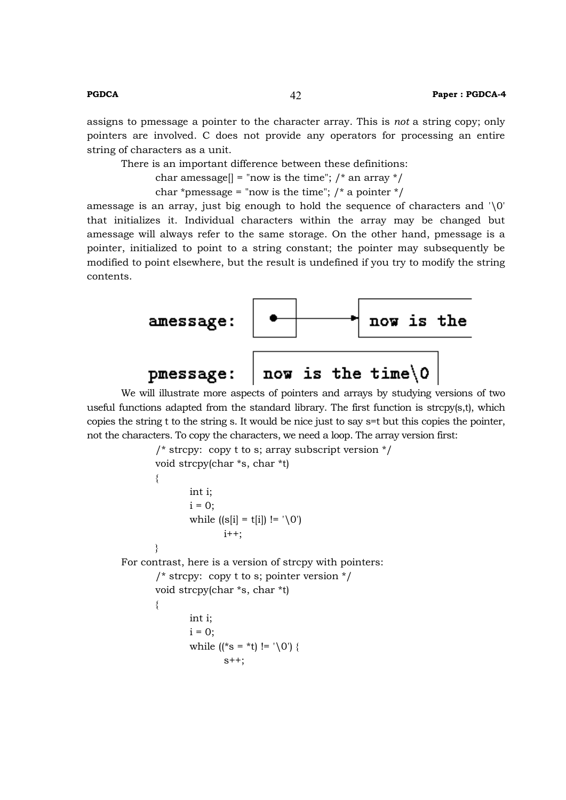assigns to pmessage a pointer to the character array. This is *not* a string copy; only pointers are involved. C does not provide any operators for processing an entire string of characters as a unit.

There is an important difference between these definitions:

char amessage[] = "now is the time";  $\frac{1}{2}$  an array  $\frac{x}{\ell}$ char \*pmessage = "now is the time";  $/* a pointer */$ 

amessage is an array, just big enough to hold the sequence of characters and '\0' that initializes it. Individual characters within the array may be changed but amessage will always refer to the same storage. On the other hand, pmessage is a pointer, initialized to point to a string constant; the pointer may subsequently be modified to point elsewhere, but the result is undefined if you try to modify the string contents.



 We will illustrate more aspects of pointers and arrays by studying versions of two useful functions adapted from the standard library. The first function is strcpy(s,t), which copies the string t to the string s. It would be nice just to say s=t but this copies the pointer, not the characters. To copy the characters, we need a loop. The array version first:

```
/* strcpy: copy t to s; array subscript version */void strcpy(char *s, char *t) 
        { 
                int i; 
               i = 0;
               while (|s[i] = t[i]) := \sqrt{0}i^{++};
        } 
 For contrast, here is a version of strcpy with pointers: 
        /* strcpy: copy t to s; pointer version */void strcpy(char *s, char *t) 
        {
```

```
 int i; 
i = 0;
while ((*_s = *_t) != ' \ 0') {
```
 $s++;$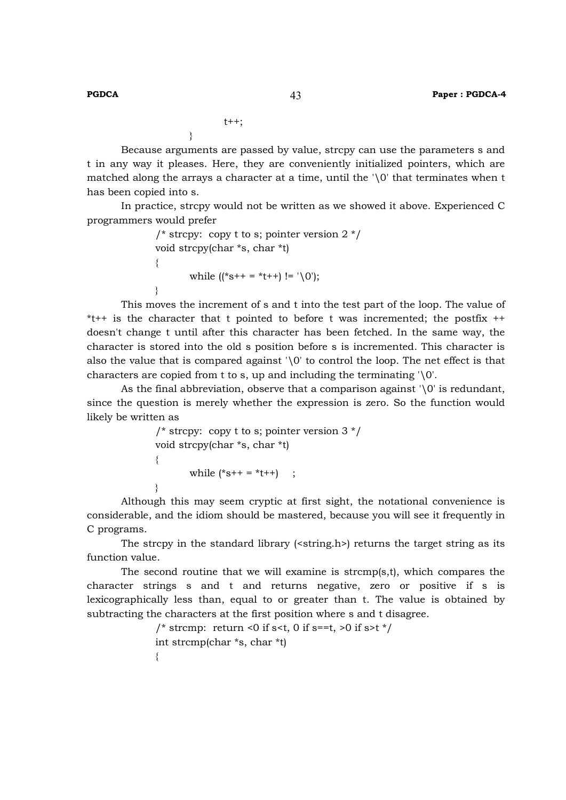t++;

}

 Because arguments are passed by value, strcpy can use the parameters s and t in any way it pleases. Here, they are conveniently initialized pointers, which are matched along the arrays a character at a time, until the  $\sqrt{0}$  that terminates when t has been copied into s.

 In practice, strcpy would not be written as we showed it above. Experienced C programmers would prefer

> /\* strcpy: copy t to s; pointer version  $2 \times$ / void strcpy(char \*s, char \*t)  $\{$ while  $((*s++ = *t++) := '\\ 0$ ; }

 This moves the increment of s and t into the test part of the loop. The value of \*t++ is the character that t pointed to before t was incremented; the postfix ++ doesn't change t until after this character has been fetched. In the same way, the character is stored into the old s position before s is incremented. This character is also the value that is compared against  $\sqrt{0}$  to control the loop. The net effect is that characters are copied from t to s, up and including the terminating '\0'.

As the final abbreviation, observe that a comparison against  $\sqrt{0}$  is redundant, since the question is merely whether the expression is zero. So the function would likely be written as

```
/* strcpy: copy t to s; pointer version 3*/ void strcpy(char *s, char *t) 
\{while (*s++ = *t++) ;
       }
```
 Although this may seem cryptic at first sight, the notational convenience is considerable, and the idiom should be mastered, because you will see it frequently in C programs.

 The strcpy in the standard library (<string.h>) returns the target string as its function value.

The second routine that we will examine is stromp(s,t), which compares the character strings s and t and returns negative, zero or positive if s is lexicographically less than, equal to or greater than t. The value is obtained by subtracting the characters at the first position where s and t disagree.

> /\* strcmp: return <0 if s<t, 0 if s==t, >0 if s>t  $*/$ int strcmp(char \*s, char \*t)  $\{$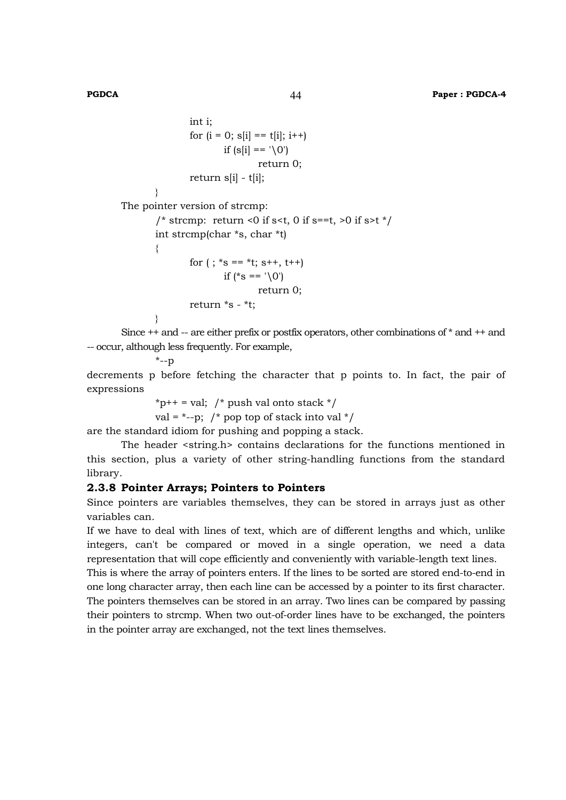```
 int i; 
                 for (i = 0; s[i] == t[i]; i++)if (s[i] == ' \ 0') return 0; 
                 return s[i] - t[i]; 
        } 
 The pointer version of strcmp: 
        /* strcmp: return <0 if s<t, 0 if s==t, >0 if s>t */int strcmp(char *s, char *t) 
        { 
                for (; *s == *t; s++, t++)
                         if (*s == \sqrt{0})
                                  return 0; 
                 return *s - *t; 
        }
```
 Since ++ and -- are either prefix or postfix operators, other combinations of \* and ++ and -- occur, although less frequently. For example,

\*--p

decrements p before fetching the character that p points to. In fact, the pair of expressions

 $*p++ = val;$  /\* push val onto stack  $*/$ 

val =  $*-p$ ; /\* pop top of stack into val \*/

are the standard idiom for pushing and popping a stack.

 The header <string.h> contains declarations for the functions mentioned in this section, plus a variety of other string-handling functions from the standard library.

## **2.3.8 Pointer Arrays; Pointers to Pointers**

Since pointers are variables themselves, they can be stored in arrays just as other variables can.

If we have to deal with lines of text, which are of different lengths and which, unlike integers, can't be compared or moved in a single operation, we need a data representation that will cope efficiently and conveniently with variable-length text lines.

This is where the array of pointers enters. If the lines to be sorted are stored end-to-end in one long character array, then each line can be accessed by a pointer to its first character. The pointers themselves can be stored in an array. Two lines can be compared by passing their pointers to strcmp. When two out-of-order lines have to be exchanged, the pointers in the pointer array are exchanged, not the text lines themselves.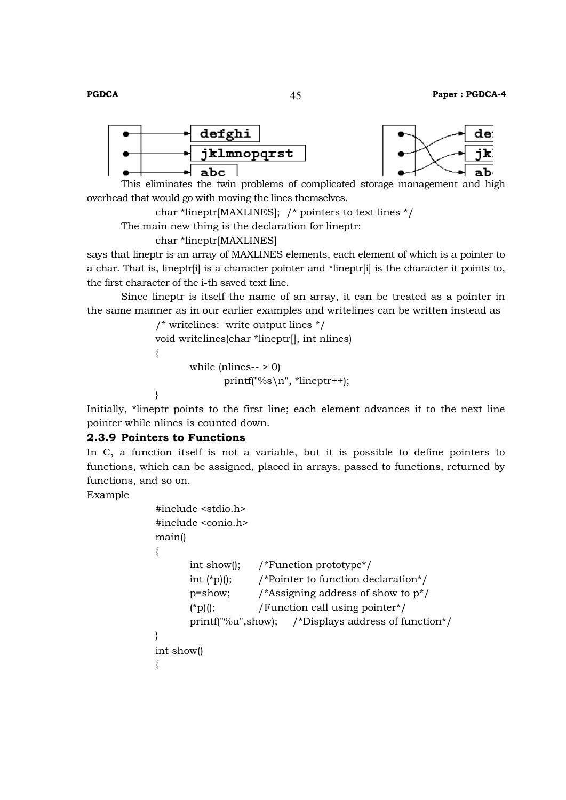de:

aЪı





 This eliminates the twin problems of complicated storage management and high overhead that would go with moving the lines themselves.

char \*lineptr[MAXLINES]; /\* pointers to text lines \*/

The main new thing is the declaration for lineptr:

### char \*lineptr[MAXLINES]

says that lineptr is an array of MAXLINES elements, each element of which is a pointer to a char. That is, lineptr[i] is a character pointer and \*lineptr[i] is the character it points to, the first character of the i-th saved text line.

 Since lineptr is itself the name of an array, it can be treated as a pointer in the same manner as in our earlier examples and writelines can be written instead as

> /\* writelines: write output lines \*/ void writelines(char \*lineptr[], int nlines)  $\{$  while (nlines-- > 0) printf("%s\n", \*lineptr++); }

Initially, \*lineptr points to the first line; each element advances it to the next line pointer while nlines is counted down.

## **2.3.9 Pointers to Functions**

In C, a function itself is not a variable, but it is possible to define pointers to functions, which can be assigned, placed in arrays, passed to functions, returned by functions, and so on.

Example

```
 #include <stdio.h> 
       #include <conio.h> 
       main() 
      \{ int show(); /*Function prototype*/ 
              int (*p)(); /*Pointer to function declaration*/ 
              p=show; /*Assigning address of show to p*/ 
              (*p)(); /Function call using pointer*/ 
              printf("%u",show); /*Displays address of function*/ 
       } 
       int show() 
 {
```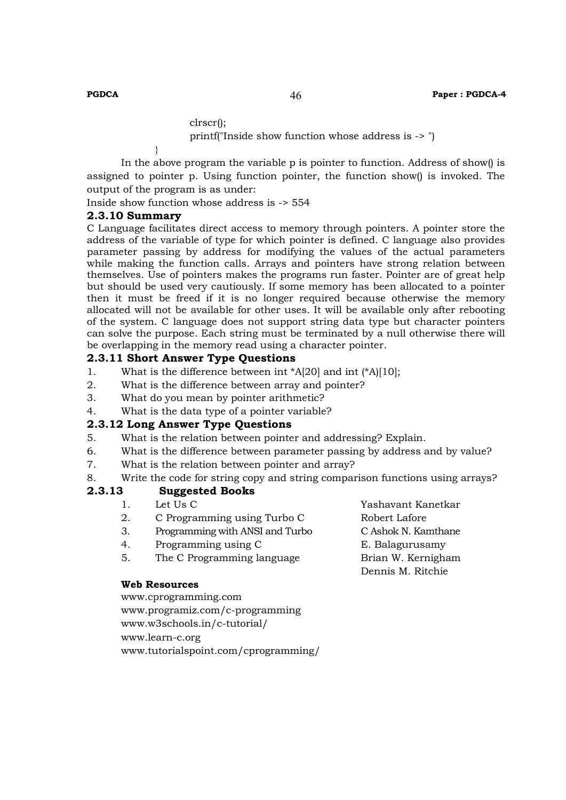clrscr(); printf("Inside show function whose address is -> ")

 In the above program the variable p is pointer to function. Address of show() is assigned to pointer p. Using function pointer, the function show() is invoked. The output of the program is as under:

Inside show function whose address is -> 554

## **2.3.10 Summary**

}

C Language facilitates direct access to memory through pointers. A pointer store the address of the variable of type for which pointer is defined. C language also provides parameter passing by address for modifying the values of the actual parameters while making the function calls. Arrays and pointers have strong relation between themselves. Use of pointers makes the programs run faster. Pointer are of great help but should be used very cautiously. If some memory has been allocated to a pointer then it must be freed if it is no longer required because otherwise the memory allocated will not be available for other uses. It will be available only after rebooting of the system. C language does not support string data type but character pointers can solve the purpose. Each string must be terminated by a null otherwise there will be overlapping in the memory read using a character pointer.

## **2.3.11 Short Answer Type Questions**

- 1. What is the difference between int \*A[20] and int (\*A)[10];
- 2. What is the difference between array and pointer?
- 3. What do you mean by pointer arithmetic?
- 4. What is the data type of a pointer variable?

### **2.3.12 Long Answer Type Questions**

- 5. What is the relation between pointer and addressing? Explain.
- 6. What is the difference between parameter passing by address and by value?
- 7. What is the relation between pointer and array?
- 8. Write the code for string copy and string comparison functions using arrays?

### **2.3.13 Suggested Books**

- 1. Let Us C Yashavant Kanetkar
- 2. C Programming using Turbo C Robert Lafore
- 3. Programming with ANSI and Turbo C Ashok N. Kamthane
- 4. Programming using C E. Balagurusamy
- 5. The C Programming language Brian W. Kernigham

Dennis M. Ritchie

### **Web Resources**

www.cprogramming.com www.programiz.com/c-programming www.w3schools.in/c-tutorial/ www.learn-c.org www.tutorialspoint.com/cprogramming/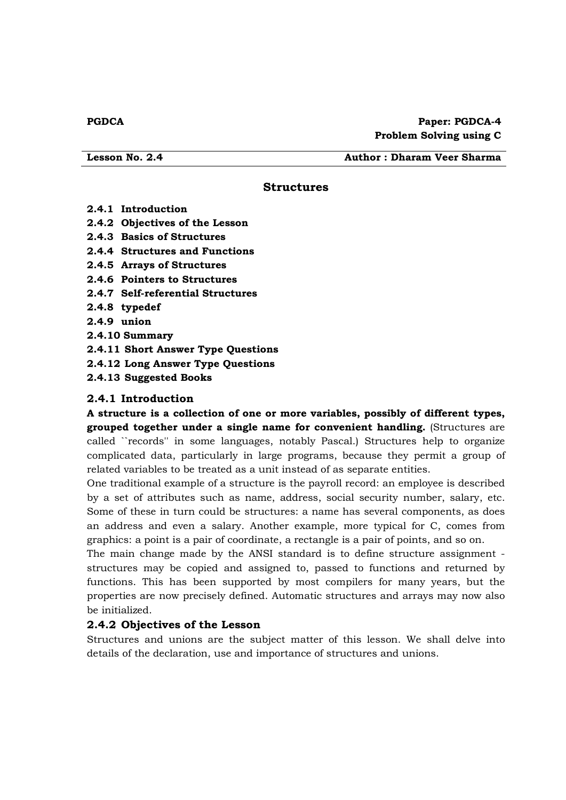### **Lesson No. 2.4 Author : Dharam Veer Sharma**

# **Structures**

- **2.4.1 Introduction**
- **2.4.2 Objectives of the Lesson**
- **2.4.3 Basics of Structures**
- **2.4.4 Structures and Functions**
- **2.4.5 Arrays of Structures**
- **2.4.6 Pointers to Structures**
- **2.4.7 Self-referential Structures**
- **2.4.8 typedef**
- **2.4.9 union**
- **2.4.10 Summary**
- **2.4.11 Short Answer Type Questions**
- **2.4.12 Long Answer Type Questions**
- **2.4.13 Suggested Books**

## **2.4.1 Introduction**

**A structure is a collection of one or more variables, possibly of different types, grouped together under a single name for convenient handling.** (Structures are called ``records'' in some languages, notably Pascal.) Structures help to organize complicated data, particularly in large programs, because they permit a group of related variables to be treated as a unit instead of as separate entities.

One traditional example of a structure is the payroll record: an employee is described by a set of attributes such as name, address, social security number, salary, etc. Some of these in turn could be structures: a name has several components, as does an address and even a salary. Another example, more typical for C, comes from graphics: a point is a pair of coordinate, a rectangle is a pair of points, and so on.

The main change made by the ANSI standard is to define structure assignment structures may be copied and assigned to, passed to functions and returned by functions. This has been supported by most compilers for many years, but the properties are now precisely defined. Automatic structures and arrays may now also be initialized.

# **2.4.2 Objectives of the Lesson**

Structures and unions are the subject matter of this lesson. We shall delve into details of the declaration, use and importance of structures and unions.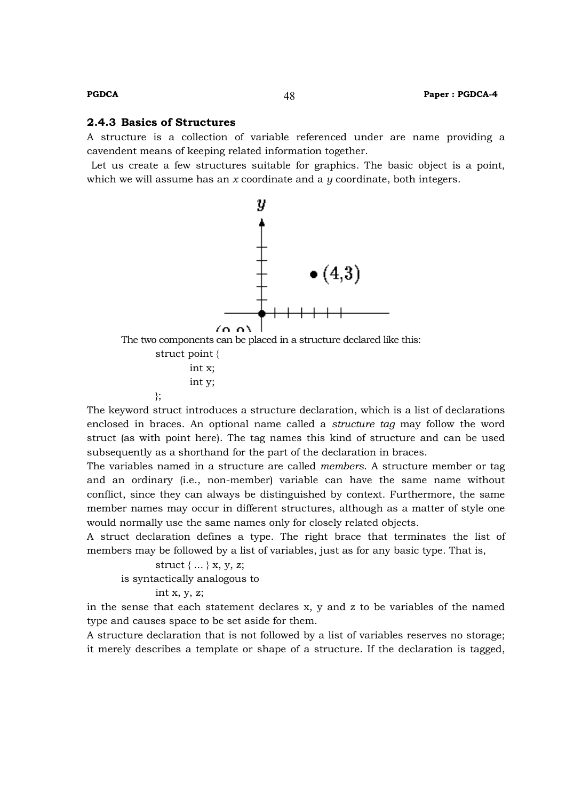## **2.4.3 Basics of Structures**

A structure is a collection of variable referenced under are name providing a cavendent means of keeping related information together.

Let us create a few structures suitable for graphics. The basic object is a point, which we will assume has an *x* coordinate and a *y* coordinate, both integers.



The keyword struct introduces a structure declaration, which is a list of declarations enclosed in braces. An optional name called a *structure tag* may follow the word struct (as with point here). The tag names this kind of structure and can be used subsequently as a shorthand for the part of the declaration in braces.

The variables named in a structure are called *members*. A structure member or tag and an ordinary (i.e., non-member) variable can have the same name without conflict, since they can always be distinguished by context. Furthermore, the same member names may occur in different structures, although as a matter of style one would normally use the same names only for closely related objects.

A struct declaration defines a type. The right brace that terminates the list of members may be followed by a list of variables, just as for any basic type. That is,

$$
struct \{ ... \} x, y, z;
$$
 is syntactically analogous to

int x, y, z;

in the sense that each statement declares x, y and z to be variables of the named type and causes space to be set aside for them.

A structure declaration that is not followed by a list of variables reserves no storage; it merely describes a template or shape of a structure. If the declaration is tagged,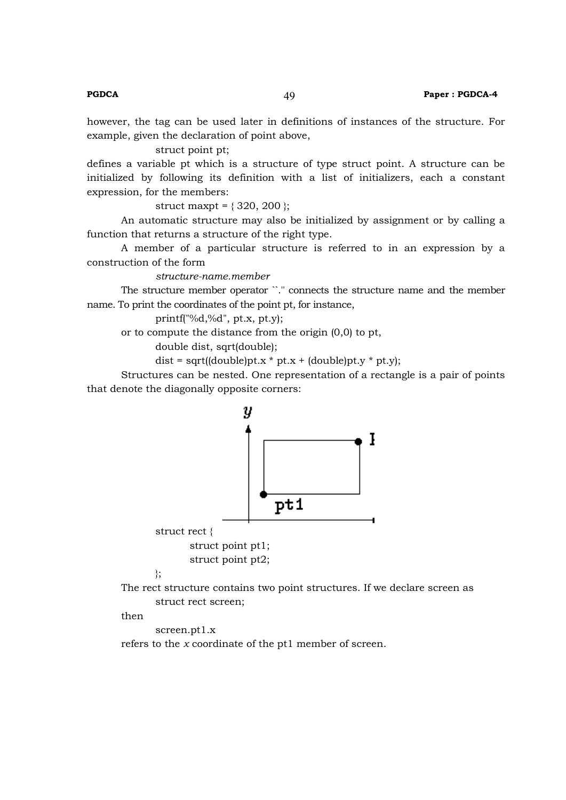**PGDCA PGDCA-4 PGDCA-4** 

however, the tag can be used later in definitions of instances of the structure. For example, given the declaration of point above,

struct point pt;

defines a variable pt which is a structure of type struct point. A structure can be initialized by following its definition with a list of initializers, each a constant expression, for the members:

struct maxpt =  $\{320, 200\}$ ;

 An automatic structure may also be initialized by assignment or by calling a function that returns a structure of the right type.

 A member of a particular structure is referred to in an expression by a construction of the form

*structure-name.member*

 The structure member operator ``.'' connects the structure name and the member name. To print the coordinates of the point pt, for instance,

printf("%d,%d", pt.x, pt.y);

or to compute the distance from the origin (0,0) to pt,

double dist, sqrt(double);

 $dist = sqrt((double)pt.x * pt.x + (double)pt.y * pt.y);$ 

 Structures can be nested. One representation of a rectangle is a pair of points that denote the diagonally opposite corners:



 The rect structure contains two point structures. If we declare screen as struct rect screen;

then

```
 screen.pt1.x
```
refers to the *x* coordinate of the pt1 member of screen.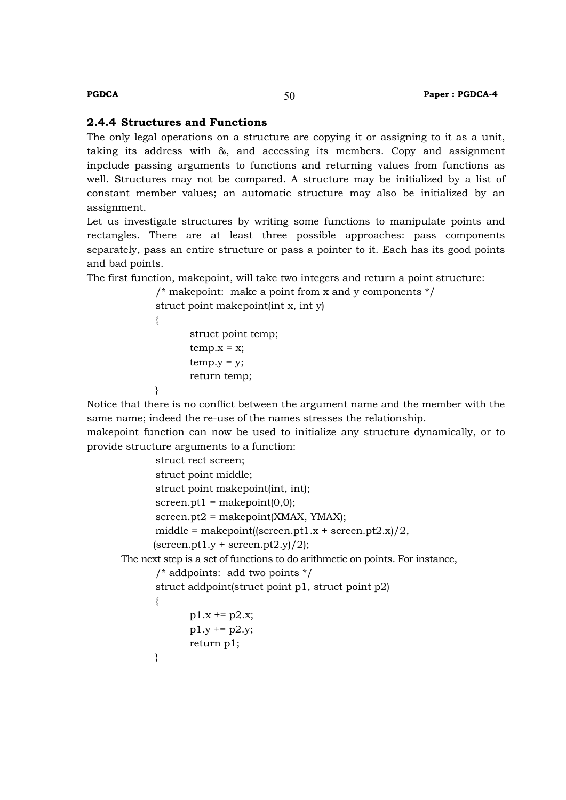## **2.4.4 Structures and Functions**

The only legal operations on a structure are copying it or assigning to it as a unit, taking its address with &, and accessing its members. Copy and assignment inpclude passing arguments to functions and returning values from functions as well. Structures may not be compared. A structure may be initialized by a list of constant member values; an automatic structure may also be initialized by an assignment.

Let us investigate structures by writing some functions to manipulate points and rectangles. There are at least three possible approaches: pass components separately, pass an entire structure or pass a pointer to it. Each has its good points and bad points.

The first function, makepoint, will take two integers and return a point structure:

 $\prime$ \* makepoint: make a point from x and y components \*/ struct point makepoint(int x, int y)  $\{$  struct point temp;  $temp.x = x;$  $temp.y = y$ ; return temp;

}

Notice that there is no conflict between the argument name and the member with the same name; indeed the re-use of the names stresses the relationship.

makepoint function can now be used to initialize any structure dynamically, or to provide structure arguments to a function:

```
 struct rect screen; 
               struct point middle; 
               struct point makepoint(int, int); 
              screen pt1 = makepoint(0,0);screen pt2 = makepoint(XMAX, YMAX);middle = makepoint((screen.pt1.x + screen.pt2.x)/2,
              (\text{screen}.\text{pt1.y} + \text{screen}.\text{pt2.y})/2); The next step is a set of functions to do arithmetic on points. For instance, 
               /* addpoints: add two points */ 
               struct addpoint(struct point p1, struct point p2) 
\{p1.x += p2.x;p1.y = p2.y; return p1; 
 }
```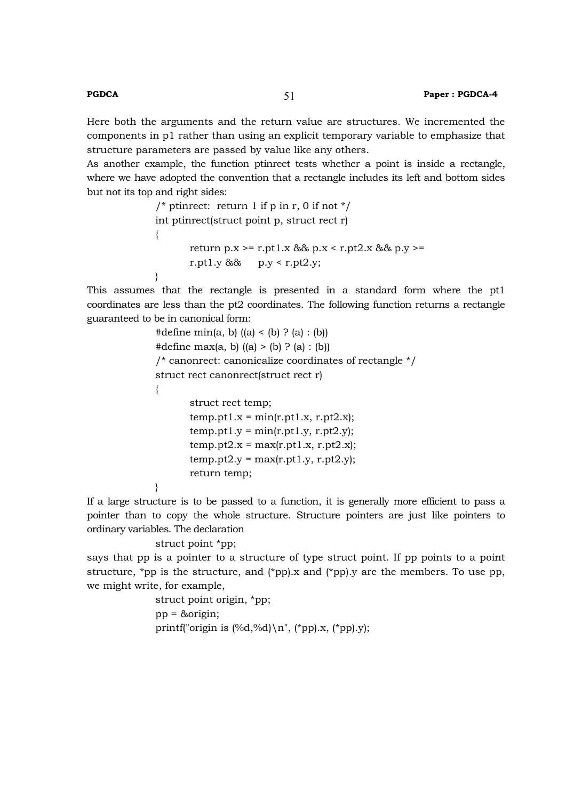**PGDCA Paper : PGDCA-4** 51

Here both the arguments and the return value are structures. We incremented the components in p1 rather than using an explicit temporary variable to emphasize that structure parameters are passed by value like any others.

As another example, the function ptinrect tests whether a point is inside a rectangle, where we have adopted the convention that a rectangle includes its left and bottom sides but not its top and right sides:

```
/* ptinrect: return 1 if p in r, 0 if not */ int ptinrect(struct point p, struct rect r) 
       { 
              return p.x >= r.pt1.x && p.x < r.pt2.x && p.y >=
              r.pt1.y && p.y < r.pt2.y;
 }
```
This assumes that the rectangle is presented in a standard form where the pt1 coordinates are less than the pt2 coordinates. The following function returns a rectangle guaranteed to be in canonical form:

```
# define min(a, b) ((a) < (b) ? (a) : (b))
#define max(a, b) ((a) > (b) ? (a) : (b))
 /* canonrect: canonicalize coordinates of rectangle */ 
 struct rect canonrect(struct rect r) 
 { 
        struct rect temp; 
       temp.pt1.x = min(r.pt1.x, r.pt2.x);temp.pt1.y = min(r.pt1.y, r.pt2.y);temp.pt2.x = max(r.pt1.x, r.pt2.x);temp.pt2.y = max(r.pt1.y, r.pt2.y); return temp; 
 }
```
If a large structure is to be passed to a function, it is generally more efficient to pass a pointer than to copy the whole structure. Structure pointers are just like pointers to ordinary variables. The declaration

struct point \*pp;

says that pp is a pointer to a structure of type struct point. If pp points to a point structure, \*pp is the structure, and (\*pp).x and (\*pp).y are the members. To use pp, we might write, for example,

> struct point origin, \*pp; pp = &origin; printf("origin is (%d,%d)\n", (\*pp).x, (\*pp).y);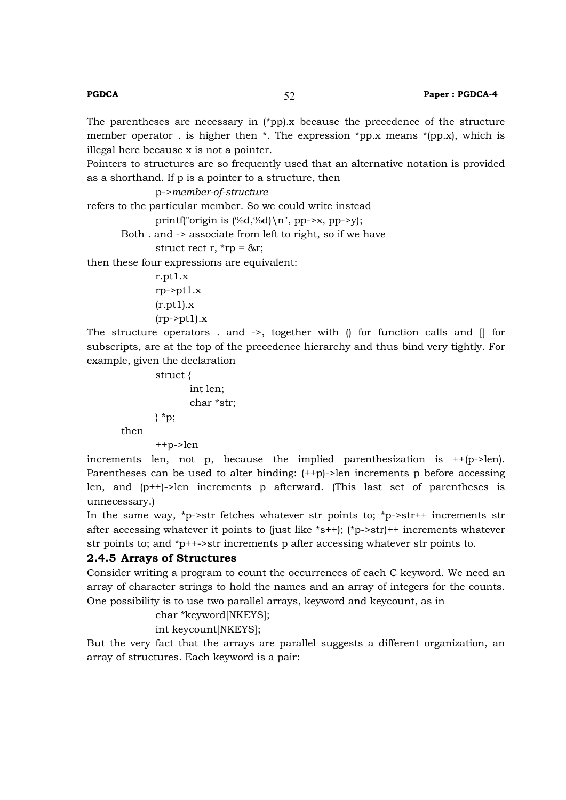**PGDCA** Paper : PGDCA-4

The parentheses are necessary in (\*pp).x because the precedence of the structure member operator . is higher then  $*$ . The expression  $*$ pp.x means  $*$ (pp.x), which is illegal here because x is not a pointer.

Pointers to structures are so frequently used that an alternative notation is provided as a shorthand. If p is a pointer to a structure, then

p->*member-of-structure*

refers to the particular member. So we could write instead

printf("origin is (%d,%d)\n", pp->x, pp->y);

```
 Both . and -> associate from left to right, so if we have
```

```
struct rect r, *rp = \&r;
```
then these four expressions are equivalent:

r.pt1.x

```
 rp->pt1.x 
(r.pt1).x
```
 $(p$ ->pt1).x

The structure operators . and  $\rightarrow$ , together with () for function calls and  $\parallel$  for subscripts, are at the top of the precedence hierarchy and thus bind very tightly. For example, given the declaration

> struct { int len; char \*str; } \*p;

 $+$ + $p$ ->len

then

increments len, not p, because the implied parenthesization is ++(p->len). Parentheses can be used to alter binding: (++p)->len increments p before accessing len, and (p++)->len increments p afterward. (This last set of parentheses is unnecessary.)

In the same way, \*p->str fetches whatever str points to; \*p->str++ increments str after accessing whatever it points to (just like \*s++); (\*p->str)++ increments whatever str points to; and \*p++->str increments p after accessing whatever str points to.

### **2.4.5 Arrays of Structures**

Consider writing a program to count the occurrences of each C keyword. We need an array of character strings to hold the names and an array of integers for the counts. One possibility is to use two parallel arrays, keyword and keycount, as in

char \*keyword[NKEYS];

int keycount[NKEYS];

But the very fact that the arrays are parallel suggests a different organization, an array of structures. Each keyword is a pair: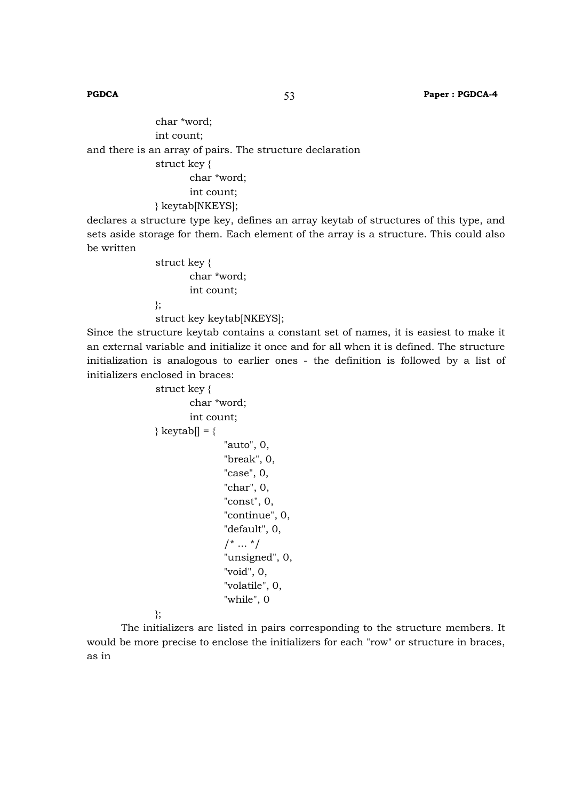**PGDCA PGDCA-4 PGDCA-4** 

 char \*word; int count; and there is an array of pairs. The structure declaration struct key { char \*word; int count;

} keytab[NKEYS];

declares a structure type key, defines an array keytab of structures of this type, and sets aside storage for them. Each element of the array is a structure. This could also be written

> struct key { char \*word; int count;

};

struct key keytab[NKEYS];

Since the structure keytab contains a constant set of names, it is easiest to make it an external variable and initialize it once and for all when it is defined. The structure initialization is analogous to earlier ones - the definition is followed by a list of initializers enclosed in braces:

```
 struct key { 
         char *word; 
         int count; 
\text{keytab} = {
                  "auto", 0, 
                  "break", 0, 
                  "case", 0, 
                  "char", 0, 
                  "const", 0, 
                  "continue", 0, 
                  "default", 0, 
                  /* ... */
                  "unsigned", 0, 
                  "void", 0, 
                  "volatile", 0, 
                  "while", 0
```
};

 The initializers are listed in pairs corresponding to the structure members. It would be more precise to enclose the initializers for each "row" or structure in braces, as in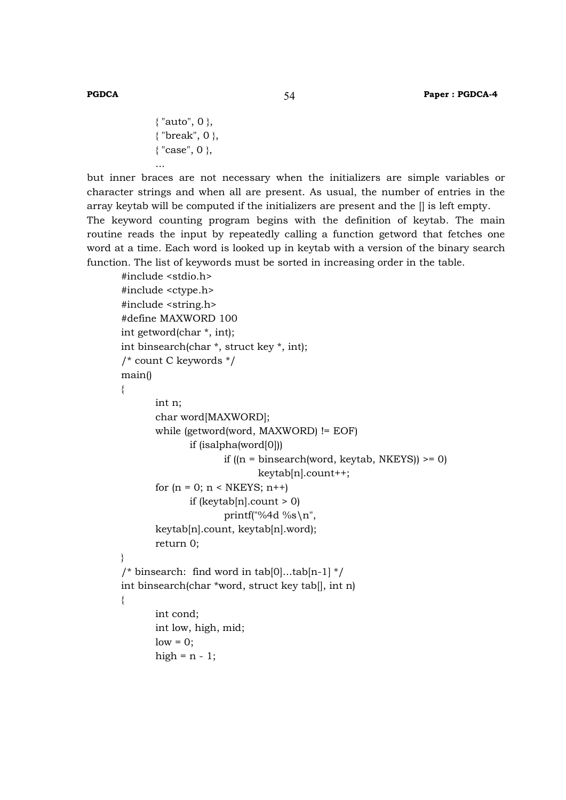...

```
 { "auto", 0 }, 
\{ "break", 0 \}, { "case", 0 },
```
but inner braces are not necessary when the initializers are simple variables or character strings and when all are present. As usual, the number of entries in the array keytab will be computed if the initializers are present and the [] is left empty. The keyword counting program begins with the definition of keytab. The main routine reads the input by repeatedly calling a function getword that fetches one word at a time. Each word is looked up in keytab with a version of the binary search function. The list of keywords must be sorted in increasing order in the table.

```
 #include <stdio.h> 
 #include <ctype.h> 
 #include <string.h> 
 #define MAXWORD 100 
 int getword(char *, int); 
 int binsearch(char *, struct key *, int); 
 /* count C keywords */ 
 main() 
 { 
        int n; 
        char word[MAXWORD]; 
        while (getword(word, MAXWORD) != EOF) 
                if (isalpha(word[0])) 
                       if ((n = 6) binsearch(word, keytab, NKEYS)) >= 0)
                                keytab[n].count++; 
       for (n = 0; n < \text{NKEYS}; n++)if \text{kevtab}[n].\text{count} > 0printf("%4d %s\n",
        keytab[n].count, keytab[n].word); 
        return 0; 
 } 
/* binsearch: find word in tab[0]...tab[n-1] */ int binsearch(char *word, struct key tab[], int n) 
 { 
        int cond; 
        int low, high, mid; 
       low = 0;high = n - 1;
```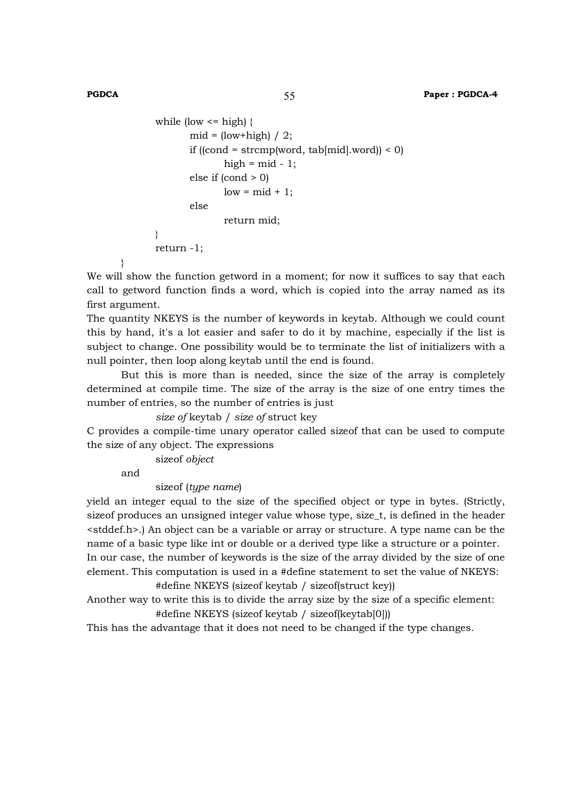```
while (low \le high) {
                       mid = \text{low+high} / 2;
                       if ((cond = \text{strom}(\text{word}, \text{tab}[mid].word)) < 0)high = mid - 1;
                         else if (cond > 0) 
                                low = mid + 1; else 
                                 return mid; 
 } 
                return -1;
```
We will show the function getword in a moment; for now it suffices to say that each call to getword function finds a word, which is copied into the array named as its first argument.

The quantity NKEYS is the number of keywords in keytab. Although we could count this by hand, it's a lot easier and safer to do it by machine, especially if the list is subject to change. One possibility would be to terminate the list of initializers with a null pointer, then loop along keytab until the end is found.

 But this is more than is needed, since the size of the array is completely determined at compile time. The size of the array is the size of one entry times the number of entries, so the number of entries is just

*size of* keytab / *size of* struct key

C provides a compile-time unary operator called sizeof that can be used to compute the size of any object. The expressions

sizeof *object*

and

}

### sizeof (*type name*)

yield an integer equal to the size of the specified object or type in bytes. (Strictly, sizeof produces an unsigned integer value whose type, size\_t, is defined in the header  $\mathsf{c}$ stddef.h>.) An object can be a variable or array or structure. A type name can be the name of a basic type like int or double or a derived type like a structure or a pointer. In our case, the number of keywords is the size of the array divided by the size of one element. This computation is used in a #define statement to set the value of NKEYS:

#define NKEYS (sizeof keytab / sizeof(struct key))

Another way to write this is to divide the array size by the size of a specific element: #define NKEYS (sizeof keytab / sizeof(keytab[0]))

This has the advantage that it does not need to be changed if the type changes.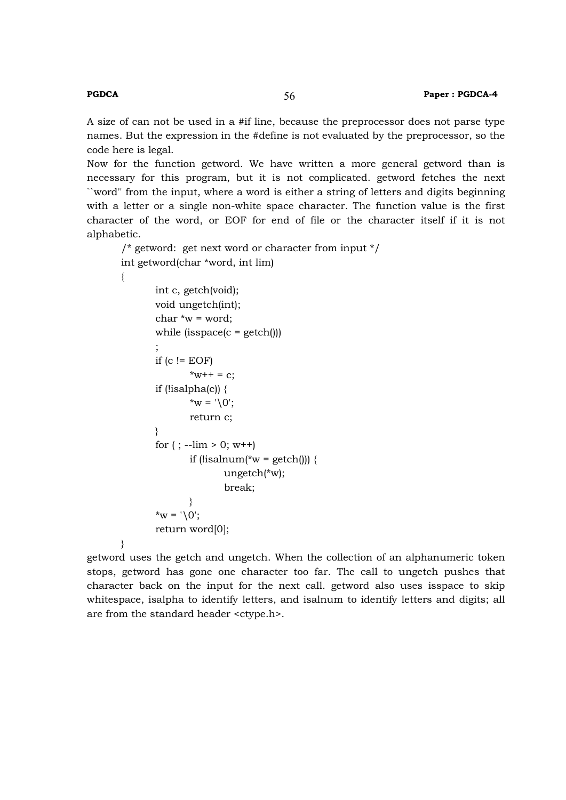PGDCA **PGDCA** Paper : PGDCA-4

A size of can not be used in a #if line, because the preprocessor does not parse type names. But the expression in the #define is not evaluated by the preprocessor, so the code here is legal.

Now for the function getword. We have written a more general getword than is necessary for this program, but it is not complicated. getword fetches the next ``word'' from the input, where a word is either a string of letters and digits beginning with a letter or a single non-white space character. The function value is the first character of the word, or EOF for end of file or the character itself if it is not alphabetic.

```
 /* getword: get next word or character from input */ 
       int getword(char *word, int lim) 
       { 
              int c, getch(void); 
              void ungetch(int); 
             char *w = word;while (isspace(c = getch())
\ddot{i} if (c != EOF) 
                    *_{W++} = c;
             if (!isalpha(c)) \{*w = '0'; return c; 
 } 
             for (; --\lim > 0; w++)if (!isalnum(*w = getch()) {
                            ungetch(*w); 
                            break; 
 } 
             *w = '0'; return word[0]; 
       }
```
getword uses the getch and ungetch. When the collection of an alphanumeric token stops, getword has gone one character too far. The call to ungetch pushes that character back on the input for the next call. getword also uses isspace to skip whitespace, isalpha to identify letters, and isalnum to identify letters and digits; all are from the standard header <ctype.h>.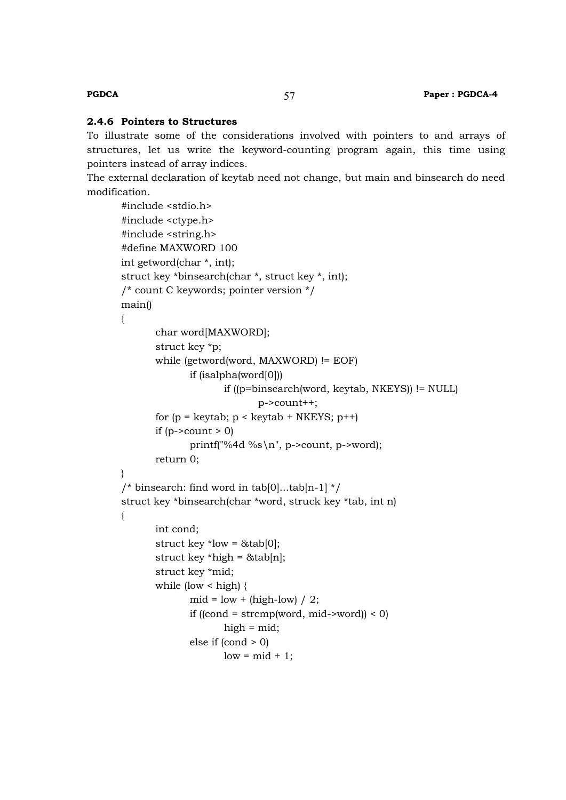### **2.4.6 Pointers to Structures**

To illustrate some of the considerations involved with pointers to and arrays of structures, let us write the keyword-counting program again, this time using pointers instead of array indices.

The external declaration of keytab need not change, but main and binsearch do need modification.

```
 #include <stdio.h> 
 #include <ctype.h> 
 #include <string.h> 
 #define MAXWORD 100 
 int getword(char *, int); 
 struct key *binsearch(char *, struct key *, int); 
 /* count C keywords; pointer version */ 
 main() 
 { 
         char word[MAXWORD]; 
         struct key *p; 
         while (getword(word, MAXWORD) != EOF) 
                 if (isalpha(word[0])) 
                         if ((p=binsearch(word, keytab, NKEYS)) != NULL) 
                                 p->count++; 
        for (p = \text{keytab}; p \leq \text{keytab} + \text{NKEYS}; p++)if (p->count > 0)
                 printf("%4d %s\n", p->count, p->word); 
         return 0; 
 } 
 /* binsearch: find word in tab[0]...tab[n-1] */ 
 struct key *binsearch(char *word, struck key *tab, int n)
 { 
         int cond; 
        struct key *low = <td[0];struct key *high = \&tab[n];
         struct key *mid; 
        while (low \langle high) {
                mid = low + (high-low) / 2;
                if ((\text{cond} = \text{stromp}(\text{word}, \text{mid} > \text{word})) < 0)high = mid;
                 else if (cond > 0) 
                        low = mid + 1;
```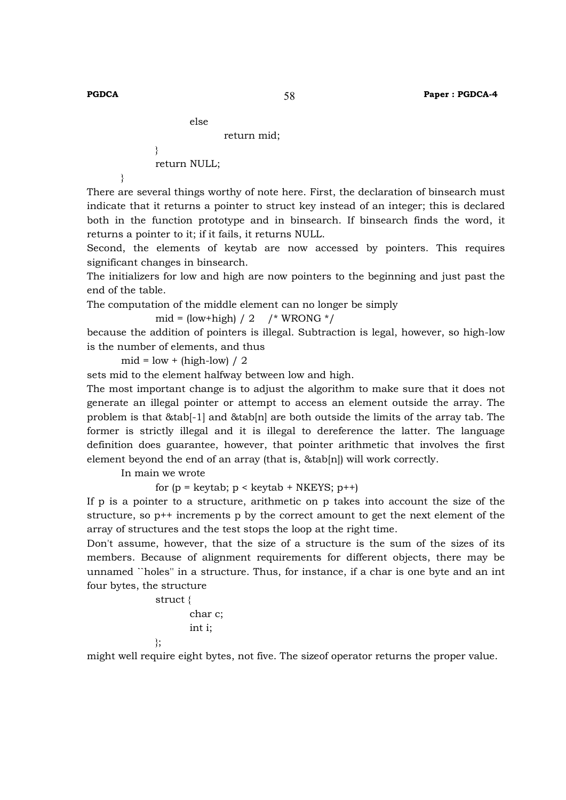```
 else 
                         return mid; 
 } 
             return NULL;
```
}

There are several things worthy of note here. First, the declaration of binsearch must indicate that it returns a pointer to struct key instead of an integer; this is declared both in the function prototype and in binsearch. If binsearch finds the word, it returns a pointer to it; if it fails, it returns NULL.

Second, the elements of keytab are now accessed by pointers. This requires significant changes in binsearch.

The initializers for low and high are now pointers to the beginning and just past the end of the table.

The computation of the middle element can no longer be simply

mid =  $\frac{1}{\text{b}}$  (low+high) / 2 /\* WRONG \*/

because the addition of pointers is illegal. Subtraction is legal, however, so high-low is the number of elements, and thus

 $mid =$  low + (high-low) / 2

sets mid to the element halfway between low and high.

The most important change is to adjust the algorithm to make sure that it does not generate an illegal pointer or attempt to access an element outside the array. The problem is that &tab[-1] and &tab[n] are both outside the limits of the array tab. The former is strictly illegal and it is illegal to dereference the latter. The language definition does guarantee, however, that pointer arithmetic that involves the first element beyond the end of an array (that is,  $&$  tab $[n]$ ) will work correctly.

In main we wrote

for  $(p = \text{keytab}; p < \text{keytab} + \text{NKEYS}; p++)$ 

If p is a pointer to a structure, arithmetic on p takes into account the size of the structure, so p++ increments p by the correct amount to get the next element of the array of structures and the test stops the loop at the right time.

Don't assume, however, that the size of a structure is the sum of the sizes of its members. Because of alignment requirements for different objects, there may be unnamed ``holes'' in a structure. Thus, for instance, if a char is one byte and an int four bytes, the structure

```
 struct { 
                    char c; 
                    int i; 
 };
```
might well require eight bytes, not five. The sizeof operator returns the proper value.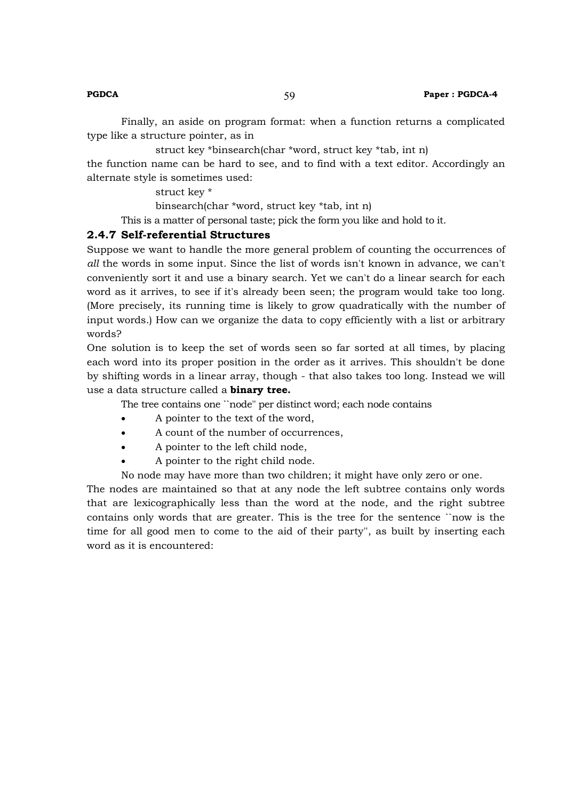Finally, an aside on program format: when a function returns a complicated type like a structure pointer, as in

struct key \*binsearch(char \*word, struct key \*tab, int n)

the function name can be hard to see, and to find with a text editor. Accordingly an alternate style is sometimes used:

struct key \*

binsearch(char \*word, struct key \*tab, int n)

This is a matter of personal taste; pick the form you like and hold to it.

## **2.4.7 Self-referential Structures**

Suppose we want to handle the more general problem of counting the occurrences of *all* the words in some input. Since the list of words isn't known in advance, we can't conveniently sort it and use a binary search. Yet we can't do a linear search for each word as it arrives, to see if it's already been seen; the program would take too long. (More precisely, its running time is likely to grow quadratically with the number of input words.) How can we organize the data to copy efficiently with a list or arbitrary words?

One solution is to keep the set of words seen so far sorted at all times, by placing each word into its proper position in the order as it arrives. This shouldn't be done by shifting words in a linear array, though - that also takes too long. Instead we will use a data structure called a **binary tree.**

The tree contains one ``node'' per distinct word; each node contains

- A pointer to the text of the word,
- A count of the number of occurrences,
- A pointer to the left child node,
- A pointer to the right child node.

No node may have more than two children; it might have only zero or one.

The nodes are maintained so that at any node the left subtree contains only words that are lexicographically less than the word at the node, and the right subtree contains only words that are greater. This is the tree for the sentence ``now is the time for all good men to come to the aid of their party'', as built by inserting each word as it is encountered: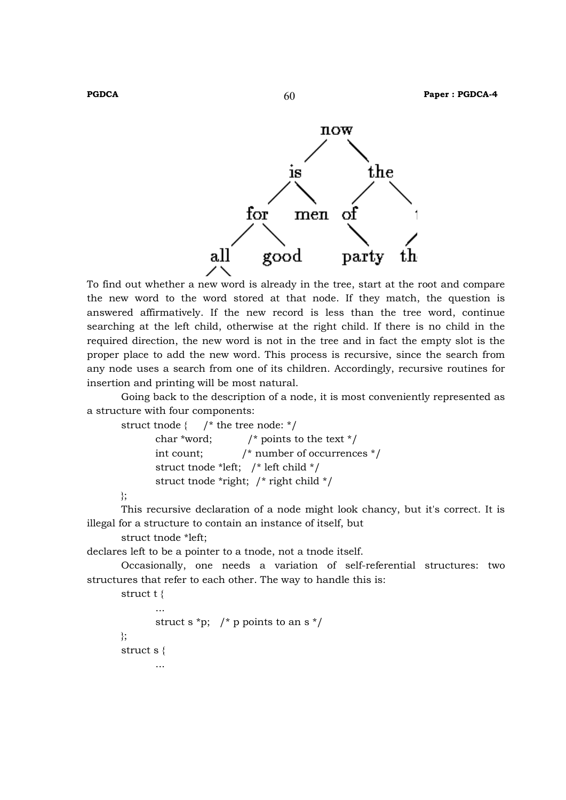

To find out whether a new word is already in the tree, start at the root and compare the new word to the word stored at that node. If they match, the question is answered affirmatively. If the new record is less than the tree word, continue searching at the left child, otherwise at the right child. If there is no child in the required direction, the new word is not in the tree and in fact the empty slot is the proper place to add the new word. This process is recursive, since the search from any node uses a search from one of its children. Accordingly, recursive routines for insertion and printing will be most natural.

 Going back to the description of a node, it is most conveniently represented as a structure with four components:

```
 struct tnode { /* the tree node: */ 
       char *word; \frac{1}{2} /* points to the text */
        int count; /* number of occurrences */ 
        struct tnode *left; /* left child */ 
        struct tnode *right; /* right child */
```

```
 };
```
 This recursive declaration of a node might look chancy, but it's correct. It is illegal for a structure to contain an instance of itself, but

struct tnode \*left;

declares left to be a pointer to a tnode, not a tnode itself.

 Occasionally, one needs a variation of self-referential structures: two structures that refer to each other. The way to handle this is:

```
 struct t { 
 ... 
             struct s *p; \prime * p points to an s */
       }; 
       struct s { 
 ...
```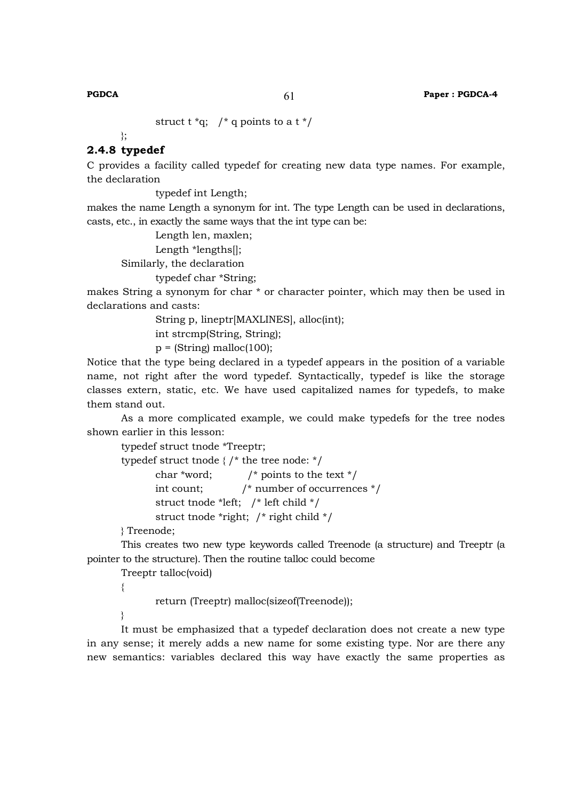struct t \*q; /\* q points to a t \*/

};

# **2.4.8 typedef**

C provides a facility called typedef for creating new data type names. For example, the declaration

typedef int Length;

makes the name Length a synonym for int. The type Length can be used in declarations, casts, etc., in exactly the same ways that the int type can be:

Length len, maxlen;

Length \*lengths[];

Similarly, the declaration

typedef char \*String;

makes String a synonym for char \* or character pointer, which may then be used in declarations and casts:

String p, lineptr[MAXLINES], alloc(int);

int strcmp(String, String);

 $p = (String) \text{ malloc}(100);$ 

Notice that the type being declared in a typedef appears in the position of a variable name, not right after the word typedef. Syntactically, typedef is like the storage classes extern, static, etc. We have used capitalized names for typedefs, to make them stand out.

 As a more complicated example, we could make typedefs for the tree nodes shown earlier in this lesson:

typedef struct tnode \*Treeptr;

 typedef struct tnode { /\* the tree node: \*/ char \*word;  $\frac{1}{2}$  /\* points to the text \*/ int count; /\* number of occurrences \*/ struct tnode \*left; /\* left child \*/ struct tnode \*right; /\* right child \*/

} Treenode;

 This creates two new type keywords called Treenode (a structure) and Treeptr (a pointer to the structure). Then the routine talloc could become

Treeptr talloc(void)

 $\{$ 

}

return (Treeptr) malloc(sizeof(Treenode));

 It must be emphasized that a typedef declaration does not create a new type in any sense; it merely adds a new name for some existing type. Nor are there any new semantics: variables declared this way have exactly the same properties as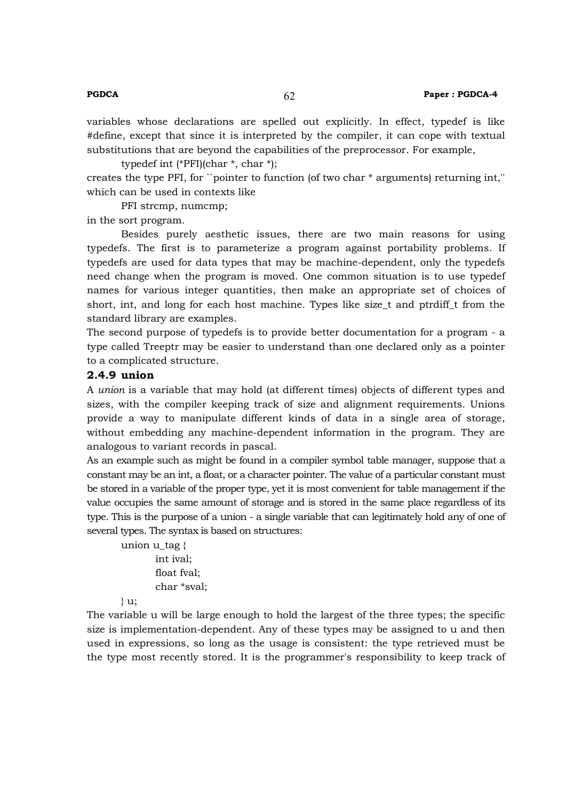variables whose declarations are spelled out explicitly. In effect, typedef is like #define, except that since it is interpreted by the compiler, it can cope with textual substitutions that are beyond the capabilities of the preprocessor. For example,

typedef int (\*PFI)(char \*, char \*);

creates the type PFI, for ``pointer to function (of two char \* arguments) returning int,'' which can be used in contexts like

 PFI strcmp, numcmp; in the sort program.

 Besides purely aesthetic issues, there are two main reasons for using typedefs. The first is to parameterize a program against portability problems. If typedefs are used for data types that may be machine-dependent, only the typedefs need change when the program is moved. One common situation is to use typedef names for various integer quantities, then make an appropriate set of choices of short, int, and long for each host machine. Types like size\_t and ptrdiff\_t from the standard library are examples.

The second purpose of typedefs is to provide better documentation for a program - a type called Treeptr may be easier to understand than one declared only as a pointer to a complicated structure.

### **2.4.9 union**

A *union* is a variable that may hold (at different times) objects of different types and sizes, with the compiler keeping track of size and alignment requirements. Unions provide a way to manipulate different kinds of data in a single area of storage, without embedding any machine-dependent information in the program. They are analogous to variant records in pascal.

As an example such as might be found in a compiler symbol table manager, suppose that a constant may be an int, a float, or a character pointer. The value of a particular constant must be stored in a variable of the proper type, yet it is most convenient for table management if the value occupies the same amount of storage and is stored in the same place regardless of its type. This is the purpose of a union - a single variable that can legitimately hold any of one of several types. The syntax is based on structures:

 union u\_tag { int ival; float fval; char \*sval;

} u;

The variable u will be large enough to hold the largest of the three types; the specific size is implementation-dependent. Any of these types may be assigned to u and then used in expressions, so long as the usage is consistent: the type retrieved must be the type most recently stored. It is the programmer's responsibility to keep track of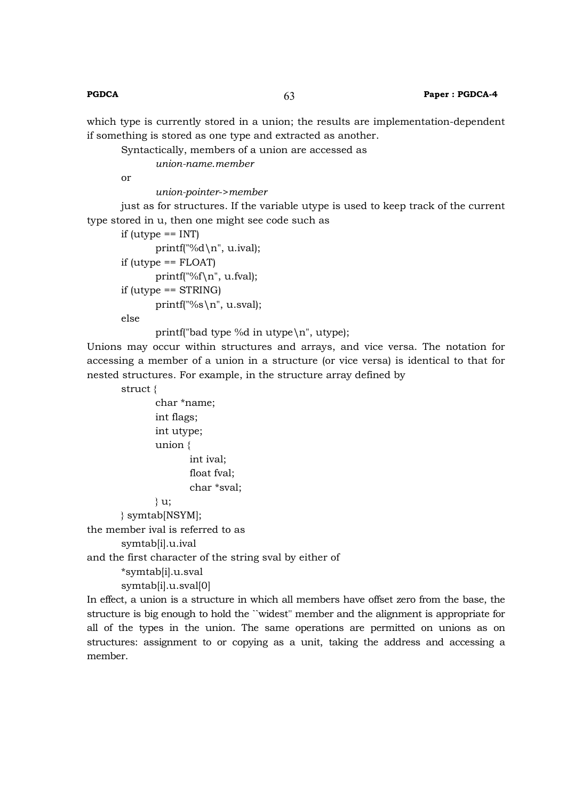which type is currently stored in a union; the results are implementation-dependent if something is stored as one type and extracted as another.

Syntactically, members of a union are accessed as

 *union-name*.*member*

or

### *union-pointer*->*member*

 just as for structures. If the variable utype is used to keep track of the current type stored in u, then one might see code such as

```
 if (utype == INT) 
         printf("%d\n", u.ival); 
 if (utype == FLOAT) 
         printf("%f\n", u.fval); 
 if (utype == STRING) 
         printf("%s\n", u.sval); 
 else
```
printf("bad type %d in utype\n", utype);

Unions may occur within structures and arrays, and vice versa. The notation for accessing a member of a union in a structure (or vice versa) is identical to that for nested structures. For example, in the structure array defined by

struct {

```
 char *name; 
 int flags; 
 int utype; 
 union { 
          int ival; 
          float fval; 
          char *sval; 
 } u;
```

```
 } symtab[NSYM];
```
the member ival is referred to as

```
 symtab[i].u.ival
```
and the first character of the string sval by either of

```
 *symtab[i].u.sval
```

```
 symtab[i].u.sval[0]
```
In effect, a union is a structure in which all members have offset zero from the base, the structure is big enough to hold the ``widest'' member and the alignment is appropriate for all of the types in the union. The same operations are permitted on unions as on structures: assignment to or copying as a unit, taking the address and accessing a member.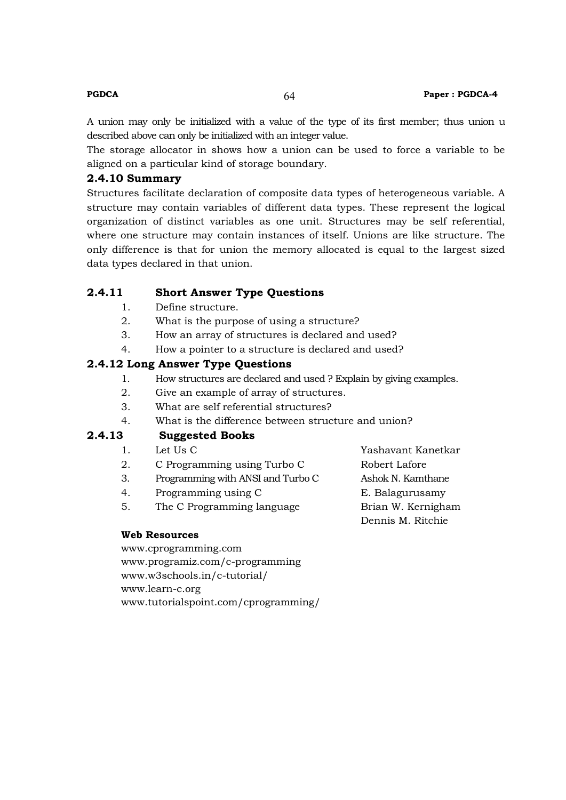**PGDCA Paper : PGDCA-4** 64

A union may only be initialized with a value of the type of its first member; thus union u described above can only be initialized with an integer value.

The storage allocator in shows how a union can be used to force a variable to be aligned on a particular kind of storage boundary.

### **2.4.10 Summary**

Structures facilitate declaration of composite data types of heterogeneous variable. A structure may contain variables of different data types. These represent the logical organization of distinct variables as one unit. Structures may be self referential, where one structure may contain instances of itself. Unions are like structure. The only difference is that for union the memory allocated is equal to the largest sized data types declared in that union.

# **2.4.11 Short Answer Type Questions**

- 1. Define structure.
- 2. What is the purpose of using a structure?
- 3. How an array of structures is declared and used?
- 4. How a pointer to a structure is declared and used?

## **2.4.12 Long Answer Type Questions**

- 1. How structures are declared and used ? Explain by giving examples.
- 2. Give an example of array of structures.
- 3. What are self referential structures?
- 4. What is the difference between structure and union?

# **2.4.13 Suggested Books**

- 1. Let Us C Yashavant Kanetkar
- 2. C Programming using Turbo C Robert Lafore
- 3. Programming with ANSI and Turbo C Ashok N. Kamthane
- 4. Programming using C E. Balagurusamy
- 5. The C Programming language Brian W. Kernigham

Dennis M. Ritchie

### **Web Resources**

www.cprogramming.com www.programiz.com/c-programming www.w3schools.in/c-tutorial/ www.learn-c.org www.tutorialspoint.com/cprogramming/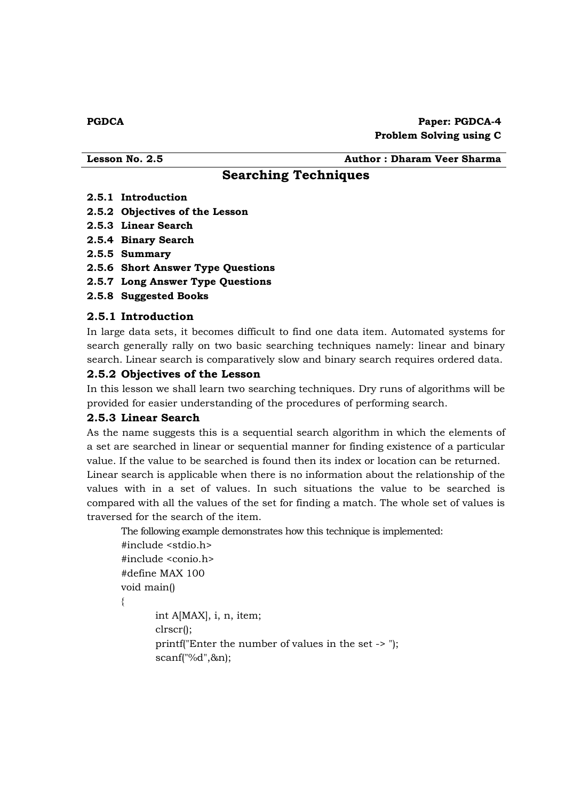## **Lesson No. 2.5 Author : Dharam Veer Sharma**

# **Searching Techniques**

- **2.5.1 Introduction**
- **2.5.2 Objectives of the Lesson**
- **2.5.3 Linear Search**
- **2.5.4 Binary Search**
- **2.5.5 Summary**
- **2.5.6 Short Answer Type Questions**
- **2.5.7 Long Answer Type Questions**
- **2.5.8 Suggested Books**

## **2.5.1 Introduction**

In large data sets, it becomes difficult to find one data item. Automated systems for search generally rally on two basic searching techniques namely: linear and binary search. Linear search is comparatively slow and binary search requires ordered data.

# **2.5.2 Objectives of the Lesson**

In this lesson we shall learn two searching techniques. Dry runs of algorithms will be provided for easier understanding of the procedures of performing search.

# **2.5.3 Linear Search**

As the name suggests this is a sequential search algorithm in which the elements of a set are searched in linear or sequential manner for finding existence of a particular value. If the value to be searched is found then its index or location can be returned. Linear search is applicable when there is no information about the relationship of the values with in a set of values. In such situations the value to be searched is compared with all the values of the set for finding a match. The whole set of values is traversed for the search of the item.

 The following example demonstrates how this technique is implemented: #include <stdio.h> #include <conio.h> #define MAX 100 void main() { int A[MAX], i, n, item; clrscr(); printf("Enter the number of values in the set -> "); scanf("%d",&n);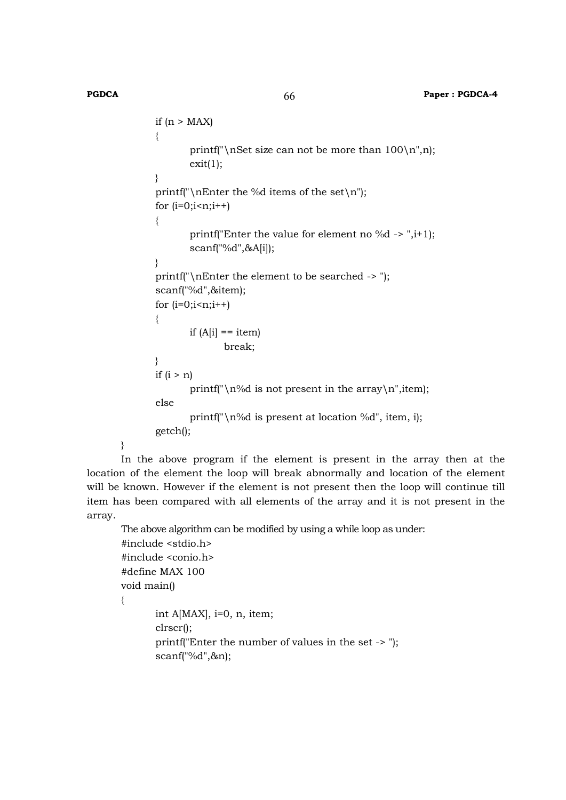```
if (n > MAX) { 
       printf("\nSet size can not be more than 100\n\cdot n;
       exit(1);} 
printf("\nEnter the %d items of the set\n"); 
for (i=0;i=n;i++){ 
       printf("Enter the value for element no %d -> ",i+1);
        scanf("%d",&A[i]); 
} 
printf("\nEnter the element to be searched -> "); 
scanf("%d",&item); 
for (i=0;i=n;i++){ 
       if (A[i] == item) break; 
} 
if (i > n)printf("\n%d is not present in the array\n", item);
else 
       printf("\nablan%d is present at location %d", item, i);
 getch();
```
}

 In the above program if the element is present in the array then at the location of the element the loop will break abnormally and location of the element will be known. However if the element is not present then the loop will continue till item has been compared with all elements of the array and it is not present in the array.

 The above algorithm can be modified by using a while loop as under: #include <stdio.h> #include <conio.h> #define MAX 100 void main() { int A[MAX], i=0, n, item; clrscr(); printf("Enter the number of values in the set -> "); scanf("%d",&n);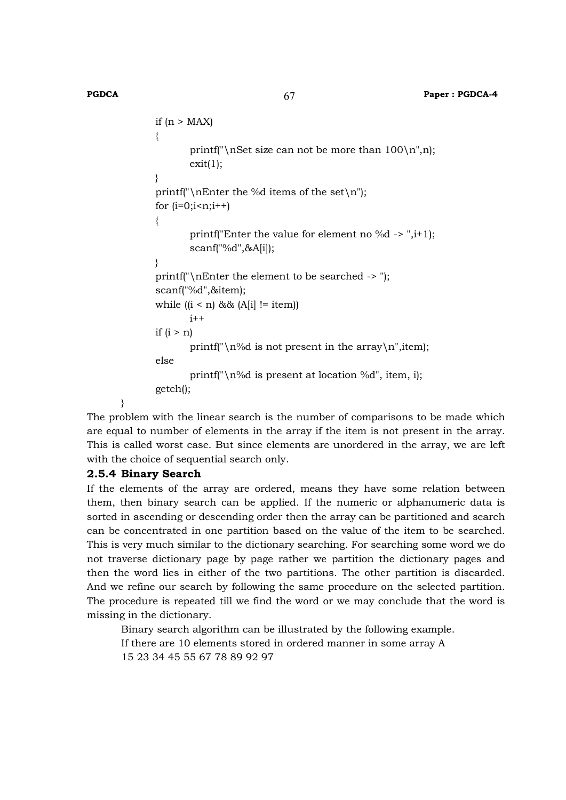```
if (n > MAX) { 
       printf("\nSet size can not be more than 100\n\cdot n",n);
       exit(1);} 
printf("\nEnter the %d items of the set\n");
for (i=0;i=n;i++){ 
       printf("Enter the value for element no %d -> ",i+1);
        scanf("%d",&A[i]); 
} 
printf("\nEnter the element to be searched -> "); 
scanf("%d",&item); 
while ((i \le n) \&\& (A[i] != item))i++if (i > n)printf("\n%d is not present in the array\n", item);
else 
       printf("\nablan%d is present at location %d", item, i);
 getch();
```
The problem with the linear search is the number of comparisons to be made which are equal to number of elements in the array if the item is not present in the array. This is called worst case. But since elements are unordered in the array, we are left with the choice of sequential search only.

# **2.5.4 Binary Search**

}

If the elements of the array are ordered, means they have some relation between them, then binary search can be applied. If the numeric or alphanumeric data is sorted in ascending or descending order then the array can be partitioned and search can be concentrated in one partition based on the value of the item to be searched. This is very much similar to the dictionary searching. For searching some word we do not traverse dictionary page by page rather we partition the dictionary pages and then the word lies in either of the two partitions. The other partition is discarded. And we refine our search by following the same procedure on the selected partition. The procedure is repeated till we find the word or we may conclude that the word is missing in the dictionary.

 Binary search algorithm can be illustrated by the following example. If there are 10 elements stored in ordered manner in some array A 15 23 34 45 55 67 78 89 92 97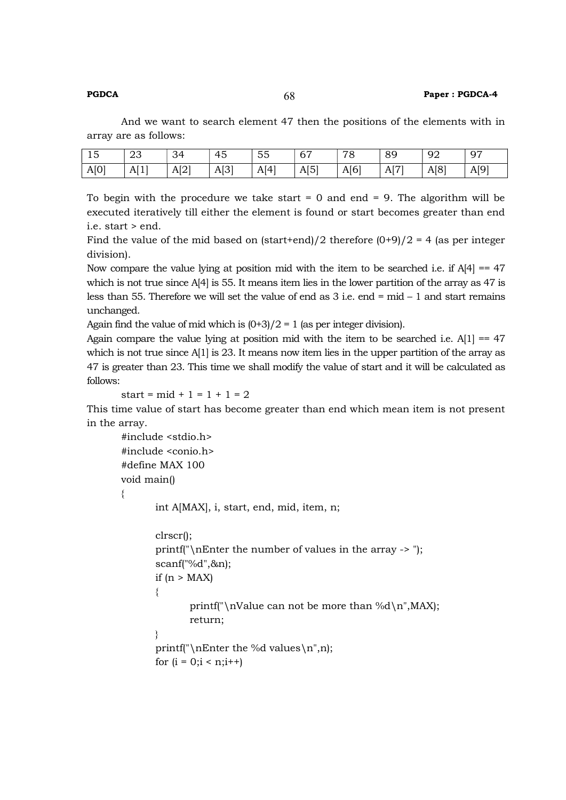**PGDCA** Paper : PGDCA-4

 And we want to search element 47 then the positions of the elements with in array are as follows:

| $\sim$<br>15 | റാ<br>∠ఎ | 34   | 45   | 55   | 67   | 70   | 89   | 92   | Q <sub>7</sub> |
|--------------|----------|------|------|------|------|------|------|------|----------------|
| A[0]         | A[1]     | A[2] | A[3] | A[4] | A[5] | A[6] | A[7] | A[8] | A[9]           |

To begin with the procedure we take start  $= 0$  and end  $= 9$ . The algorithm will be executed iteratively till either the element is found or start becomes greater than end i.e. start > end.

Find the value of the mid based on  $(start+end)/2$  therefore  $(0+9)/2 = 4$  (as per integer division).

Now compare the value lying at position mid with the item to be searched i.e. if  $A[4] = 47$ which is not true since A[4] is 55. It means item lies in the lower partition of the array as 47 is less than 55. Therefore we will set the value of end as  $3$  i.e. end = mid  $-1$  and start remains unchanged.

Again find the value of mid which is  $(0+3)/2 = 1$  (as per integer division).

Again compare the value lying at position mid with the item to be searched i.e.  $A[1] == 47$ which is not true since A[1] is 23. It means now item lies in the upper partition of the array as 47 is greater than 23. This time we shall modify the value of start and it will be calculated as follows:

start = mid + 1 =  $1 + 1 = 2$ 

{

This time value of start has become greater than end which mean item is not present in the array.

```
#include <stdio.h> 
#include <conio.h> 
#define MAX 100 
void main() 
        int A[MAX], i, start, end, mid, item, n; 
        clrscr(); 
        printf("\nEnter the number of values in the array -> "); 
        scanf("%d",&n); 
       if (n > MAX)\{printf("\nValue can not be more than %d\n", MAX);
               return; 
\longrightarrowprintf("\nEnter the %d values\n",n);
       for (i = 0; i < n; i++)
```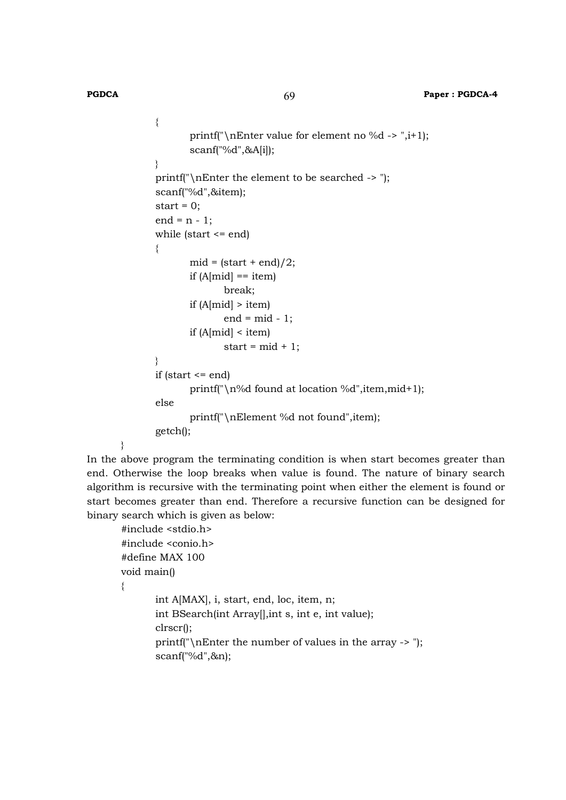```
 { 
               printf("\nEnter value for element no %d -> ",i+1);
                scanf("%d",&A[i]); 
        } 
        printf("\nEnter the element to be searched -> "); 
        scanf("%d",&item); 
       start = 0;
       end = n - 1;
        while (start <= end) 
\{mid = (start + end)/2;if (A[\text{mid}] == \text{item}) break; 
                if (A[mid] > item) 
                       end = mid - 1; if (A[mid] < item) 
                       start = mid + 1;
        } 
       if (start \leq end)
                printf("\n%d found at location %d",item,mid+1); 
        else 
                printf("\nElement %d not found",item); 
        getch();
```
}

In the above program the terminating condition is when start becomes greater than end. Otherwise the loop breaks when value is found. The nature of binary search algorithm is recursive with the terminating point when either the element is found or start becomes greater than end. Therefore a recursive function can be designed for binary search which is given as below:

```
#include <stdio.h> 
#include <conio.h> 
#define MAX 100 
void main() 
{ 
        int A[MAX], i, start, end, loc, item, n; 
        int BSearch(int Array[],int s, int e, int value); 
        clrscr(); 
        printf("\nEnter the number of values in the array -> "); 
        scanf("%d",&n);
```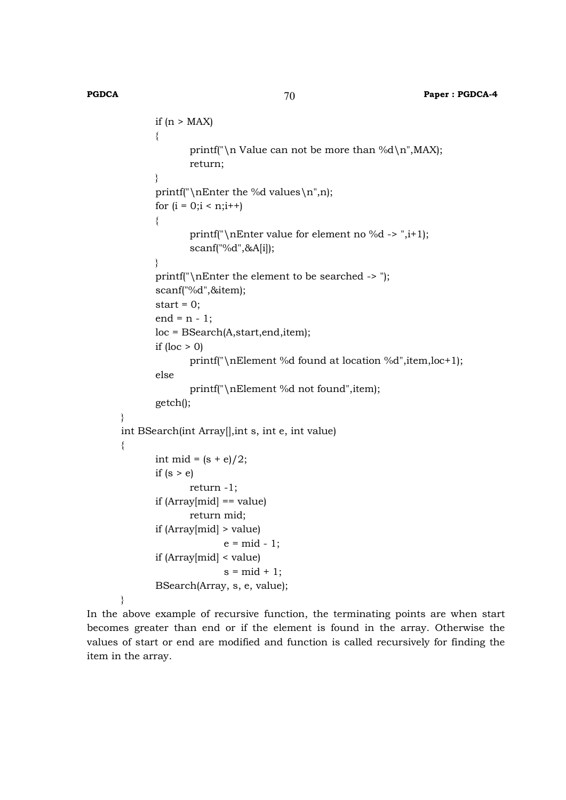}

```
if (n > MAX) { 
               printf("\n Value can not be more than %d\n", MAX);
                return; 
        } 
       printf("\nEnter the %d values\n",n); 
       for (i = 0;i < n;i++)\{printf("\nEnter value for element no %d -> ",i+1);
                scanf("%d",&A[i]); 
        } 
        printf("\nEnter the element to be searched -> "); 
        scanf("%d",&item); 
       start = 0;
       end = n - 1;
        loc = BSearch(A,start,end,item); 
       if (loc > 0)
                printf("\nElement %d found at location %d",item,loc+1); 
        else 
                printf("\nElement %d not found",item); 
        getch(); 
} 
int BSearch(int Array[],int s, int e, int value) 
{ 
       int mid = (s + e)/2;
       if (s > e) return -1; 
       if (Array[mid] == value) return mid; 
        if (Array[mid] > value) 
                      e = mid - 1; if (Array[mid] < value) 
                      s = mid + 1;
        BSearch(Array, s, e, value);
```
In the above example of recursive function, the terminating points are when start becomes greater than end or if the element is found in the array. Otherwise the values of start or end are modified and function is called recursively for finding the item in the array.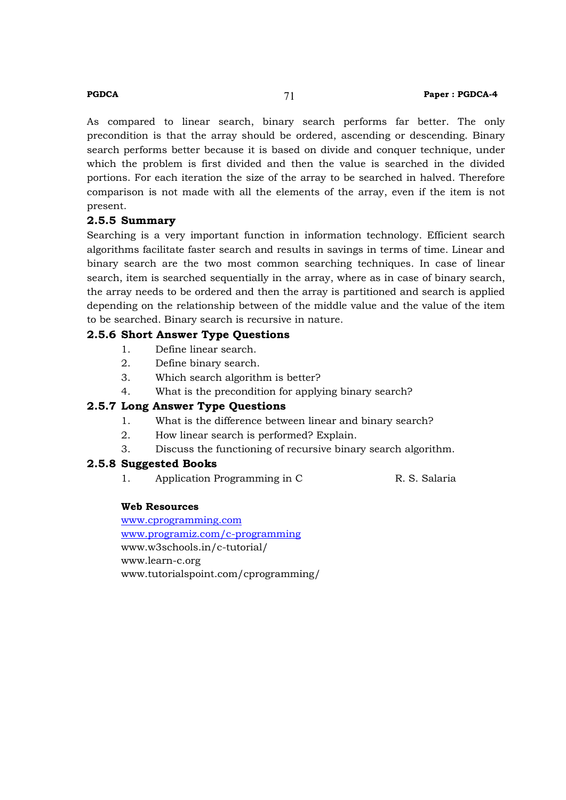As compared to linear search, binary search performs far better. The only precondition is that the array should be ordered, ascending or descending. Binary search performs better because it is based on divide and conquer technique, under which the problem is first divided and then the value is searched in the divided portions. For each iteration the size of the array to be searched in halved. Therefore comparison is not made with all the elements of the array, even if the item is not present.

## **2.5.5 Summary**

Searching is a very important function in information technology. Efficient search algorithms facilitate faster search and results in savings in terms of time. Linear and binary search are the two most common searching techniques. In case of linear search, item is searched sequentially in the array, where as in case of binary search, the array needs to be ordered and then the array is partitioned and search is applied depending on the relationship between of the middle value and the value of the item to be searched. Binary search is recursive in nature.

## **2.5.6 Short Answer Type Questions**

- 1. Define linear search.
- 2. Define binary search.
- 3. Which search algorithm is better?
- 4. What is the precondition for applying binary search?

## **2.5.7 Long Answer Type Questions**

- 1. What is the difference between linear and binary search?
- 2. How linear search is performed? Explain.
- 3. Discuss the functioning of recursive binary search algorithm.

### **2.5.8 Suggested Books**

1. Application Programming in C R. S. Salaria

### **Web Resources**

www.cprogramming.com www.programiz.com/c-programming www.w3schools.in/c-tutorial/ www.learn-c.org www.tutorialspoint.com/cprogramming/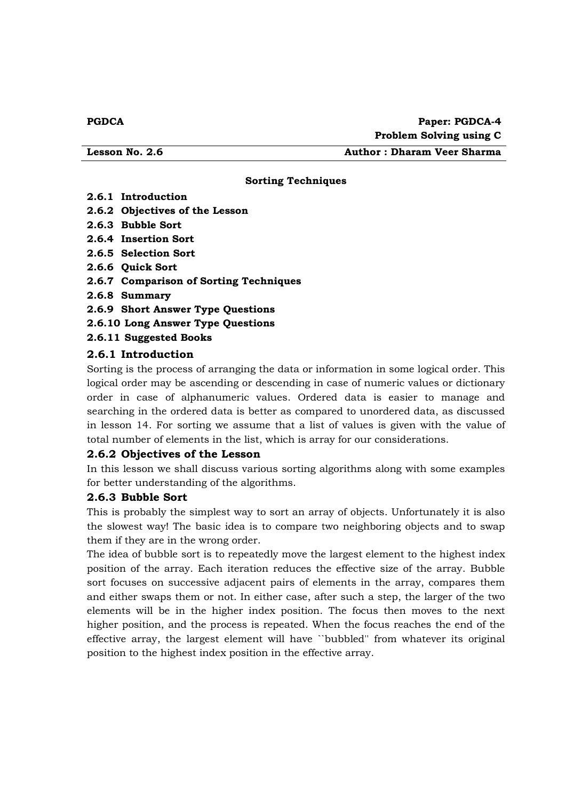**PGDCA Paper: PGDCA-4 Problem Solving using C**

**Lesson No. 2.6 Author : Dharam Veer Sharma**

### **Sorting Techniques**

- **2.6.1 Introduction**
- **2.6.2 Objectives of the Lesson**
- **2.6.3 Bubble Sort**
- **2.6.4 Insertion Sort**
- **2.6.5 Selection Sort**
- **2.6.6 Quick Sort**
- **2.6.7 Comparison of Sorting Techniques**
- **2.6.8 Summary**
- **2.6.9 Short Answer Type Questions**
- **2.6.10 Long Answer Type Questions**
- **2.6.11 Suggested Books**

# **2.6.1 Introduction**

Sorting is the process of arranging the data or information in some logical order. This logical order may be ascending or descending in case of numeric values or dictionary order in case of alphanumeric values. Ordered data is easier to manage and searching in the ordered data is better as compared to unordered data, as discussed in lesson 14. For sorting we assume that a list of values is given with the value of total number of elements in the list, which is array for our considerations.

# **2.6.2 Objectives of the Lesson**

In this lesson we shall discuss various sorting algorithms along with some examples for better understanding of the algorithms.

## **2.6.3 Bubble Sort**

This is probably the simplest way to sort an array of objects. Unfortunately it is also the slowest way! The basic idea is to compare two neighboring objects and to swap them if they are in the wrong order.

The idea of bubble sort is to repeatedly move the largest element to the highest index position of the array. Each iteration reduces the effective size of the array. Bubble sort focuses on successive adjacent pairs of elements in the array, compares them and either swaps them or not. In either case, after such a step, the larger of the two elements will be in the higher index position. The focus then moves to the next higher position, and the process is repeated. When the focus reaches the end of the effective array, the largest element will have ``bubbled'' from whatever its original position to the highest index position in the effective array.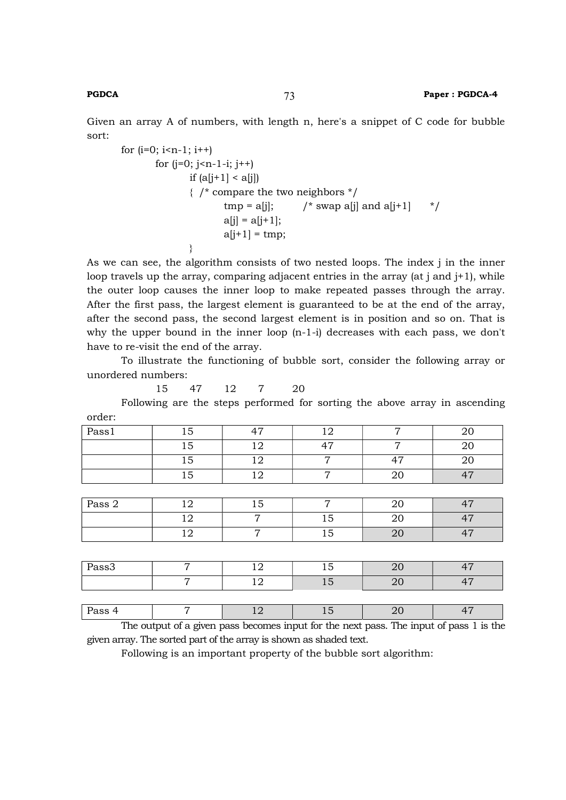Given an array A of numbers, with length n, here's a snippet of C code for bubble sort:

for (i=0; i\nfor (j=0; j\nif (a[j+1] < a[j])  
\n{ /\* compare the two neighbors \*/  
\n
$$
\text{tmp} = a[j]; \qquad \text{/ * swap a[j] and a[j+1]} \qquad \text{*}\text{/}  
\n a[j] = a[j+1];  
\n a[j+1] = tmp;
$$

As we can see, the algorithm consists of two nested loops. The index j in the inner loop travels up the array, comparing adjacent entries in the array (at  $j$  and  $j+1$ ), while the outer loop causes the inner loop to make repeated passes through the array. After the first pass, the largest element is guaranteed to be at the end of the array, after the second pass, the second largest element is in position and so on. That is why the upper bound in the inner loop (n-1-i) decreases with each pass, we don't have to re-visit the end of the array.

 To illustrate the functioning of bubble sort, consider the following array or unordered numbers:

$$
15 \qquad 47 \qquad 12 \qquad 7 \qquad 20
$$

 Following are the steps performed for sorting the above array in ascending order:

| Pass1  | 15             | 47             | 12             | $\overline{7}$ | 20 |
|--------|----------------|----------------|----------------|----------------|----|
|        | 15             | 12             | 47             | $\overline{7}$ | 20 |
|        | 15             | 12             | $\overline{7}$ | 47             | 20 |
|        | 15             | 12             | $\overline{7}$ | 20             | 47 |
|        |                |                |                |                |    |
| Pass 2 | 12             | 15             | $\overline{7}$ | 20             | 47 |
|        | 12             | $\overline{7}$ | 15             | 20             | 47 |
|        | 12             | $\overline{7}$ | 15             | 20             | 47 |
|        |                |                |                |                |    |
| Pass3  | $\overline{7}$ | 12             | 15             | 20             | 47 |
|        | $\overline{7}$ | 12             | 15             | 20             | 47 |
|        |                |                |                |                |    |
| Pass 4 | $\overline{7}$ | 12             | 15             | 20             | 47 |

 The output of a given pass becomes input for the next pass. The input of pass 1 is the given array. The sorted part of the array is shown as shaded text.

Following is an important property of the bubble sort algorithm: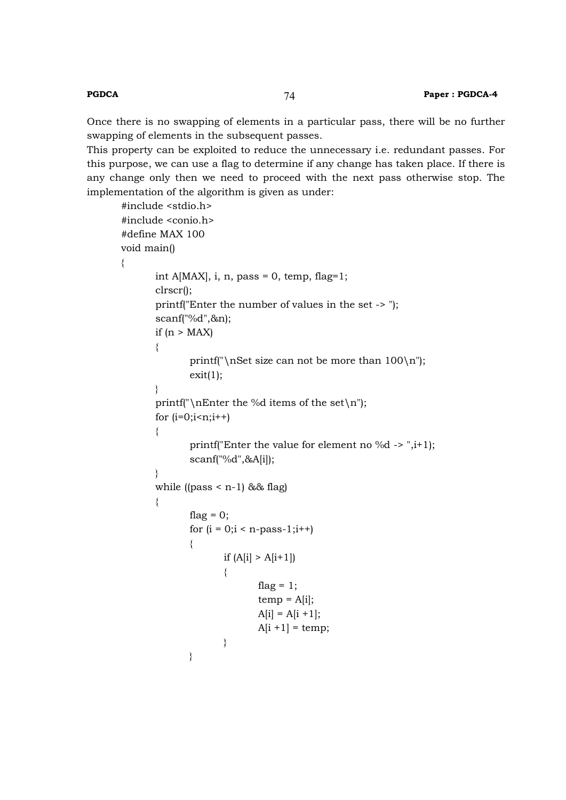{

Once there is no swapping of elements in a particular pass, there will be no further swapping of elements in the subsequent passes.

This property can be exploited to reduce the unnecessary i.e. redundant passes. For this purpose, we can use a flag to determine if any change has taken place. If there is any change only then we need to proceed with the next pass otherwise stop. The implementation of the algorithm is given as under:

```
#include <stdio.h> 
#include <conio.h> 
#define MAX 100 
void main() 
       int A[MAX], i, n, pass = 0, temp, flag=1;
        clrscr(); 
        printf("Enter the number of values in the set -> "); 
        scanf("%d",&n); 
       if (n > MAX) { 
               printf("\nSet size can not be more than 100\n");
               exit(1);} 
       printf("\nEnter the %d items of the set\n"); 
       for (i=0;i=n;i++){ 
               printf("Enter the value for element no %d -> ",i+1);
                scanf("%d",&A[i]); 
       } 
       while ((pass \leq n-1) && flag)
       { 
               flag = 0;
               for (i = 0; i < n-pass-1;i^{++})
               { 
                       if (A[i] > A[i+1]) { 
                               flag = 1;
                               temp = A[i];A[i] = A[i + 1];A[i + 1] = temp;} 
               }
```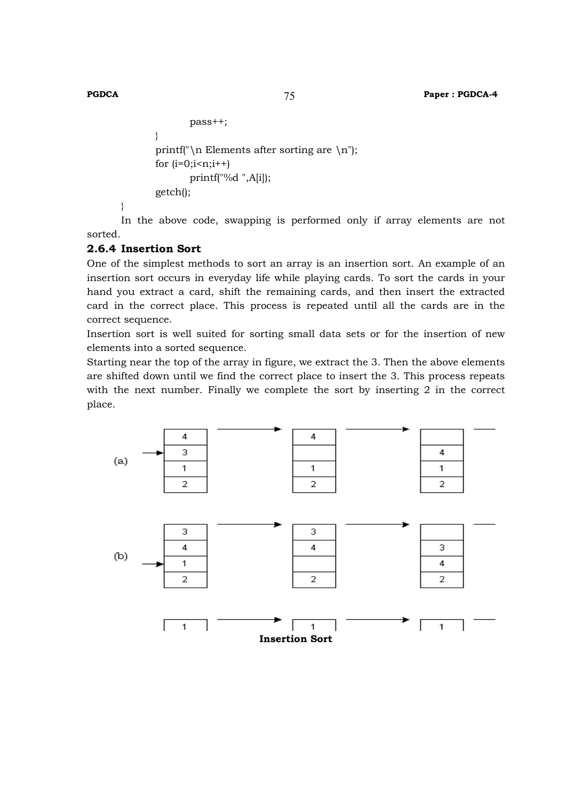```
pass++; 
} 
printf("\n Elements after sorting are \n"); 
for (i=0;i=n;i++) printf("%d ",A[i]); 
getch();
```
 In the above code, swapping is performed only if array elements are not sorted.

### **2.6.4 Insertion Sort**

}

One of the simplest methods to sort an array is an insertion sort. An example of an insertion sort occurs in everyday life while playing cards. To sort the cards in your hand you extract a card, shift the remaining cards, and then insert the extracted card in the correct place. This process is repeated until all the cards are in the correct sequence.

Insertion sort is well suited for sorting small data sets or for the insertion of new elements into a sorted sequence.

Starting near the top of the array in figure, we extract the 3. Then the above elements are shifted down until we find the correct place to insert the 3. This process repeats with the next number. Finally we complete the sort by inserting 2 in the correct place.

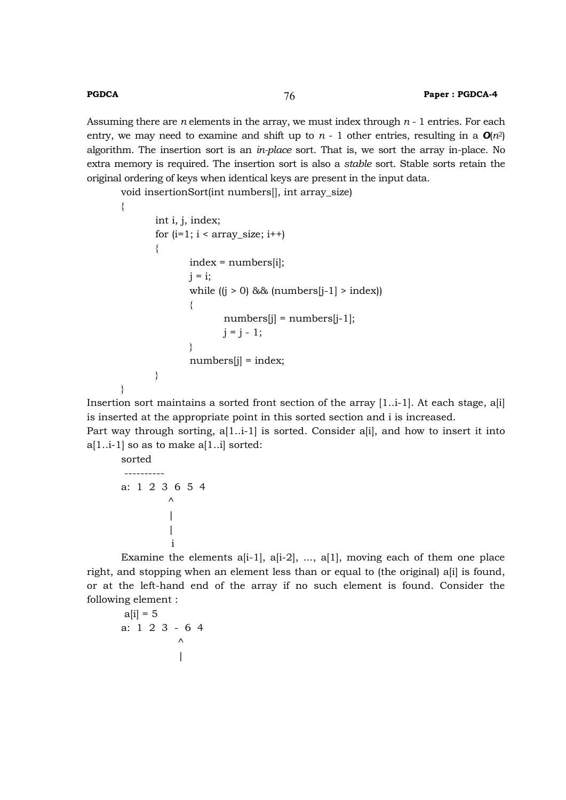Assuming there are *n* elements in the array, we must index through *n* - 1 entries. For each entry, we may need to examine and shift up to  $n - 1$  other entries, resulting in a  $O(n^2)$ algorithm. The insertion sort is an *in-place* sort. That is, we sort the array in-place. No extra memory is required. The insertion sort is also a *stable* sort. Stable sorts retain the original ordering of keys when identical keys are present in the input data.

void insertionSort(int numbers[], int array\_size)

```
{ 
       int i, j, index; 
      for (i=1; i < array_size; i++) { 
              index = numbers[i]; 
             i = i;
             while ((j > 0) && (numbers(j-1) > index)
\{numbers[j] = numbers[j-1];j = j - 1; } 
             numbers[j] = index; } 
}
```
Insertion sort maintains a sorted front section of the array  $[1..i-1]$ . At each stage, a $[i]$ is inserted at the appropriate point in this sorted section and i is increased.

Part way through sorting,  $a[1..i-1]$  is sorted. Consider  $a[i]$ , and how to insert it into  $a[1..i-1]$  so as to make  $a[1..i]$  sorted:

 sorted --------- a: 1 2 3 6 5 4  $\mathcal{L}$  | | i

Examine the elements  $a[i-1]$ ,  $a[i-2]$ , ...,  $a[1]$ , moving each of them one place right, and stopping when an element less than or equal to (the original) a[i] is found, or at the left-hand end of the array if no such element is found. Consider the following element :

```
a[i] = 5 a: 1 2 3 - 6 4 
\mathcal{L} and \mathcal{L} |
```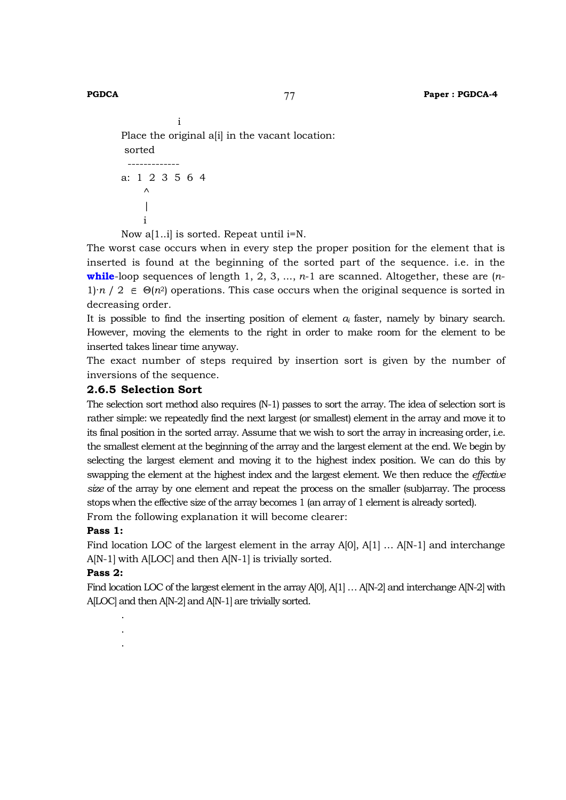i Place the original a[i] in the vacant location: sorted ------------ a: 1 2 3 5 6 4  $\overline{\phantom{a}}$  | i

Now a[1..i] is sorted. Repeat until i=N.

The worst case occurs when in every step the proper position for the element that is inserted is found at the beginning of the sorted part of the sequence. i.e. in the **while**-loop sequences of length 1, 2, 3, ..., *n*-1 are scanned. Altogether, these are (*n*- $1)$ ·*n* / 2  $\in \Theta(n^2)$  operations. This case occurs when the original sequence is sorted in decreasing order.

It is possible to find the inserting position of element  $a_i$  faster, namely by binary search. However, moving the elements to the right in order to make room for the element to be inserted takes linear time anyway.

The exact number of steps required by insertion sort is given by the number of inversions of the sequence.

### **2.6.5 Selection Sort**

The selection sort method also requires (N-1) passes to sort the array. The idea of selection sort is rather simple: we repeatedly find the next largest (or smallest) element in the array and move it to its final position in the sorted array. Assume that we wish to sort the array in increasing order, i.e. the smallest element at the beginning of the array and the largest element at the end. We begin by selecting the largest element and moving it to the highest index position. We can do this by swapping the element at the highest index and the largest element. We then reduce the *effective size* of the array by one element and repeat the process on the smaller (sub)array. The process stops when the effective size of the array becomes 1 (an array of 1 element is already sorted).

From the following explanation it will become clearer:

### **Pass 1:**

Find location LOC of the largest element in the array A[0], A[1] ... A[N-1] and interchange A[N-1] with A[LOC] and then A[N-1] is trivially sorted.

#### **Pass 2:**

 . . .

Find location LOC of the largest element in the array A[0], A[1] ... A[N-2] and interchange A[N-2] with A[LOC] and then A[N-2] and A[N-1] are trivially sorted.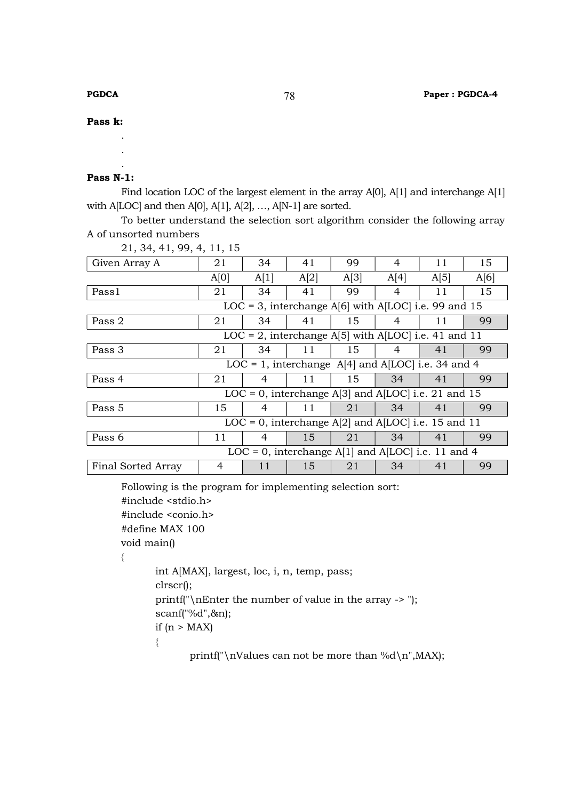### **Pass k:**

 . .

#### . **Pass N-1:**

 Find location LOC of the largest element in the array A[0], A[1] and interchange A[1] with A[LOC] and then A[0], A[1], A[2], …, A[N-1] are sorted.

 To better understand the selection sort algorithm consider the following array A of unsorted numbers

| 21, 34, 41, 99, 4, 11, 15                                |                |      |      |      |                |      |      |
|----------------------------------------------------------|----------------|------|------|------|----------------|------|------|
| Given Array A                                            | 21             | 34   | 41   | 99   | $\overline{4}$ | 11   | 15   |
|                                                          | A[0]           | A[1] | A[2] | A[3] | A[4]           | A[5] | A[6] |
| Pass1                                                    | 21             | 34   | 41   | 99   | $\overline{4}$ | 11   | 15   |
| LOC = 3, interchange $A[6]$ with $A[LOC]$ i.e. 99 and 15 |                |      |      |      |                |      |      |
| Pass 2                                                   | 21             | 34   | 41   | 15   | 4              | 11   | 99   |
| LOC = 2, interchange $A[5]$ with $A[LOC]$ i.e. 41 and 11 |                |      |      |      |                |      |      |
| Pass 3                                                   | 21             | 34   | 11   | 15   | 4              | 41   | 99   |
| LOC = 1, interchange $A[4]$ and $A[LOC]$ i.e. 34 and 4   |                |      |      |      |                |      |      |
| Pass 4                                                   | 21             | 4    | 11   | 15   | 34             | 41   | 99   |
| LOC = 0, interchange $A[3]$ and $A[LOC]$ i.e. 21 and 15  |                |      |      |      |                |      |      |
| Pass 5                                                   | 15             | 4    | 11   | 21   | 34             | 41   | 99   |
| LOC = 0, interchange $A[2]$ and $A[LOC]$ i.e. 15 and 11  |                |      |      |      |                |      |      |
| Pass 6                                                   | 11             | 4    | 15   | 21   | 34             | 41   | 99   |
| LOC = 0, interchange $A[1]$ and $A[LOC]$ i.e. 11 and 4   |                |      |      |      |                |      |      |
| Final Sorted Array                                       | $\overline{4}$ | 11   | 15   | 21   | 34             | 41   | 99   |

 Following is the program for implementing selection sort: #include <stdio.h> #include <conio.h> #define MAX 100 void main()

### {

 int A[MAX], largest, loc, i, n, temp, pass; clrscr(); printf("\nEnter the number of value in the array -> "); scanf("%d",&n); if  $(n > MAX)$ {

printf("\nValues can not be more than %d\n",MAX);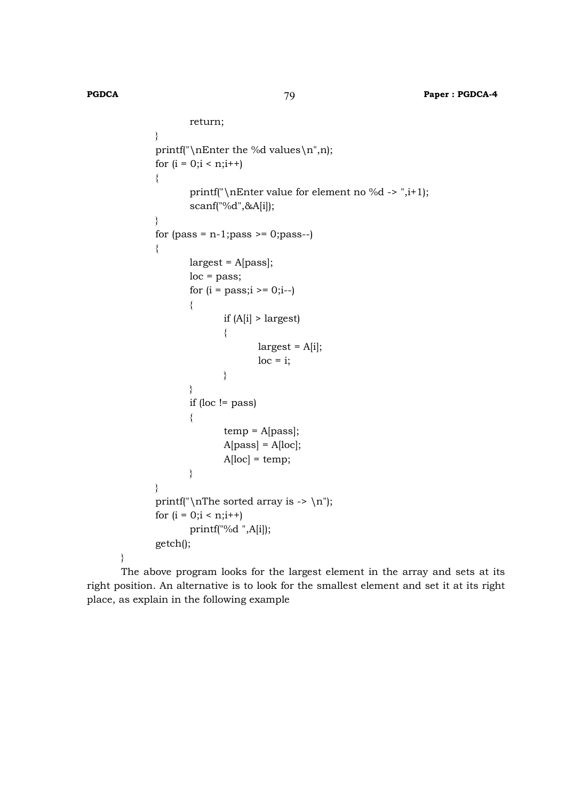}

```
 return; 
       } 
       printf("\nEnter the %d values\n",n); 
      for (i = 0;i < n;i++) { 
            printf("\nEnter value for element no %d -> ",i+1);
             scanf("%d",&A[i]); 
       } 
      for (pass = n-1;pass \ge 0;pass--) { 
            largest = A[pass];loc = pass;for (i = pass; i \ge 0; i-)\{ if (A[i] > largest) 
\{largest = A[i];loc = i; } 
 } 
            if (loc != pass)
\{temp = A[pass];A[pass] = A[loc]; A[loc] = temp; 
 } 
       } 
      printf("\nThe sorted array is -> \n");
      for (i = 0; i < n; i++) printf("%d ",A[i]); 
       getch();
```
 The above program looks for the largest element in the array and sets at its right position. An alternative is to look for the smallest element and set it at its right place, as explain in the following example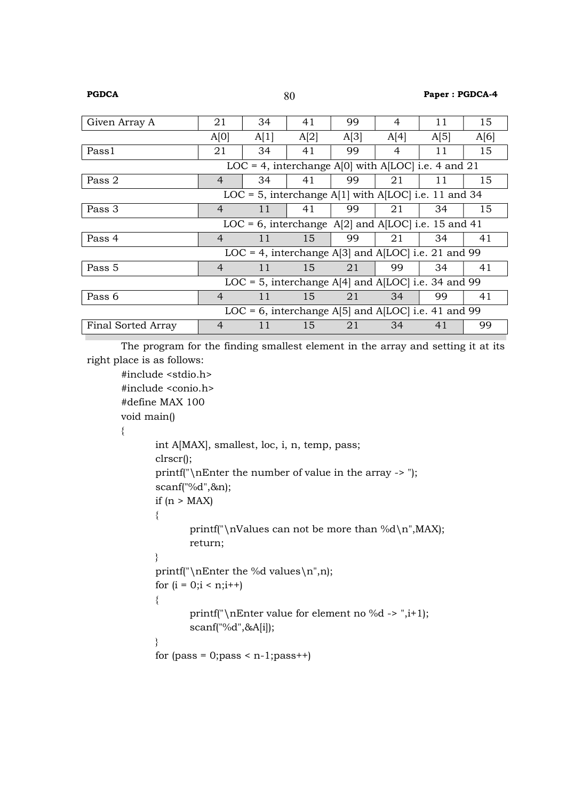PGDCA **PGDCA PGDCA-4 80** 

| Given Array A                                            | 21             | 34   | 41   | 99   | 4    | 11   | 15   |
|----------------------------------------------------------|----------------|------|------|------|------|------|------|
|                                                          | A[0]           | A[1] | A[2] | A[3] | A[4] | A[5] | A[6] |
| Pass1                                                    | 21             | 34   | 41   | 99   | 4    | 11   | 15   |
| LOC = 4, interchange $A[0]$ with $A[LOC]$ i.e. 4 and 21  |                |      |      |      |      |      |      |
| Pass 2                                                   | $\overline{4}$ | 34   | 41   | 99   | 21   | 11   | 15   |
| LOC = 5, interchange $A[1]$ with $A[LOC]$ i.e. 11 and 34 |                |      |      |      |      |      |      |
| Pass 3                                                   | $\overline{4}$ | 11   | 41   | 99   | 21   | 34   | 15   |
| LOC = 6, interchange $A[2]$ and $A[LOC]$ i.e. 15 and 41  |                |      |      |      |      |      |      |
| Pass 4                                                   | $\overline{4}$ | 11   | 15   | 99   | 21   | 34   | 41   |
| LOC = 4, interchange $A[3]$ and $A[LOC]$ i.e. 21 and 99  |                |      |      |      |      |      |      |
| Pass 5                                                   | $\overline{4}$ | 11   | 15   | 21   | 99   | 34   | 41   |
| LOC = 5, interchange $A[4]$ and $A[LOC]$ i.e. 34 and 99  |                |      |      |      |      |      |      |
| Pass 6                                                   | $\overline{4}$ | 11   | 15   | 21   | 34   | 99   | 41   |
| LOC = 6, interchange $A[5]$ and $A[LOC]$ i.e. 41 and 99  |                |      |      |      |      |      |      |
| <b>Final Sorted Array</b>                                | $\overline{4}$ | 11   | 15   | 21   | 34   | 41   | 99   |

 The program for the finding smallest element in the array and setting it at its right place is as follows:

#include <stdio.h> #include <conio.h> #define MAX 100 void main()

```
{
```

```
 int A[MAX], smallest, loc, i, n, temp, pass; 
 clrscr(); 
 printf("\nEnter the number of value in the array -> "); 
 scanf("%d",&n); 
if (n > MAX) { 
       printf("\nValues can not be more than %d\n",MAX);
        return; 
 } 
 printf("\nEnter the %d values\n",n); 
for (i = 0;i < n;i++) { 
        printf("\nEnter value for element no %d -> ",i+1); 
        scanf("%d",&A[i]); 
 } 
for (pass = 0; pass < n-1; pass++)
```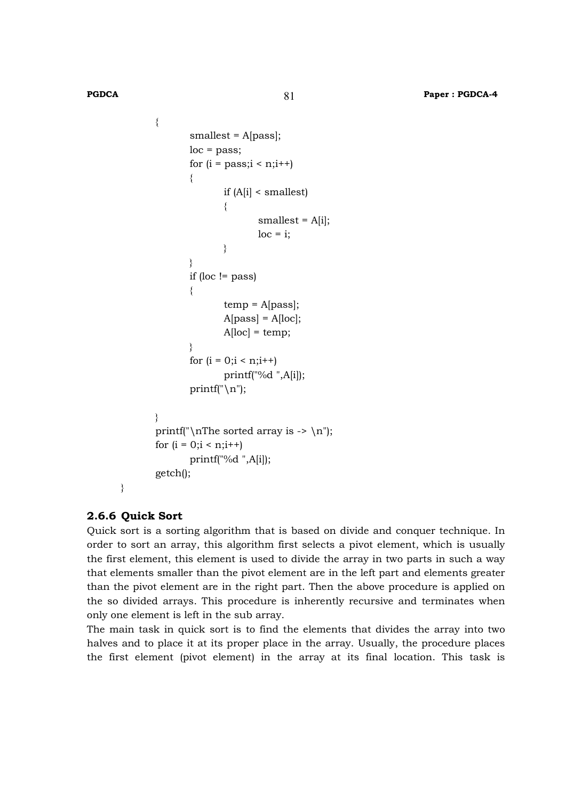```
 { 
             smallest = A[pass]; 
            loc = pass;for (i = pass; i < n; i++)\{if (A[i] < smallest)
\{smallest = A[i];
                        loc = i;
 } 
 } 
            if (loc != pass)
\{temp = A[pass];A[pass] = A[loc];A[loc] = temp; } 
            for (i = 0; i < n; i++) printf("%d ",A[i]); 
            printf("\n\overline{n}");
      } 
      printf("\nThe sorted array is -> \n");
      for (i = 0; i < n; i++)
```
printf("%d ",A[i]);

```
 getch(); 
}
```
# **2.6.6 Quick Sort**

Quick sort is a sorting algorithm that is based on divide and conquer technique. In order to sort an array, this algorithm first selects a pivot element, which is usually the first element, this element is used to divide the array in two parts in such a way that elements smaller than the pivot element are in the left part and elements greater than the pivot element are in the right part. Then the above procedure is applied on the so divided arrays. This procedure is inherently recursive and terminates when only one element is left in the sub array.

The main task in quick sort is to find the elements that divides the array into two halves and to place it at its proper place in the array. Usually, the procedure places the first element (pivot element) in the array at its final location. This task is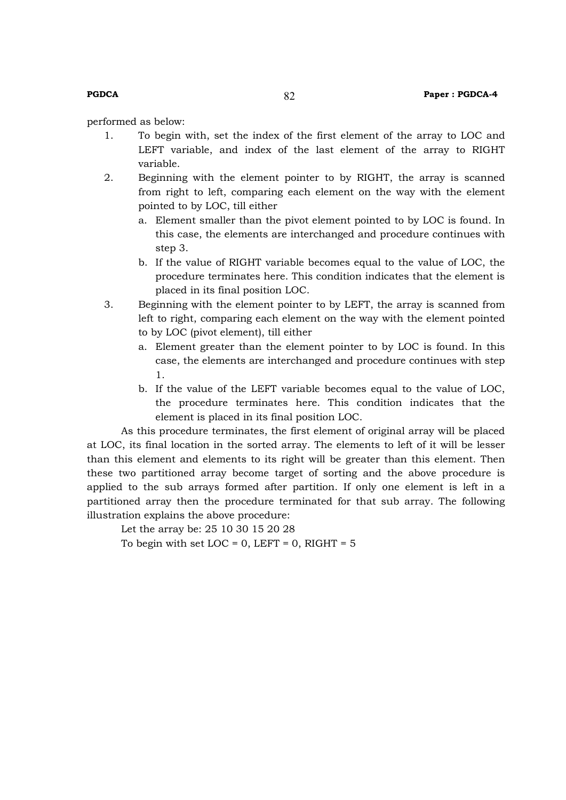performed as below:

- 1. To begin with, set the index of the first element of the array to LOC and LEFT variable, and index of the last element of the array to RIGHT variable.
- 2. Beginning with the element pointer to by RIGHT, the array is scanned from right to left, comparing each element on the way with the element pointed to by LOC, till either
	- a. Element smaller than the pivot element pointed to by LOC is found. In this case, the elements are interchanged and procedure continues with step 3.
	- b. If the value of RIGHT variable becomes equal to the value of LOC, the procedure terminates here. This condition indicates that the element is placed in its final position LOC.
- 3. Beginning with the element pointer to by LEFT, the array is scanned from left to right, comparing each element on the way with the element pointed to by LOC (pivot element), till either
	- a. Element greater than the element pointer to by LOC is found. In this case, the elements are interchanged and procedure continues with step 1.
	- b. If the value of the LEFT variable becomes equal to the value of LOC, the procedure terminates here. This condition indicates that the element is placed in its final position LOC.

 As this procedure terminates, the first element of original array will be placed at LOC, its final location in the sorted array. The elements to left of it will be lesser than this element and elements to its right will be greater than this element. Then these two partitioned array become target of sorting and the above procedure is applied to the sub arrays formed after partition. If only one element is left in a partitioned array then the procedure terminated for that sub array. The following illustration explains the above procedure:

 Let the array be: 25 10 30 15 20 28 To begin with set  $LOC = 0$ ,  $LEFT = 0$ ,  $RIGHT = 5$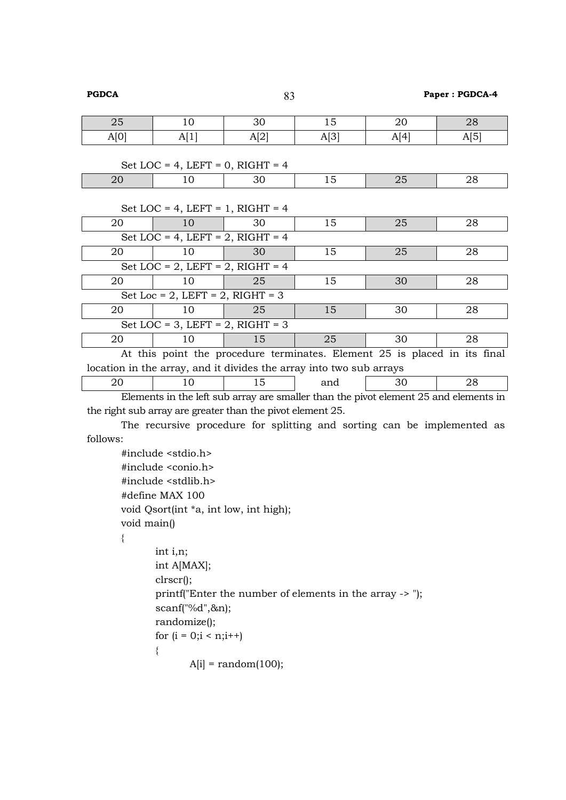| 25                                                                        | 10                                 | 30   | 15   | 20   | 28   |  |  |  |
|---------------------------------------------------------------------------|------------------------------------|------|------|------|------|--|--|--|
| A[0]                                                                      | A[1]                               | A[2] | A[3] | A[4] | A[5] |  |  |  |
|                                                                           |                                    |      |      |      |      |  |  |  |
|                                                                           | Set LOC = 4, LEFT = 0, RIGHT = $4$ |      |      |      |      |  |  |  |
| 20                                                                        | 10                                 | 30   | 15   | 25   | 28   |  |  |  |
|                                                                           |                                    |      |      |      |      |  |  |  |
|                                                                           | Set LOC = 4, LEFT = 1, RIGHT = $4$ |      |      |      |      |  |  |  |
| 20                                                                        | 10                                 | 30   | 15   | 25   | 28   |  |  |  |
| Set LOC = 4, LEFT = 2, RIGHT = 4                                          |                                    |      |      |      |      |  |  |  |
| 20                                                                        | 10                                 | 30   | 15   | 25   | 28   |  |  |  |
| Set LOC = 2, LEFT = 2, RIGHT = $4$                                        |                                    |      |      |      |      |  |  |  |
| 20                                                                        | 10                                 | 25   | 15   | 30   | 28   |  |  |  |
| Set Loc = 2, LEFT = 2, RIGHT = $3$                                        |                                    |      |      |      |      |  |  |  |
| 20                                                                        | 10                                 | 25   | 15   | 30   | 28   |  |  |  |
| Set LOC = 3, LEFT = 2, RIGHT = $3$                                        |                                    |      |      |      |      |  |  |  |
| 20                                                                        | 10                                 | 15   | 25   | 30   | 28   |  |  |  |
| At this point the procedure terminates. Element 25 is placed in its final |                                    |      |      |      |      |  |  |  |
| location in the array, and it divides the array into two sub arrays       |                                    |      |      |      |      |  |  |  |
|                                                                           |                                    |      |      |      |      |  |  |  |

20 | 10 | 15 | and | 30 | 28 Elements in the left sub array are smaller than the pivot element 25 and elements in the right sub array are greater than the pivot element 25.

 The recursive procedure for splitting and sorting can be implemented as follows:

```
#include <stdio.h> 
#include <conio.h> 
#include <stdlib.h> 
#define MAX 100 
void Qsort(int *a, int low, int high); 
void main() 
{ 
        int i,n; 
        int A[MAX]; 
        clrscr(); 
        printf("Enter the number of elements in the array -> "); 
        scanf("%d",&n); 
        randomize(); 
       for (i = 0; i < n; i++) { 
               A[i] = random(100);
```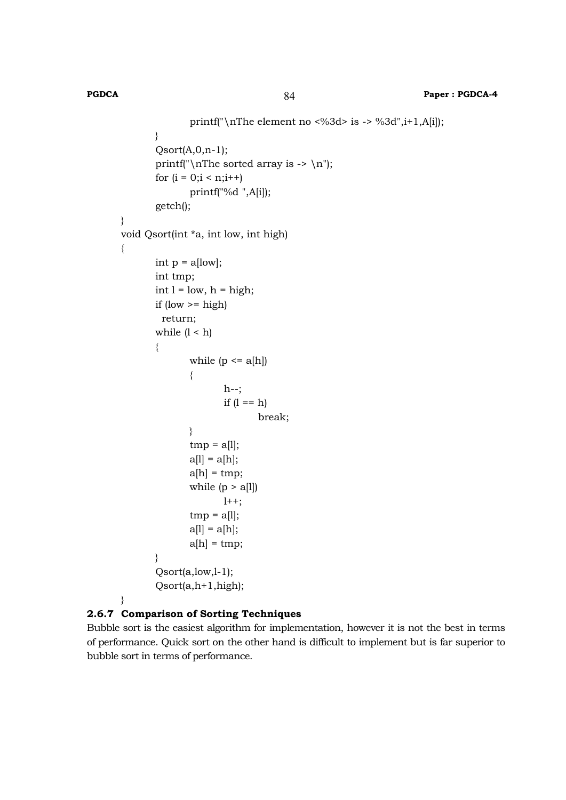**PGDCA** Paper : PGDCA-4

```
printf("\nThe element no <%3d> is -> %3d",i+1,A[i];
        } 
       Qsort(A, 0, n-1);printf("\nThe sorted array is -> \n");
       for (i = 0; i < n; i++) printf("%d ",A[i]); 
        getch(); 
} 
void Qsort(int *a, int low, int high) 
{ 
       int p = a[low];
        int tmp; 
       int 1 = low, h = high;if (low >= high)
          return; 
       while (l < h) { 
               while (p \leq a[h])\{ h--; 
                      if (l == h) break; 
 } 
               tmp = a[1];a[1] = a[h];a[h] = tmp;while (p > a[1]) l++; 
               tmp = a[1];a[1] = a[h];a[h] = tmp; } 
        Qsort(a,low,l-1); 
        Qsort(a,h+1,high); 
}
```
# **2.6.7 Comparison of Sorting Techniques**

Bubble sort is the easiest algorithm for implementation, however it is not the best in terms of performance. Quick sort on the other hand is difficult to implement but is far superior to bubble sort in terms of performance.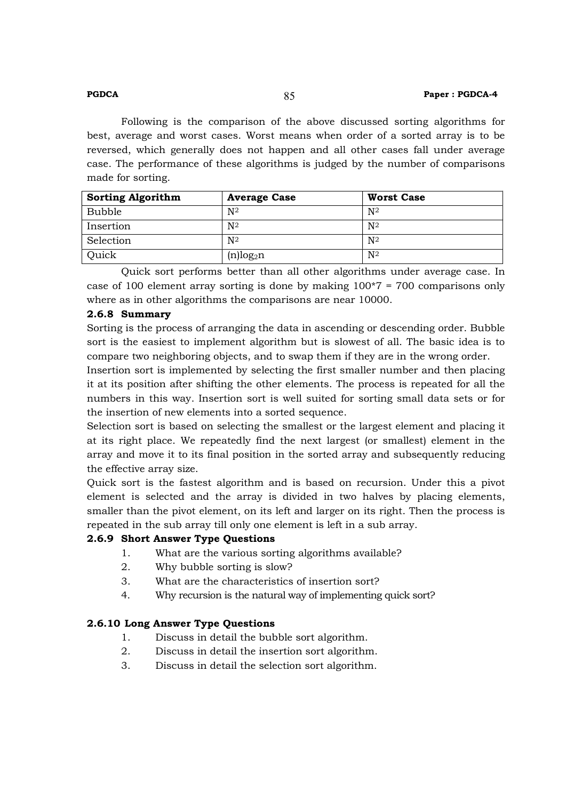Following is the comparison of the above discussed sorting algorithms for best, average and worst cases. Worst means when order of a sorted array is to be reversed, which generally does not happen and all other cases fall under average case. The performance of these algorithms is judged by the number of comparisons made for sorting.

| <b>Sorting Algorithm</b> | <b>Average Case</b>        | <b>Worst Case</b> |
|--------------------------|----------------------------|-------------------|
| Bubble                   | $N^2$                      | $N^2$             |
| Insertion                | $N^2$                      | $\mathbf{N}^2$    |
| Selection                | $N^2$                      | $N^2$             |
| Quick                    | $(n)$ log <sub>2</sub> $n$ | $N^2$             |

Quick sort performs better than all other algorithms under average case. In case of 100 element array sorting is done by making  $100*7 = 700$  comparisons only where as in other algorithms the comparisons are near 10000.

### **2.6.8 Summary**

Sorting is the process of arranging the data in ascending or descending order. Bubble sort is the easiest to implement algorithm but is slowest of all. The basic idea is to compare two neighboring objects, and to swap them if they are in the wrong order.

Insertion sort is implemented by selecting the first smaller number and then placing it at its position after shifting the other elements. The process is repeated for all the numbers in this way. Insertion sort is well suited for sorting small data sets or for the insertion of new elements into a sorted sequence.

Selection sort is based on selecting the smallest or the largest element and placing it at its right place. We repeatedly find the next largest (or smallest) element in the array and move it to its final position in the sorted array and subsequently reducing the effective array size.

Quick sort is the fastest algorithm and is based on recursion. Under this a pivot element is selected and the array is divided in two halves by placing elements, smaller than the pivot element, on its left and larger on its right. Then the process is repeated in the sub array till only one element is left in a sub array.

## **2.6.9 Short Answer Type Questions**

- 1. What are the various sorting algorithms available?
- 2. Why bubble sorting is slow?
- 3. What are the characteristics of insertion sort?
- 4. Why recursion is the natural way of implementing quick sort?

#### **2.6.10 Long Answer Type Questions**

- 1. Discuss in detail the bubble sort algorithm.
- 2. Discuss in detail the insertion sort algorithm.
- 3. Discuss in detail the selection sort algorithm.